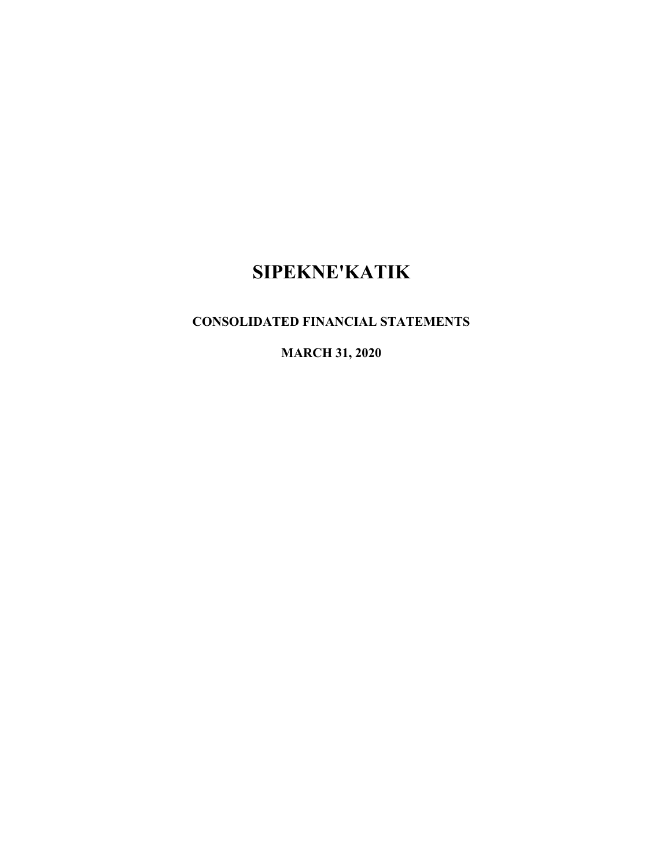# **CONSOLIDATED FINANCIAL STATEMENTS**

**MARCH 31, 2020**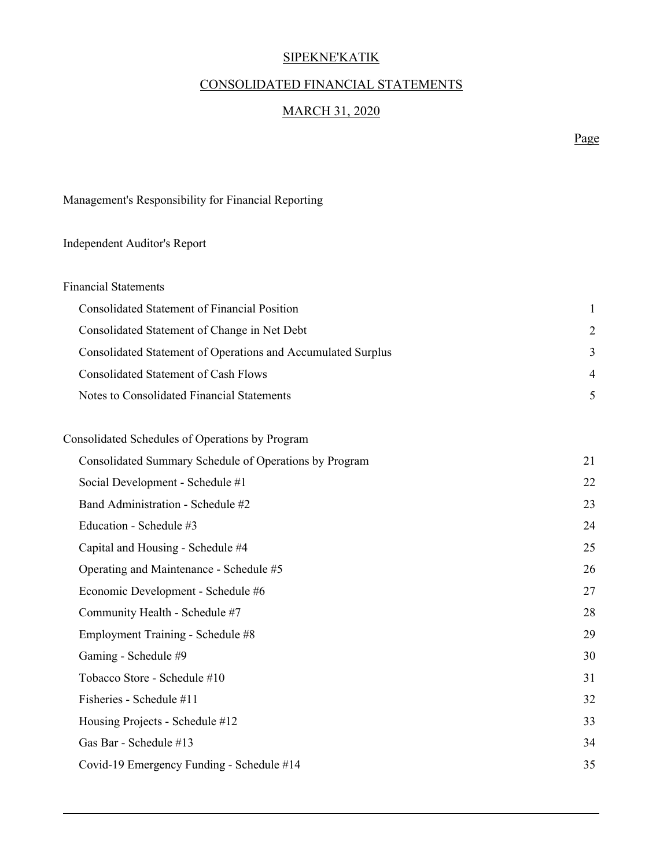# CONSOLIDATED FINANCIAL STATEMENTS

# MARCH 31, 2020

Page

Management's Responsibility for Financial Reporting

# Independent Auditor's Report

| <b>Financial Statements</b>                                  |               |
|--------------------------------------------------------------|---------------|
| Consolidated Statement of Financial Position                 |               |
| Consolidated Statement of Change in Net Debt                 | $\mathcal{D}$ |
| Consolidated Statement of Operations and Accumulated Surplus | 3             |
| Consolidated Statement of Cash Flows                         | 4             |
| Notes to Consolidated Financial Statements                   |               |

| Consolidated Schedules of Operations by Program        |    |
|--------------------------------------------------------|----|
| Consolidated Summary Schedule of Operations by Program | 21 |
| Social Development - Schedule #1                       | 22 |
| Band Administration - Schedule #2                      | 23 |
| Education - Schedule #3                                | 24 |
| Capital and Housing - Schedule #4                      | 25 |
| Operating and Maintenance - Schedule #5                | 26 |
| Economic Development - Schedule #6                     | 27 |
| Community Health - Schedule #7                         | 28 |
| Employment Training - Schedule #8                      | 29 |
| Gaming - Schedule #9                                   | 30 |
| Tobacco Store - Schedule #10                           | 31 |
| Fisheries - Schedule #11                               | 32 |
| Housing Projects - Schedule #12                        | 33 |
| Gas Bar - Schedule #13                                 | 34 |
| Covid-19 Emergency Funding - Schedule #14              | 35 |
|                                                        |    |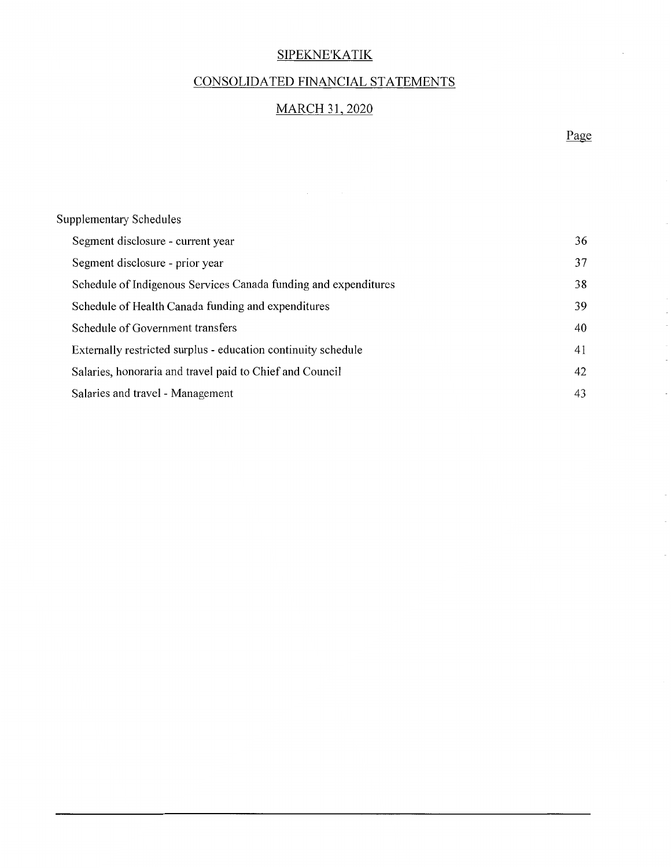# CONSOLIDATED FINANCIAL STATEMENTS

## MARCH 31,2020

Page

 $\overline{\phantom{a}}$ 

 $\bar{\gamma}$ 

 $\bar{z}$ 

 $\bar{\gamma}$ 

| <b>Supplementary Schedules</b>                                  |    |
|-----------------------------------------------------------------|----|
| Segment disclosure - current year                               | 36 |
| Segment disclosure - prior year                                 | 37 |
| Schedule of Indigenous Services Canada funding and expenditures | 38 |
| Schedule of Health Canada funding and expenditures              | 39 |
| Schedule of Government transfers                                | 40 |
| Externally restricted surplus - education continuity schedule   | 41 |
| Salaries, honoraria and travel paid to Chief and Council        | 42 |
| Salaries and travel - Management                                | 43 |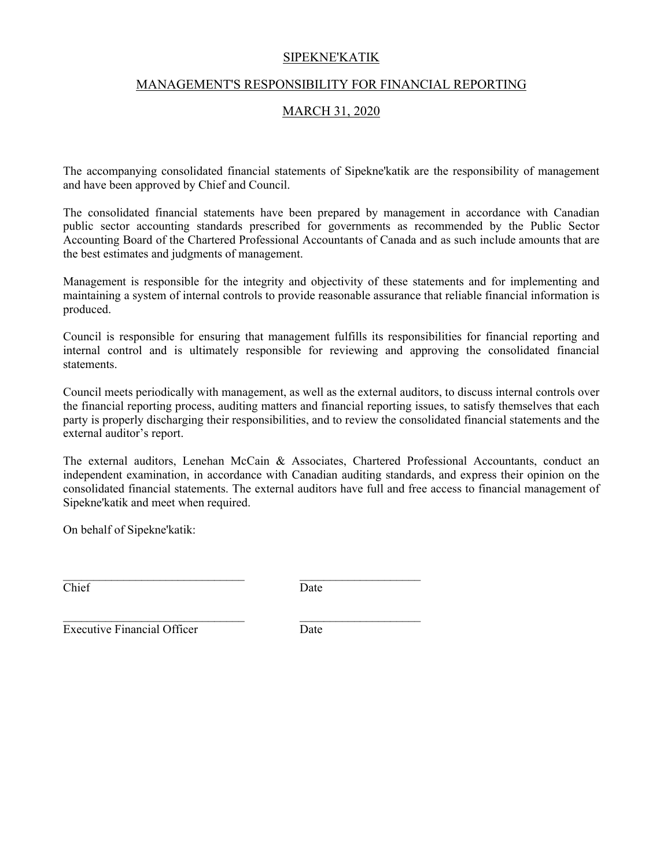#### MANAGEMENT'S RESPONSIBILITY FOR FINANCIAL REPORTING

#### MARCH 31, 2020

The accompanying consolidated financial statements of Sipekne'katik are the responsibility of management and have been approved by Chief and Council.

The consolidated financial statements have been prepared by management in accordance with Canadian public sector accounting standards prescribed for governments as recommended by the Public Sector Accounting Board of the Chartered Professional Accountants of Canada and as such include amounts that are the best estimates and judgments of management.

Management is responsible for the integrity and objectivity of these statements and for implementing and maintaining a system of internal controls to provide reasonable assurance that reliable financial information is produced.

Council is responsible for ensuring that management fulfills its responsibilities for financial reporting and internal control and is ultimately responsible for reviewing and approving the consolidated financial statements.

Council meets periodically with management, as well as the external auditors, to discuss internal controls over the financial reporting process, auditing matters and financial reporting issues, to satisfy themselves that each party is properly discharging their responsibilities, and to review the consolidated financial statements and the external auditor's report.

The external auditors, Lenehan McCain & Associates, Chartered Professional Accountants, conduct an independent examination, in accordance with Canadian auditing standards, and express their opinion on the consolidated financial statements. The external auditors have full and free access to financial management of Sipekne'katik and meet when required.

On behalf of Sipekne'katik:

Chief Date

 $\mathcal{L}_\text{max}$  and the contract of the contract of the contract of the contract of the contract of the contract of the contract of the contract of the contract of the contract of the contract of the contract of the contrac

**Executive Financial Officer** Date

 $\mathcal{L}_\text{max}$  and the contract of the contract of the contract of the contract of the contract of the contract of the contract of the contract of the contract of the contract of the contract of the contract of the contrac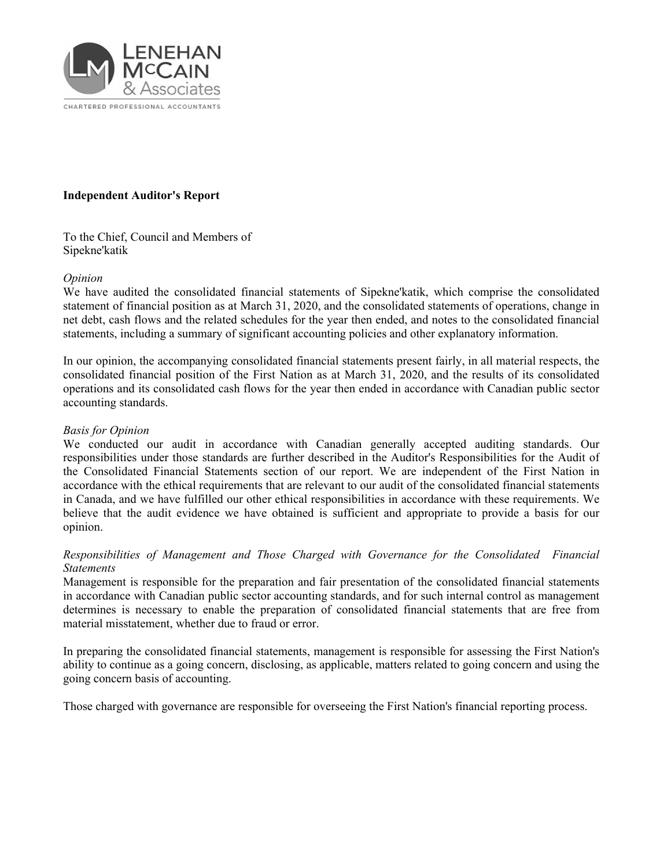

#### **Independent Auditor's Report**

To the Chief, Council and Members of Sipekne'katik

#### *Opinion*

We have audited the consolidated financial statements of Sipekne'katik, which comprise the consolidated statement of financial position as at March 31, 2020, and the consolidated statements of operations, change in net debt, cash flows and the related schedules for the year then ended, and notes to the consolidated financial statements, including a summary of significant accounting policies and other explanatory information.

In our opinion, the accompanying consolidated financial statements present fairly, in all material respects, the consolidated financial position of the First Nation as at March 31, 2020, and the results of its consolidated operations and its consolidated cash flows for the year then ended in accordance with Canadian public sector accounting standards.

#### *Basis for Opinion*

We conducted our audit in accordance with Canadian generally accepted auditing standards. Our responsibilities under those standards are further described in the Auditor's Responsibilities for the Audit of the Consolidated Financial Statements section of our report. We are independent of the First Nation in accordance with the ethical requirements that are relevant to our audit of the consolidated financial statements in Canada, and we have fulfilled our other ethical responsibilities in accordance with these requirements. We believe that the audit evidence we have obtained is sufficient and appropriate to provide a basis for our opinion.

#### *Responsibilities of Management and Those Charged with Governance for the Consolidated Financial Statements*

Management is responsible for the preparation and fair presentation of the consolidated financial statements in accordance with Canadian public sector accounting standards, and for such internal control as management determines is necessary to enable the preparation of consolidated financial statements that are free from material misstatement, whether due to fraud or error.

In preparing the consolidated financial statements, management is responsible for assessing the First Nation's ability to continue as a going concern, disclosing, as applicable, matters related to going concern and using the going concern basis of accounting.

Those charged with governance are responsible for overseeing the First Nation's financial reporting process.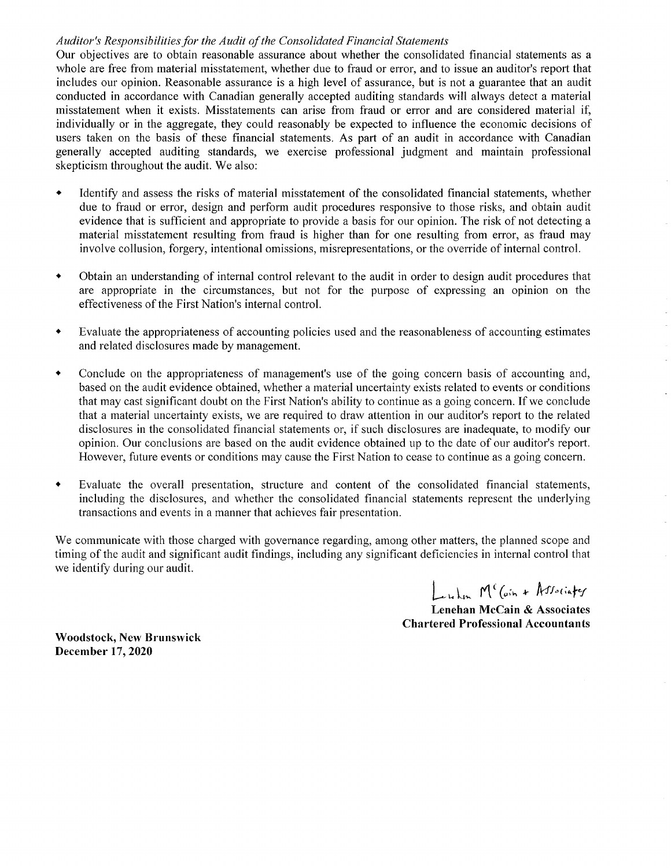#### Auditor's Responsibilities for the Audit of the Consolidated Financial Statements

Our objectives are to obtain reasonable assurance about whether the consolidated financial statements as a whole are free from material misstatement, whether due to fraud or error, and to issue an auditor's report that includes our opinion. Reasonable assurance is a high level of assurance, but is not a guarantee that an audit conducted in accordance with Canadian generally accepted auditing standards will always detect a material misstatement when it exists. Misstatements can arise from fraud or error and are considered material if, individually or in the aggregate, they could reasonably be expected to influence the economic decisions of users taken on the basis of these financial statements. As part of an audit in accordance with Canadian generally accepted auditing standards, we exercise professional judgment and maintain professional skepticism throughout the audit. We also:

- Identify and assess the risks of material misstatement of the consolidated financial statements, whether due to fraud or error, design and perform audit procedures responsive to those risks, and obtain audit evidence that is sufficient and appropriate to provide a basis for our opinion. The risk of not detecting a material misstatement resulting from fraud is higher than for one resulting from error, as fraud may involve collusion, forgery, intentional omissions, misrepresentations, or the override of internal control.
- Obtain an understanding of internal control relevant to the audit in order to design audit procedures that are appropriate in the circumstances, but not for the purpose of expressing an opinion on the effectiveness of the First Nation's internal control.
- \* Evaluate the appropriateness of accounting policies used and the reasonableness of accounting estimates and related disclosures made by management.
- Conclude on the appropriateness of management's use of the going concern basis of accounting and, based on the audit evidence obtained, whether a material uncertainty exists related to events or conditions that may cast significant doubt on the First Nation's ability to continue as a going concern. If we conclude that a material uncertainty exists, we are required to draw attention in our auditor's report to the related disclosures in the consolidated fmancial statements or, if such disclosures are inadequate, to modify our opinion. Our conclusions are based on the audit evidence obtained up to the date of our auditor's report. However, future events or conditions may cause the First Nation to cease to continue as a going concern.
- Evaluate the overall presentation, structure and content of the consolidated financial statements, including the disclosures, and whether the consolidated financial statements represent the underlying transactions and events in a manner that achieves fair presentation.

We communicate with those charged with governance regarding, among other matters, the planned scope and timing of the audit and significant audit findings, including any significant deficiencies in internal control that we identify during our audit.

 $\int_{-\infty}^{\infty}$  M<sup>c</sup> (ain + Associates

Lenehan McCain & Associates Chartered Professional Accountants

Woodstock, New Brunswick December 17, 2020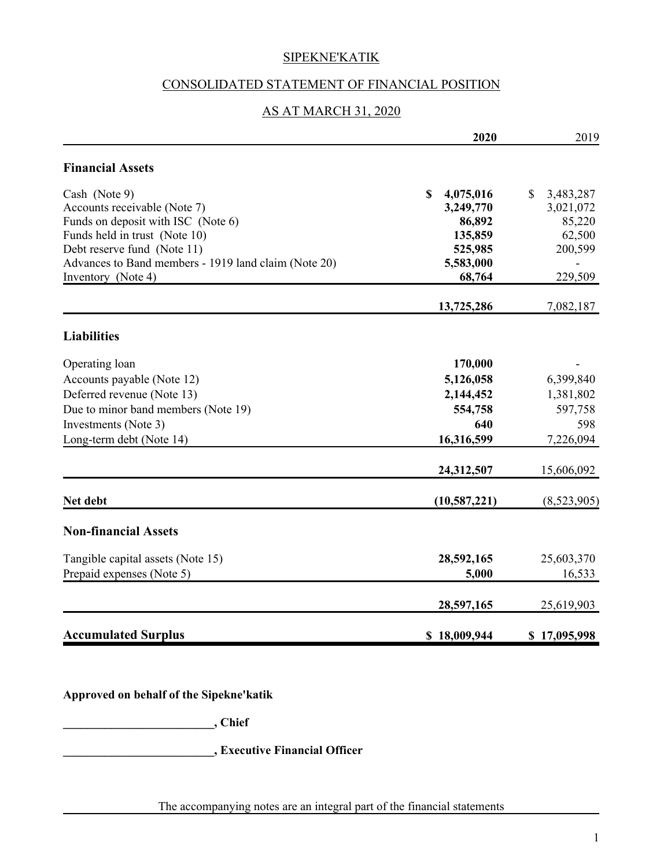## CONSOLIDATED STATEMENT OF FINANCIAL POSITION

## AS AT MARCH 31, 2020

|                                                      | 2020                     | 2019                      |
|------------------------------------------------------|--------------------------|---------------------------|
| <b>Financial Assets</b>                              |                          |                           |
| Cash (Note 9)                                        | $\mathbf S$<br>4,075,016 | $\mathbb{S}$<br>3,483,287 |
| Accounts receivable (Note 7)                         | 3,249,770                | 3,021,072                 |
| Funds on deposit with ISC (Note 6)                   | 86,892                   | 85,220                    |
| Funds held in trust (Note 10)                        | 135,859                  | 62,500                    |
| Debt reserve fund (Note 11)                          | 525,985                  | 200,599                   |
| Advances to Band members - 1919 land claim (Note 20) | 5,583,000                |                           |
| Inventory (Note 4)                                   | 68,764                   | 229,509                   |
|                                                      | 13,725,286               | 7,082,187                 |
| <b>Liabilities</b>                                   |                          |                           |
| Operating loan                                       | 170,000                  |                           |
| Accounts payable (Note 12)                           | 5,126,058                | 6,399,840                 |
| Deferred revenue (Note 13)                           | 2,144,452                | 1,381,802                 |
| Due to minor band members (Note 19)                  | 554,758                  | 597,758                   |
| Investments (Note 3)                                 | 640                      | 598                       |
| Long-term debt (Note 14)                             | 16,316,599               | 7,226,094                 |
|                                                      | 24,312,507               | 15,606,092                |
| Net debt                                             | (10, 587, 221)           | (8,523,905)               |
| <b>Non-financial Assets</b>                          |                          |                           |
| Tangible capital assets (Note 15)                    | 28,592,165               | 25,603,370                |
| Prepaid expenses (Note 5)                            | 5,000                    | 16,533                    |
|                                                      | 28,597,165               | 25,619,903                |
| <b>Accumulated Surplus</b>                           | \$18,009,944             | \$17,095,998              |

**Approved on behalf of the Sipekne'katik**

**\_\_\_\_\_\_\_\_\_\_\_\_\_\_\_\_\_\_\_\_\_\_\_\_\_, Chief**

**\_\_\_\_\_\_\_\_\_\_\_\_\_\_\_\_\_\_\_\_\_\_\_\_\_, Executive Financial Officer**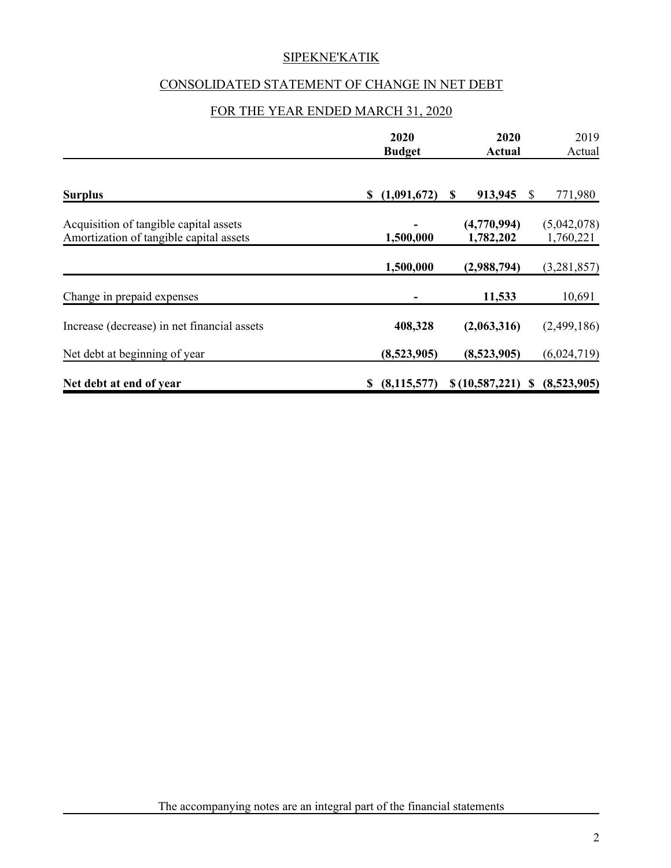# CONSOLIDATED STATEMENT OF CHANGE IN NET DEBT

## FOR THE YEAR ENDED MARCH 31, 2020

|                                             | 2020<br><b>Budget</b> | 2020<br>Actual | 2019<br>Actual                 |
|---------------------------------------------|-----------------------|----------------|--------------------------------|
|                                             |                       |                |                                |
| <b>Surplus</b>                              | (1,091,672)<br>\$     | 913,945<br>\$  | 771,980<br>S                   |
| Acquisition of tangible capital assets      |                       | (4,770,994)    | (5,042,078)                    |
| Amortization of tangible capital assets     | 1,500,000             | 1,782,202      | 1,760,221                      |
|                                             | 1,500,000             | (2,988,794)    | (3,281,857)                    |
| Change in prepaid expenses                  |                       | 11,533         | 10,691                         |
| Increase (decrease) in net financial assets | 408,328               | (2,063,316)    | (2,499,186)                    |
| Net debt at beginning of year               | (8,523,905)           | (8,523,905)    | (6,024,719)                    |
| Net debt at end of year                     | (8, 115, 577)<br>S.   |                | $$(10,587,221) \$ (8,523,905)$ |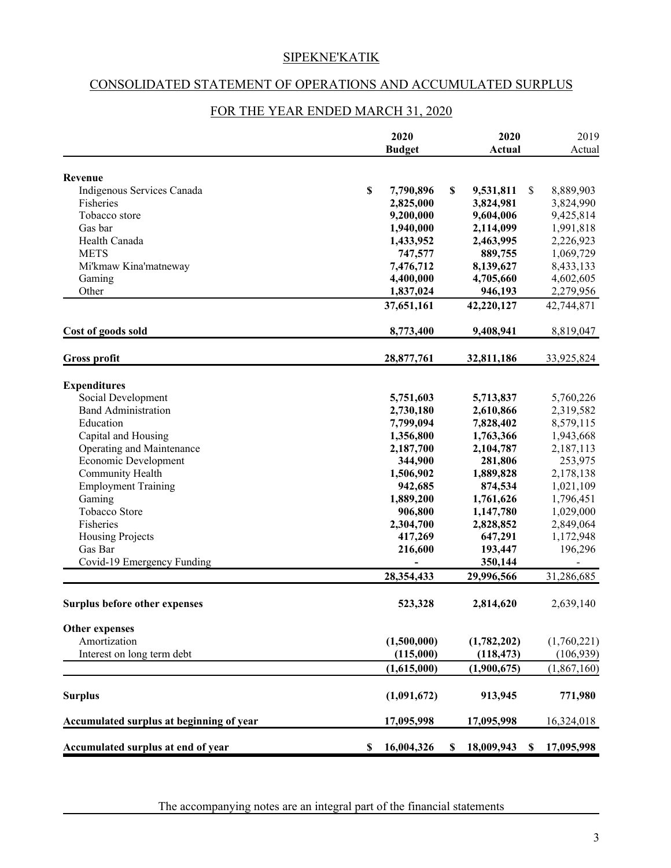#### CONSOLIDATED STATEMENT OF OPERATIONS AND ACCUMULATED SURPLUS

|                                          |                           | 2020<br><b>Budget</b> |    | 2020<br><b>Actual</b> |               | 2019<br>Actual |
|------------------------------------------|---------------------------|-----------------------|----|-----------------------|---------------|----------------|
| Revenue                                  |                           |                       |    |                       |               |                |
| Indigenous Services Canada               | \$                        | 7,790,896             | \$ | 9,531,811             | <sup>\$</sup> | 8,889,903      |
| Fisheries                                |                           | 2,825,000             |    | 3,824,981             |               | 3,824,990      |
| Tobacco store                            |                           | 9,200,000             |    | 9,604,006             |               | 9,425,814      |
| Gas bar                                  |                           | 1,940,000             |    | 2,114,099             |               | 1,991,818      |
| Health Canada                            |                           | 1,433,952             |    | 2,463,995             |               | 2,226,923      |
| <b>METS</b>                              |                           | 747,577               |    | 889,755               |               | 1,069,729      |
| Mi'kmaw Kina'matneway                    |                           | 7,476,712             |    | 8,139,627             |               | 8,433,133      |
| Gaming                                   |                           | 4,400,000             |    | 4,705,660             |               | 4,602,605      |
| Other                                    |                           | 1,837,024             |    | 946,193               |               | 2,279,956      |
|                                          |                           | 37,651,161            |    | 42,220,127            |               | 42,744,871     |
| Cost of goods sold                       |                           | 8,773,400             |    | 9,408,941             |               | 8,819,047      |
| <b>Gross profit</b>                      |                           | 28,877,761            |    | 32,811,186            |               | 33,925,824     |
| <b>Expenditures</b>                      |                           |                       |    |                       |               |                |
| Social Development                       |                           | 5,751,603             |    | 5,713,837             |               | 5,760,226      |
| <b>Band Administration</b>               |                           | 2,730,180             |    | 2,610,866             |               | 2,319,582      |
| Education                                |                           | 7,799,094             |    | 7,828,402             |               | 8,579,115      |
| Capital and Housing                      |                           | 1,356,800             |    | 1,763,366             |               | 1,943,668      |
| Operating and Maintenance                |                           | 2,187,700             |    | 2,104,787             |               | 2,187,113      |
| Economic Development                     |                           | 344,900               |    | 281,806               |               | 253,975        |
| Community Health                         |                           | 1,506,902             |    | 1,889,828             |               | 2,178,138      |
| <b>Employment Training</b>               |                           | 942,685               |    | 874,534               |               | 1,021,109      |
| Gaming                                   |                           | 1,889,200             |    | 1,761,626             |               | 1,796,451      |
| Tobacco Store                            |                           | 906,800               |    | 1,147,780             |               | 1,029,000      |
| Fisheries                                |                           | 2,304,700             |    | 2,828,852             |               | 2,849,064      |
| Housing Projects                         |                           | 417,269               |    | 647,291               |               | 1,172,948      |
| Gas Bar                                  |                           | 216,600               |    | 193,447               |               | 196,296        |
| Covid-19 Emergency Funding               |                           |                       |    | 350,144               |               |                |
|                                          |                           | 28,354,433            |    | 29,996,566            |               | 31,286,685     |
| <b>Surplus before other expenses</b>     |                           | 523,328               |    | 2,814,620             |               | 2,639,140      |
| <b>Other expenses</b>                    |                           |                       |    |                       |               |                |
| Amortization                             |                           | (1,500,000)           |    | (1,782,202)           |               | (1,760,221)    |
| Interest on long term debt               |                           | (115,000)             |    | (118, 473)            |               | (106, 939)     |
|                                          |                           | (1,615,000)           |    | (1,900,675)           |               | (1,867,160)    |
| <b>Surplus</b>                           |                           | (1,091,672)           |    | 913,945               |               | 771,980        |
| Accumulated surplus at beginning of year |                           | 17,095,998            |    | 17,095,998            |               | 16,324,018     |
| Accumulated surplus at end of year       | $\boldsymbol{\mathsf{S}}$ | 16,004,326            | S  | 18,009,943            | \$            | 17,095,998     |

## FOR THE YEAR ENDED MARCH 31, 2020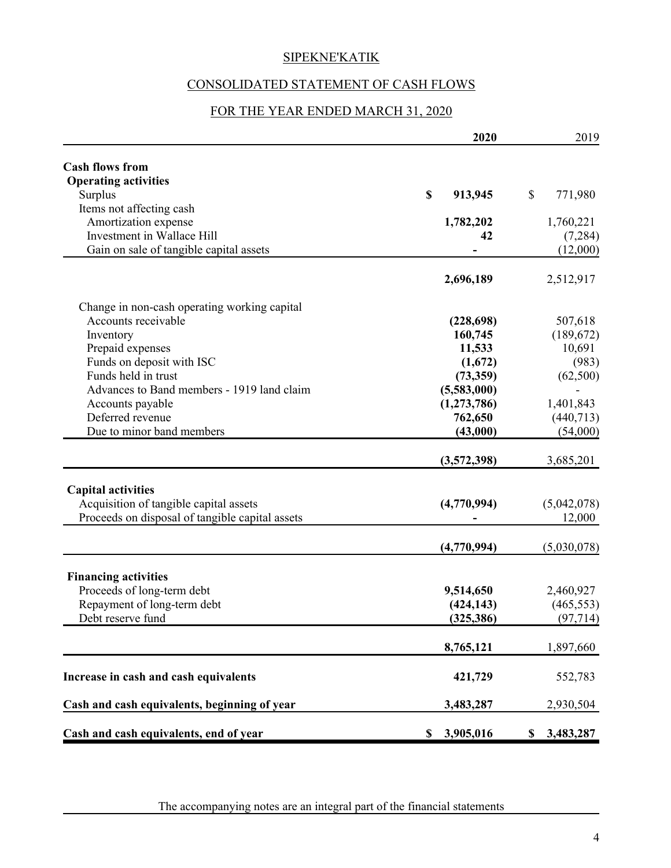# CONSOLIDATED STATEMENT OF CASH FLOWS

## FOR THE YEAR ENDED MARCH 31, 2020

|                                                 | 2020                   | 2019            |
|-------------------------------------------------|------------------------|-----------------|
| <b>Cash flows from</b>                          |                        |                 |
| <b>Operating activities</b>                     |                        |                 |
| Surplus                                         | $\mathbf S$<br>913,945 | \$<br>771,980   |
| Items not affecting cash                        |                        |                 |
| Amortization expense                            | 1,782,202              | 1,760,221       |
| Investment in Wallace Hill                      | 42                     | (7,284)         |
| Gain on sale of tangible capital assets         |                        | (12,000)        |
|                                                 |                        |                 |
|                                                 | 2,696,189              | 2,512,917       |
| Change in non-cash operating working capital    |                        |                 |
| Accounts receivable                             | (228, 698)             | 507,618         |
| Inventory                                       | 160,745                | (189,672)       |
| Prepaid expenses                                | 11,533                 | 10,691          |
| Funds on deposit with ISC                       | (1,672)                | (983)           |
| Funds held in trust                             | (73,359)               | (62,500)        |
| Advances to Band members - 1919 land claim      |                        |                 |
|                                                 | (5,583,000)            |                 |
| Accounts payable                                | (1,273,786)            | 1,401,843       |
| Deferred revenue                                | 762,650                | (440,713)       |
| Due to minor band members                       | (43,000)               | (54,000)        |
|                                                 | (3,572,398)            | 3,685,201       |
|                                                 |                        |                 |
| <b>Capital activities</b>                       |                        |                 |
| Acquisition of tangible capital assets          | (4,770,994)            | (5,042,078)     |
| Proceeds on disposal of tangible capital assets |                        | 12,000          |
|                                                 | (4,770,994)            | (5,030,078)     |
|                                                 |                        |                 |
| <b>Financing activities</b>                     |                        |                 |
| Proceeds of long-term debt                      | 9,514,650              | 2,460,927       |
| Repayment of long-term debt                     | (424, 143)             | (465, 553)      |
| Debt reserve fund                               | (325, 386)             | (97, 714)       |
|                                                 | 8,765,121              | 1,897,660       |
|                                                 |                        |                 |
| Increase in cash and cash equivalents           | 421,729                | 552,783         |
| Cash and cash equivalents, beginning of year    | 3,483,287              | 2,930,504       |
| Cash and cash equivalents, end of year          | 3,905,016<br>\$        | 3,483,287<br>\$ |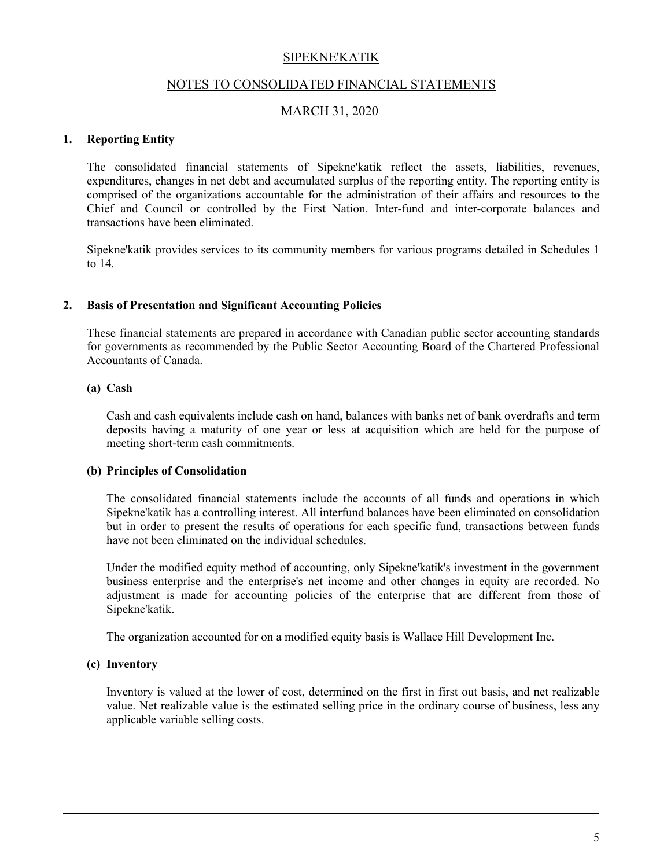#### NOTES TO CONSOLIDATED FINANCIAL STATEMENTS

#### MARCH 31, 2020

#### **1. Reporting Entity**

The consolidated financial statements of Sipekne'katik reflect the assets, liabilities, revenues, expenditures, changes in net debt and accumulated surplus of the reporting entity. The reporting entity is comprised of the organizations accountable for the administration of their affairs and resources to the Chief and Council or controlled by the First Nation. Inter-fund and inter-corporate balances and transactions have been eliminated.

Sipekne'katik provides services to its community members for various programs detailed in Schedules 1 to 14.

#### **2. Basis of Presentation and Significant Accounting Policies**

These financial statements are prepared in accordance with Canadian public sector accounting standards for governments as recommended by the Public Sector Accounting Board of the Chartered Professional Accountants of Canada.

#### **(a) Cash**

Cash and cash equivalents include cash on hand, balances with banks net of bank overdrafts and term deposits having a maturity of one year or less at acquisition which are held for the purpose of meeting short-term cash commitments.

#### **(b) Principles of Consolidation**

The consolidated financial statements include the accounts of all funds and operations in which Sipekne'katik has a controlling interest. All interfund balances have been eliminated on consolidation but in order to present the results of operations for each specific fund, transactions between funds have not been eliminated on the individual schedules.

Under the modified equity method of accounting, only Sipekne'katik's investment in the government business enterprise and the enterprise's net income and other changes in equity are recorded. No adjustment is made for accounting policies of the enterprise that are different from those of Sipekne'katik.

The organization accounted for on a modified equity basis is Wallace Hill Development Inc.

#### **(c) Inventory**

Inventory is valued at the lower of cost, determined on the first in first out basis, and net realizable value. Net realizable value is the estimated selling price in the ordinary course of business, less any applicable variable selling costs.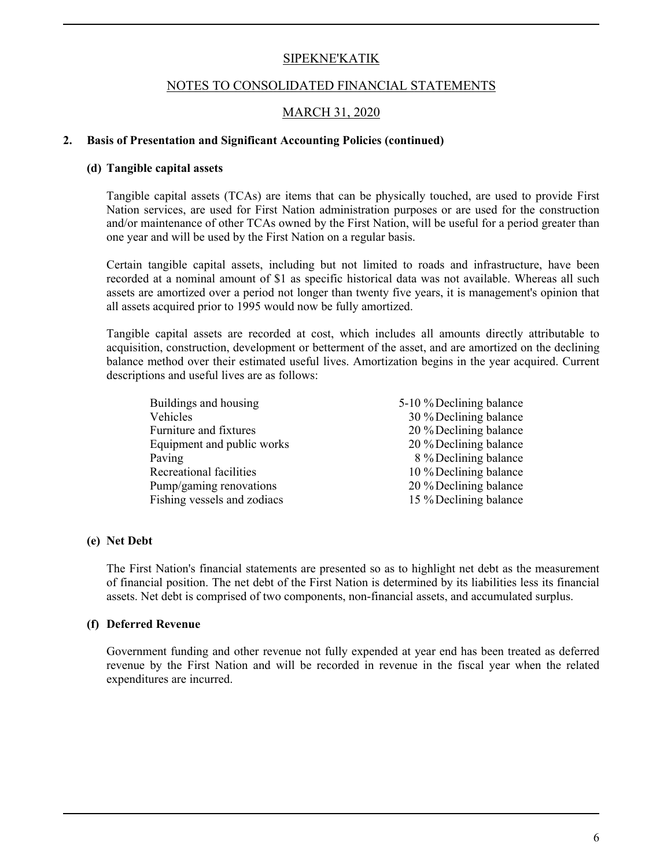#### NOTES TO CONSOLIDATED FINANCIAL STATEMENTS

## MARCH 31, 2020

#### **2. Basis of Presentation and Significant Accounting Policies (continued)**

#### **(d) Tangible capital assets**

Tangible capital assets (TCAs) are items that can be physically touched, are used to provide First Nation services, are used for First Nation administration purposes or are used for the construction and/or maintenance of other TCAs owned by the First Nation, will be useful for a period greater than one year and will be used by the First Nation on a regular basis.

Certain tangible capital assets, including but not limited to roads and infrastructure, have been recorded at a nominal amount of \$1 as specific historical data was not available. Whereas all such assets are amortized over a period not longer than twenty five years, it is management's opinion that all assets acquired prior to 1995 would now be fully amortized.

Tangible capital assets are recorded at cost, which includes all amounts directly attributable to acquisition, construction, development or betterment of the asset, and are amortized on the declining balance method over their estimated useful lives. Amortization begins in the year acquired. Current descriptions and useful lives are as follows:

| Buildings and housing       | 5-10 % Declining balance |
|-----------------------------|--------------------------|
| Vehicles                    | 30 % Declining balance   |
| Furniture and fixtures      | 20 % Declining balance   |
| Equipment and public works  | 20 % Declining balance   |
| Paving                      | 8 % Declining balance    |
| Recreational facilities     | 10 % Declining balance   |
| Pump/gaming renovations     | 20 % Declining balance   |
| Fishing vessels and zodiacs | 15 % Declining balance   |
|                             |                          |

#### **(e) Net Debt**

The First Nation's financial statements are presented so as to highlight net debt as the measurement of financial position. The net debt of the First Nation is determined by its liabilities less its financial assets. Net debt is comprised of two components, non-financial assets, and accumulated surplus.

#### **(f) Deferred Revenue**

Government funding and other revenue not fully expended at year end has been treated as deferred revenue by the First Nation and will be recorded in revenue in the fiscal year when the related expenditures are incurred.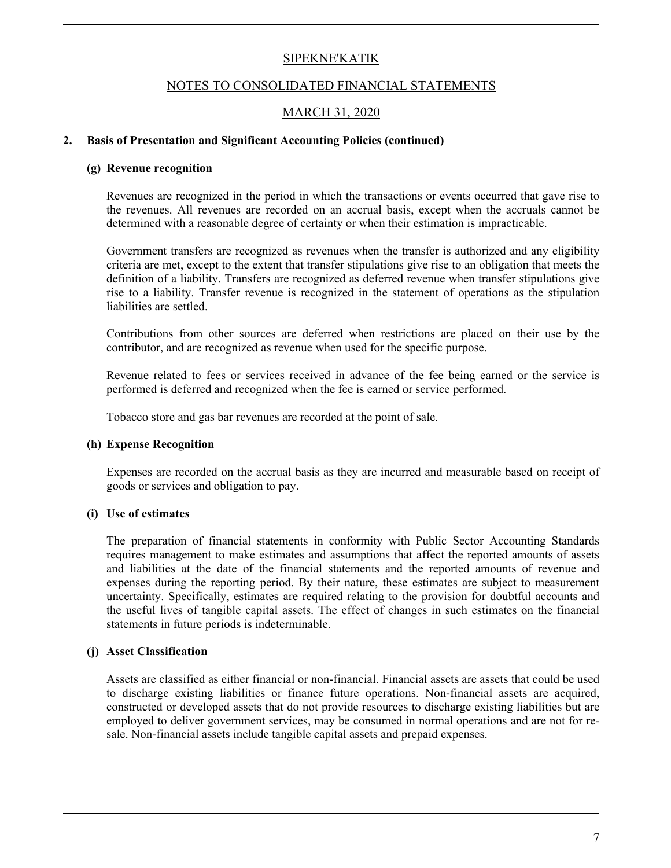#### NOTES TO CONSOLIDATED FINANCIAL STATEMENTS

## MARCH 31, 2020

#### **2. Basis of Presentation and Significant Accounting Policies (continued)**

#### **(g) Revenue recognition**

Revenues are recognized in the period in which the transactions or events occurred that gave rise to the revenues. All revenues are recorded on an accrual basis, except when the accruals cannot be determined with a reasonable degree of certainty or when their estimation is impracticable.

Government transfers are recognized as revenues when the transfer is authorized and any eligibility criteria are met, except to the extent that transfer stipulations give rise to an obligation that meets the definition of a liability. Transfers are recognized as deferred revenue when transfer stipulations give rise to a liability. Transfer revenue is recognized in the statement of operations as the stipulation liabilities are settled.

Contributions from other sources are deferred when restrictions are placed on their use by the contributor, and are recognized as revenue when used for the specific purpose.

Revenue related to fees or services received in advance of the fee being earned or the service is performed is deferred and recognized when the fee is earned or service performed.

Tobacco store and gas bar revenues are recorded at the point of sale.

#### **(h) Expense Recognition**

Expenses are recorded on the accrual basis as they are incurred and measurable based on receipt of goods or services and obligation to pay.

#### **(i) Use of estimates**

The preparation of financial statements in conformity with Public Sector Accounting Standards requires management to make estimates and assumptions that affect the reported amounts of assets and liabilities at the date of the financial statements and the reported amounts of revenue and expenses during the reporting period. By their nature, these estimates are subject to measurement uncertainty. Specifically, estimates are required relating to the provision for doubtful accounts and the useful lives of tangible capital assets. The effect of changes in such estimates on the financial statements in future periods is indeterminable.

#### **(j) Asset Classification**

Assets are classified as either financial or non-financial. Financial assets are assets that could be used to discharge existing liabilities or finance future operations. Non-financial assets are acquired, constructed or developed assets that do not provide resources to discharge existing liabilities but are employed to deliver government services, may be consumed in normal operations and are not for resale. Non-financial assets include tangible capital assets and prepaid expenses.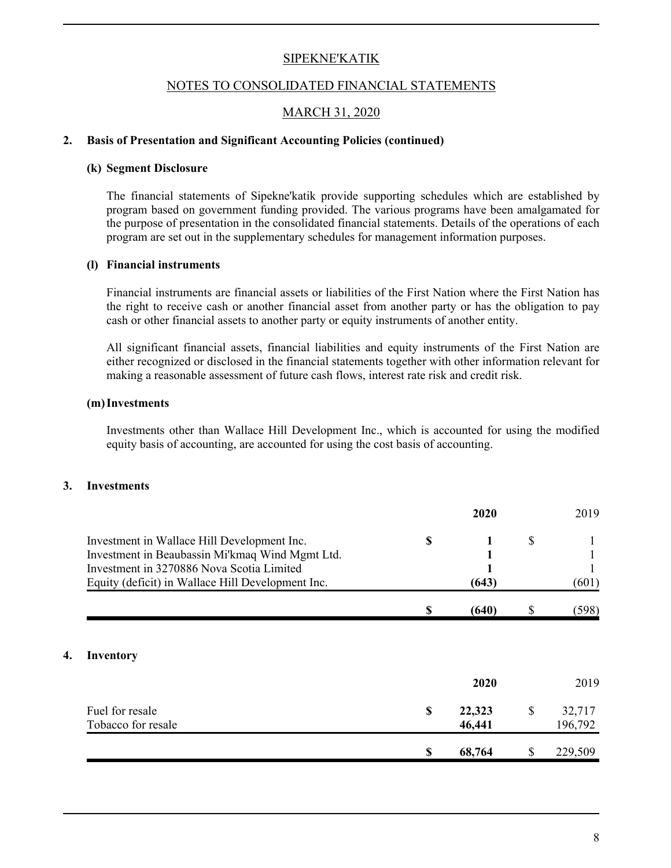#### NOTES TO CONSOLIDATED FINANCIAL STATEMENTS

## MARCH 31, 2020

#### **2. Basis of Presentation and Significant Accounting Policies (continued)**

#### **(k) Segment Disclosure**

The financial statements of Sipekne'katik provide supporting schedules which are established by program based on government funding provided. The various programs have been amalgamated for the purpose of presentation in the consolidated financial statements. Details of the operations of each program are set out in the supplementary schedules for management information purposes.

#### **(l) Financial instruments**

Financial instruments are financial assets or liabilities of the First Nation where the First Nation has the right to receive cash or another financial asset from another party or has the obligation to pay cash or other financial assets to another party or equity instruments of another entity.

All significant financial assets, financial liabilities and equity instruments of the First Nation are either recognized or disclosed in the financial statements together with other information relevant for making a reasonable assessment of future cash flows, interest rate risk and credit risk.

#### **(m)Investments**

Investments other than Wallace Hill Development Inc., which is accounted for using the modified equity basis of accounting, are accounted for using the cost basis of accounting.

#### **3. Investments**

**4. Inventory**

|                                                                                              | 2020         |    | 2019    |
|----------------------------------------------------------------------------------------------|--------------|----|---------|
| Investment in Wallace Hill Development Inc.                                                  | \$<br>1      | \$ |         |
| Investment in Beaubassin Mi'kmaq Wind Mgmt Ltd.<br>Investment in 3270886 Nova Scotia Limited |              |    |         |
| Equity (deficit) in Wallace Hill Development Inc.                                            | (643)        |    | (601)   |
|                                                                                              | \$<br>(640)  | S  | (598)   |
|                                                                                              |              |    |         |
| <b>Inventory</b>                                                                             |              |    |         |
|                                                                                              | 2020         |    | 2019    |
| Fuel for resale                                                                              | \$<br>22,323 | \$ | 32,717  |
| Tobacco for resale                                                                           | 46,441       |    | 196,792 |
|                                                                                              | \$<br>68,764 |    | 229,509 |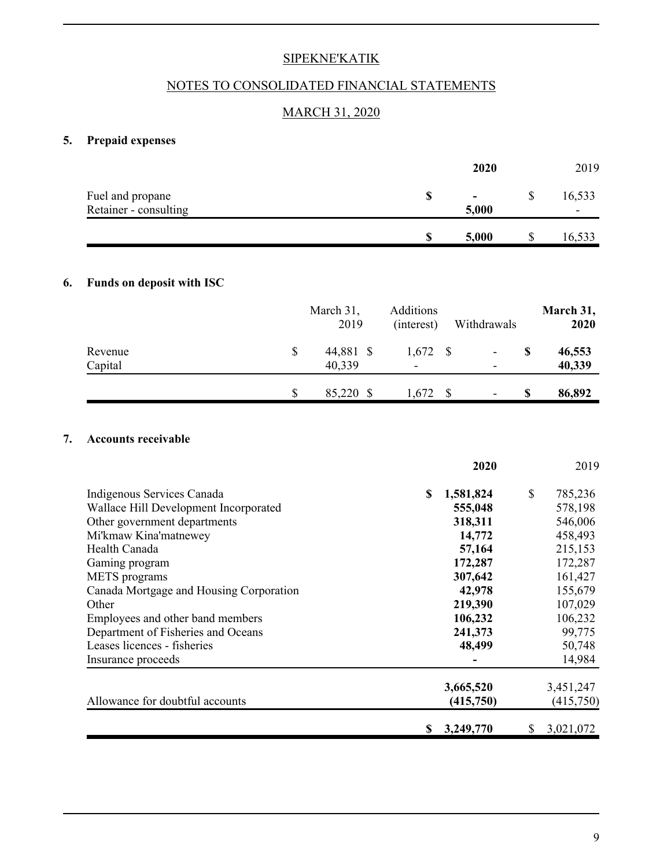## NOTES TO CONSOLIDATED FINANCIAL STATEMENTS

## MARCH 31, 2020

# **5. Prepaid expenses**

|                                           | 2020 |                         |  | 2019        |  |
|-------------------------------------------|------|-------------------------|--|-------------|--|
| Fuel and propane<br>Retainer - consulting | -SS  | $\blacksquare$<br>5,000 |  | 16,533<br>- |  |
|                                           |      | 5,000                   |  | 16,533      |  |

## **6. Funds on deposit with ISC**

|         |    | March 31,<br>2019 | Additions<br>(interest)  | Withdrawals              |   | March 31,<br>2020 |
|---------|----|-------------------|--------------------------|--------------------------|---|-------------------|
| Revenue | \$ | 44,881 \$         | 1,672                    | $\overline{\phantom{a}}$ | S | 46,553            |
| Capital |    | 40,339            | $\overline{\phantom{a}}$ | $\overline{\phantom{0}}$ |   | 40,339            |
|         | S  | 85,220 \$         | 1,672                    | $\overline{\phantom{a}}$ | S | 86,892            |

#### **7. Accounts receivable**

|                                         | 2020            |              | 2019      |
|-----------------------------------------|-----------------|--------------|-----------|
| Indigenous Services Canada              | \$<br>1,581,824 | $\mathbb{S}$ | 785,236   |
| Wallace Hill Development Incorporated   | 555,048         |              | 578,198   |
| Other government departments            | 318,311         |              | 546,006   |
| Mi'kmaw Kina'matnewey                   | 14,772          |              | 458,493   |
| Health Canada                           | 57,164          |              | 215,153   |
| Gaming program                          | 172,287         |              | 172,287   |
| <b>METS</b> programs                    | 307,642         |              | 161,427   |
| Canada Mortgage and Housing Corporation | 42,978          |              | 155,679   |
| Other                                   | 219,390         |              | 107,029   |
| Employees and other band members        | 106,232         |              | 106,232   |
| Department of Fisheries and Oceans      | 241,373         |              | 99,775    |
| Leases licences - fisheries             | 48,499          |              | 50,748    |
| Insurance proceeds                      |                 |              | 14,984    |
|                                         | 3,665,520       |              | 3,451,247 |
| Allowance for doubtful accounts         | (415,750)       |              | (415,750) |
|                                         | 3,249,770<br>S  |              | 3,021,072 |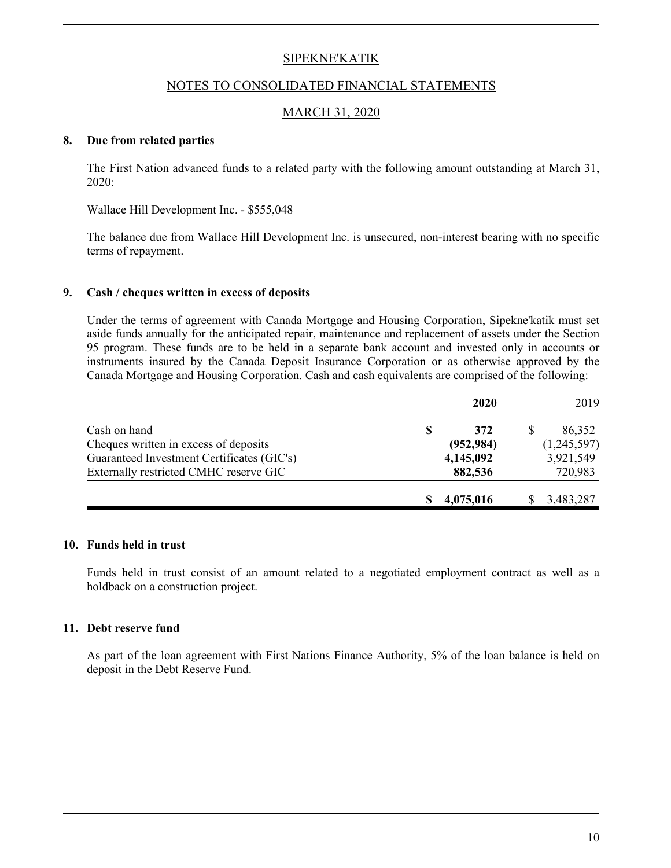#### NOTES TO CONSOLIDATED FINANCIAL STATEMENTS

## MARCH 31, 2020

#### **8. Due from related parties**

The First Nation advanced funds to a related party with the following amount outstanding at March 31, 2020:

Wallace Hill Development Inc. - \$555,048

The balance due from Wallace Hill Development Inc. is unsecured, non-interest bearing with no specific terms of repayment.

#### **9. Cash / cheques written in excess of deposits**

Under the terms of agreement with Canada Mortgage and Housing Corporation, Sipekne'katik must set aside funds annually for the anticipated repair, maintenance and replacement of assets under the Section 95 program. These funds are to be held in a separate bank account and invested only in accounts or instruments insured by the Canada Deposit Insurance Corporation or as otherwise approved by the Canada Mortgage and Housing Corporation. Cash and cash equivalents are comprised of the following:

|                                            | 2020       | 2019        |
|--------------------------------------------|------------|-------------|
| Cash on hand                               | 372        | 86,352      |
| Cheques written in excess of deposits      | (952, 984) | (1,245,597) |
| Guaranteed Investment Certificates (GIC's) | 4,145,092  | 3,921,549   |
| Externally restricted CMHC reserve GIC     | 882,536    | 720,983     |
|                                            | 4,075,016  | 3,483,287   |

#### **10. Funds held in trust**

Funds held in trust consist of an amount related to a negotiated employment contract as well as a holdback on a construction project.

#### **11. Debt reserve fund**

As part of the loan agreement with First Nations Finance Authority, 5% of the loan balance is held on deposit in the Debt Reserve Fund.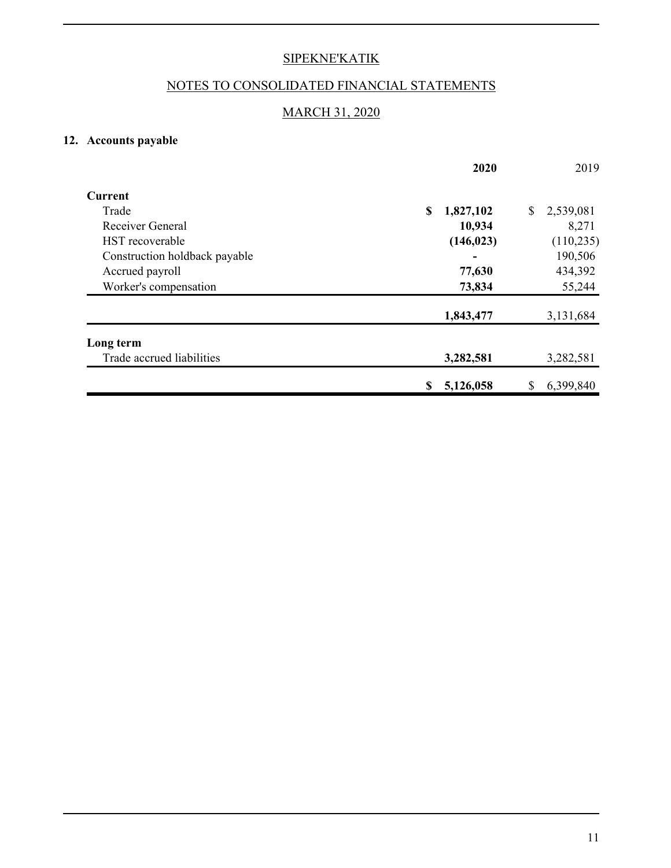# NOTES TO CONSOLIDATED FINANCIAL STATEMENTS

## MARCH 31, 2020

## **12. Accounts payable**

|                               | 2020            | 2019            |
|-------------------------------|-----------------|-----------------|
| <b>Current</b>                |                 |                 |
| Trade                         | \$<br>1,827,102 | 2,539,081<br>\$ |
| Receiver General              | 10,934          | 8,271           |
| HST recoverable               | (146, 023)      | (110, 235)      |
| Construction holdback payable |                 | 190,506         |
| Accrued payroll               | 77,630          | 434,392         |
| Worker's compensation         | 73,834          | 55,244          |
|                               | 1,843,477       | 3,131,684       |
| Long term                     |                 |                 |
| Trade accrued liabilities     | 3,282,581       | 3,282,581       |
|                               | 5,126,058<br>\$ | 6,399,840<br>\$ |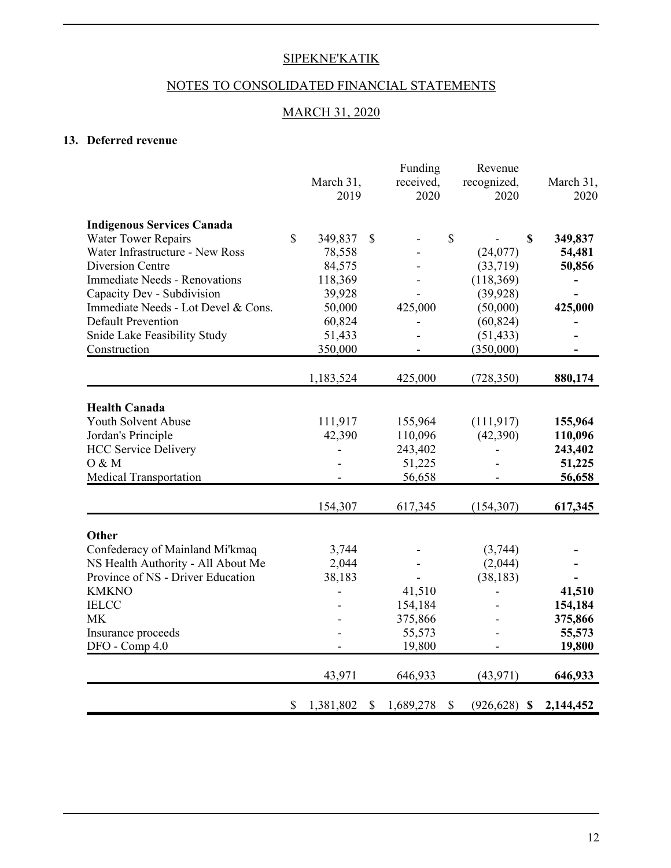# NOTES TO CONSOLIDATED FINANCIAL STATEMENTS

## MARCH 31, 2020

## **13. Deferred revenue**

|                                      |                 |                           | Funding   |                           | Revenue         |              |           |
|--------------------------------------|-----------------|---------------------------|-----------|---------------------------|-----------------|--------------|-----------|
|                                      | March 31,       |                           | received, |                           | recognized,     |              | March 31, |
|                                      | 2019            |                           | 2020      |                           | 2020            |              | 2020      |
| <b>Indigenous Services Canada</b>    |                 |                           |           |                           |                 |              |           |
| <b>Water Tower Repairs</b>           | \$<br>349,837   | $\mathcal{S}$             |           | \$                        |                 | $\mathbb{S}$ | 349,837   |
| Water Infrastructure - New Ross      | 78,558          |                           |           |                           | (24,077)        |              | 54,481    |
| Diversion Centre                     | 84,575          |                           |           |                           | (33,719)        |              | 50,856    |
| <b>Immediate Needs - Renovations</b> | 118,369         |                           |           |                           | (118,369)       |              |           |
| Capacity Dev - Subdivision           | 39,928          |                           |           |                           | (39, 928)       |              |           |
| Immediate Needs - Lot Devel & Cons.  | 50,000          |                           | 425,000   |                           | (50,000)        |              | 425,000   |
| <b>Default Prevention</b>            | 60,824          |                           |           |                           | (60, 824)       |              |           |
| Snide Lake Feasibility Study         | 51,433          |                           |           |                           | (51, 433)       |              |           |
| Construction                         | 350,000         |                           |           |                           | (350,000)       |              |           |
|                                      | 1,183,524       |                           | 425,000   |                           | (728, 350)      |              | 880,174   |
|                                      |                 |                           |           |                           |                 |              |           |
| <b>Health Canada</b>                 |                 |                           |           |                           |                 |              |           |
| Youth Solvent Abuse                  | 111,917         |                           | 155,964   |                           | (111, 917)      |              | 155,964   |
| Jordan's Principle                   | 42,390          |                           | 110,096   |                           | (42,390)        |              | 110,096   |
| <b>HCC Service Delivery</b>          | L,              |                           | 243,402   |                           |                 |              | 243,402   |
| O & M                                |                 |                           | 51,225    |                           |                 |              | 51,225    |
| <b>Medical Transportation</b>        |                 |                           | 56,658    |                           |                 |              | 56,658    |
|                                      | 154,307         |                           | 617,345   |                           | (154, 307)      |              | 617,345   |
|                                      |                 |                           |           |                           |                 |              |           |
| Other                                |                 |                           |           |                           |                 |              |           |
| Confederacy of Mainland Mi'kmaq      | 3,744           |                           |           |                           | (3,744)         |              |           |
| NS Health Authority - All About Me   | 2,044           |                           |           |                           | (2,044)         |              |           |
| Province of NS - Driver Education    | 38,183          |                           |           |                           | (38, 183)       |              |           |
| <b>KMKNO</b>                         | ÷               |                           | 41,510    |                           |                 |              | 41,510    |
| <b>IELCC</b>                         |                 |                           | 154,184   |                           |                 |              | 154,184   |
| <b>MK</b>                            |                 |                           | 375,866   |                           |                 |              | 375,866   |
| Insurance proceeds                   |                 |                           | 55,573    |                           |                 |              | 55,573    |
| DFO - Comp 4.0                       |                 |                           | 19,800    |                           |                 |              | 19,800    |
|                                      | 43,971          |                           | 646,933   |                           | (43, 971)       |              | 646,933   |
|                                      | \$<br>1,381,802 | $\boldsymbol{\mathsf{S}}$ | 1,689,278 | $\boldsymbol{\mathsf{S}}$ | $(926, 628)$ \$ |              | 2,144,452 |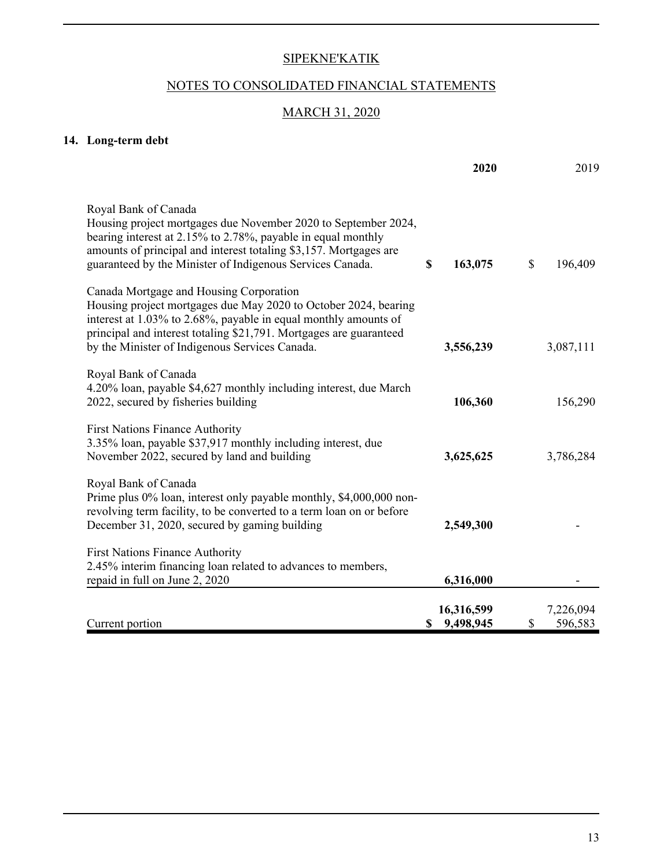# NOTES TO CONSOLIDATED FINANCIAL STATEMENTS

## MARCH 31, 2020

# **14. Long-term debt**

|                                                                                                                                                                                                                                                                                                       | 2020                          | 2019                       |
|-------------------------------------------------------------------------------------------------------------------------------------------------------------------------------------------------------------------------------------------------------------------------------------------------------|-------------------------------|----------------------------|
| Royal Bank of Canada<br>Housing project mortgages due November 2020 to September 2024,<br>bearing interest at 2.15% to 2.78%, payable in equal monthly<br>amounts of principal and interest totaling \$3,157. Mortgages are<br>guaranteed by the Minister of Indigenous Services Canada.              | \$<br>163,075                 | \$<br>196,409              |
| Canada Mortgage and Housing Corporation<br>Housing project mortgages due May 2020 to October 2024, bearing<br>interest at 1.03% to 2.68%, payable in equal monthly amounts of<br>principal and interest totaling \$21,791. Mortgages are guaranteed<br>by the Minister of Indigenous Services Canada. | 3,556,239                     | 3,087,111                  |
| Royal Bank of Canada<br>4.20% loan, payable \$4,627 monthly including interest, due March<br>2022, secured by fisheries building                                                                                                                                                                      | 106,360                       | 156,290                    |
| <b>First Nations Finance Authority</b><br>3.35% loan, payable \$37,917 monthly including interest, due<br>November 2022, secured by land and building                                                                                                                                                 | 3,625,625                     | 3,786,284                  |
| Royal Bank of Canada<br>Prime plus 0% loan, interest only payable monthly, \$4,000,000 non-<br>revolving term facility, to be converted to a term loan on or before<br>December 31, 2020, secured by gaming building                                                                                  | 2,549,300                     |                            |
| <b>First Nations Finance Authority</b><br>2.45% interim financing loan related to advances to members,<br>repaid in full on June 2, 2020                                                                                                                                                              | 6,316,000                     |                            |
| Current portion                                                                                                                                                                                                                                                                                       | 16,316,599<br>9,498,945<br>\$ | 7,226,094<br>\$<br>596,583 |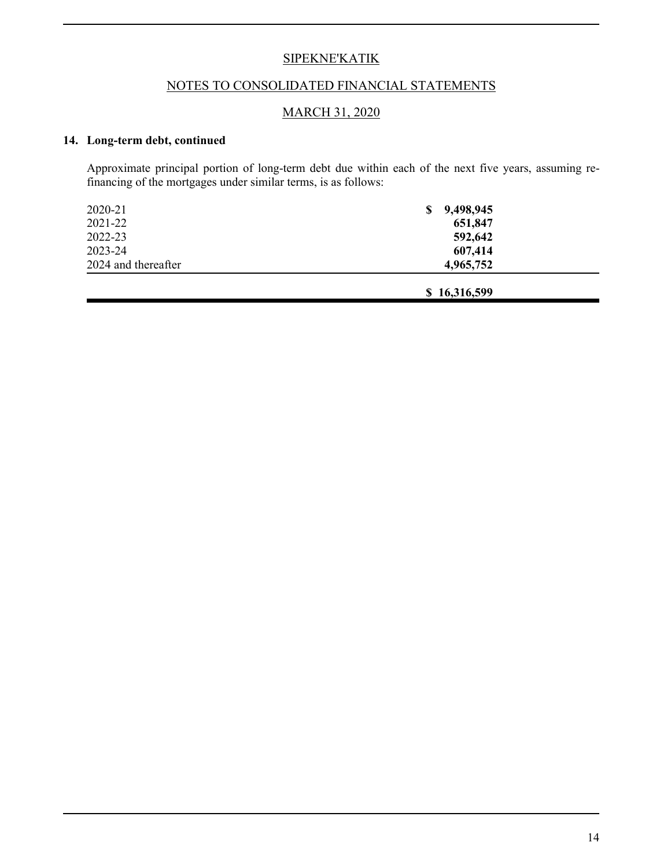## NOTES TO CONSOLIDATED FINANCIAL STATEMENTS

## MARCH 31, 2020

## **14. Long-term debt, continued**

Approximate principal portion of long-term debt due within each of the next five years, assuming refinancing of the mortgages under similar terms, is as follows:

| 2020-21             | 9,498,945<br>\$ |  |
|---------------------|-----------------|--|
| 2021-22             | 651,847         |  |
| 2022-23             | 592,642         |  |
| 2023-24             | 607,414         |  |
| 2024 and thereafter | 4,965,752       |  |
|                     |                 |  |
|                     | \$16,316,599    |  |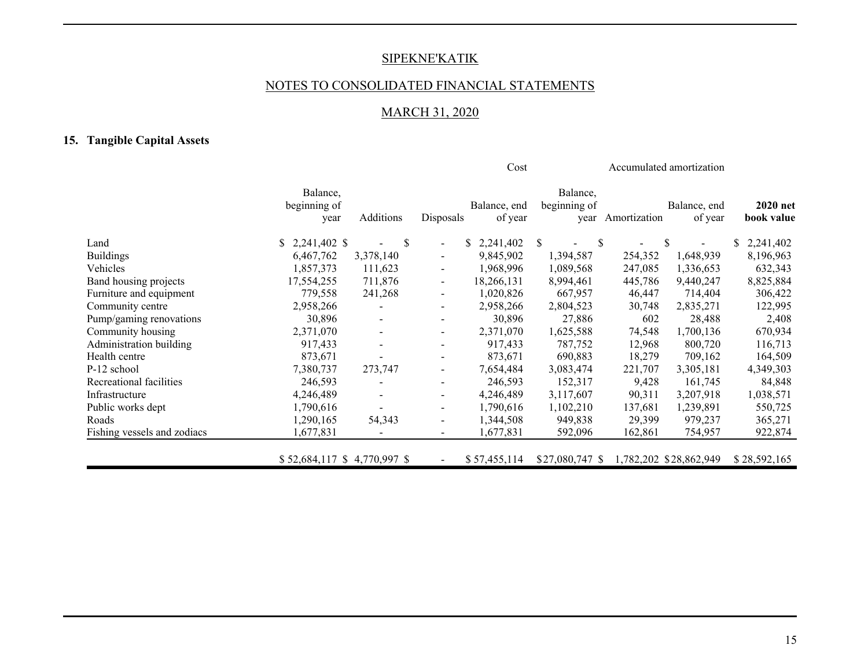## NOTES TO CONSOLIDATED FINANCIAL STATEMENTS

# MARCH 31, 2020

# **15. Tangible Capital Assets**

|                             |                                  |                          | Cost                     |                         |                                  | Accumulated amortization |                         |                        |  |
|-----------------------------|----------------------------------|--------------------------|--------------------------|-------------------------|----------------------------------|--------------------------|-------------------------|------------------------|--|
|                             | Balance,<br>beginning of<br>year | Additions                | Disposals                | Balance, end<br>of year | Balance,<br>beginning of<br>year | Amortization             | Balance, end<br>of year | 2020 net<br>book value |  |
| Land                        | $$2,241,402$ \$                  | <sup>\$</sup>            | $\overline{\phantom{a}}$ | S.<br>2,241,402         | \$<br>-S                         |                          | \$                      | 2,241,402<br>S.        |  |
| <b>Buildings</b>            | 6,467,762                        | 3,378,140                | $\blacksquare$           | 9,845,902               | 1,394,587                        | 254,352                  | 1,648,939               | 8,196,963              |  |
| Vehicles                    | 1,857,373                        | 111,623                  |                          | 1,968,996               | 1,089,568                        | 247,085                  | 1,336,653               | 632,343                |  |
| Band housing projects       | 17,554,255                       | 711,876                  |                          | 18,266,131              | 8,994,461                        | 445,786                  | 9,440,247               | 8,825,884              |  |
| Furniture and equipment     | 779,558                          | 241,268                  |                          | 1,020,826               | 667,957                          | 46,447                   | 714,404                 | 306,422                |  |
| Community centre            | 2,958,266                        |                          |                          | 2,958,266               | 2,804,523                        | 30,748                   | 2,835,271               | 122,995                |  |
| Pump/gaming renovations     | 30,896                           | $\blacksquare$           |                          | 30,896                  | 27,886                           | 602                      | 28,488                  | 2,408                  |  |
| Community housing           | 2,371,070                        | $\blacksquare$           | $\overline{\phantom{a}}$ | 2,371,070               | 1,625,588                        | 74,548                   | 1,700,136               | 670,934                |  |
| Administration building     | 917,433                          | $\sim$                   |                          | 917,433                 | 787,752                          | 12,968                   | 800,720                 | 116,713                |  |
| Health centre               | 873,671                          |                          |                          | 873,671                 | 690,883                          | 18,279                   | 709,162                 | 164,509                |  |
| P-12 school                 | 7,380,737                        | 273,747                  | $\overline{\phantom{a}}$ | 7,654,484               | 3,083,474                        | 221,707                  | 3,305,181               | 4,349,303              |  |
| Recreational facilities     | 246,593                          |                          | $\overline{\phantom{a}}$ | 246,593                 | 152,317                          | 9,428                    | 161,745                 | 84,848                 |  |
| Infrastructure              | 4,246,489                        | $\blacksquare$           | $\overline{\phantom{a}}$ | 4,246,489               | 3,117,607                        | 90,311                   | 3,207,918               | 1,038,571              |  |
| Public works dept           | 1,790,616                        | $\overline{\phantom{a}}$ | $\blacksquare$           | 1,790,616               | 1,102,210                        | 137,681                  | 1,239,891               | 550,725                |  |
| Roads                       | 1,290,165                        | 54,343                   | $\blacksquare$           | 1,344,508               | 949,838                          | 29,399                   | 979,237                 | 365,271                |  |
| Fishing vessels and zodiacs | 1,677,831                        | $\overline{\phantom{a}}$ | $\overline{\phantom{a}}$ | 1,677,831               | 592,096                          | 162,861                  | 754,957                 | 922,874                |  |
|                             | \$52,684,117 \$4,770,997 \$      |                          |                          | \$57,455,114            | \$27,080,747 \$                  |                          | 1,782,202 \$28,862,949  | \$28,592,165           |  |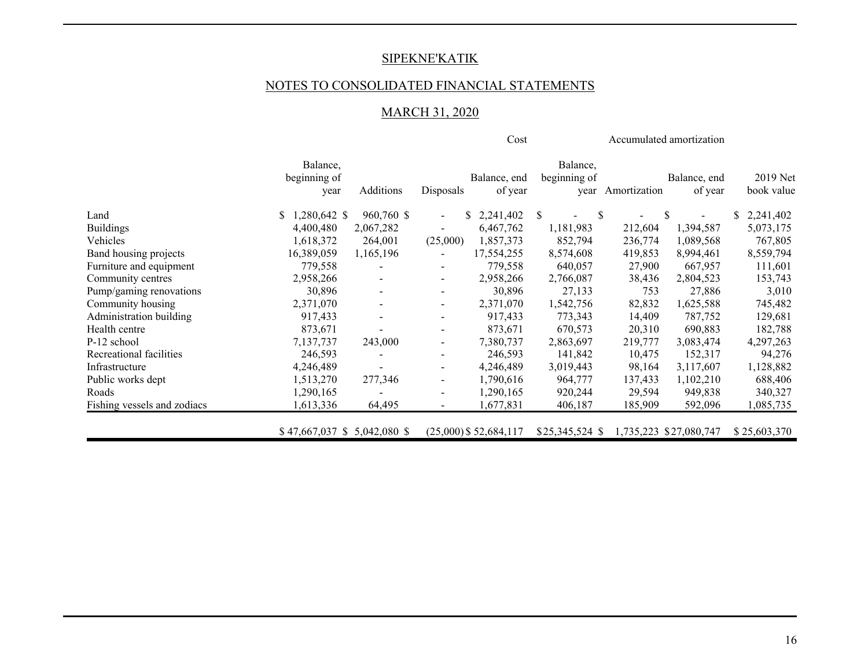## NOTES TO CONSOLIDATED FINANCIAL STATEMENTS

# MARCH 31, 2020

|                             |                                  |            | Cost                         |                          |                                  |              | Accumulated amortization |                        |
|-----------------------------|----------------------------------|------------|------------------------------|--------------------------|----------------------------------|--------------|--------------------------|------------------------|
|                             | Balance,<br>beginning of<br>year | Additions  | Disposals                    | Balance, end<br>of year  | Balance,<br>beginning of<br>year | Amortization | Balance, end<br>of year  | 2019 Net<br>book value |
| Land                        | 1,280,642 \$<br>S.               | 960,760 \$ | S.<br>$\blacksquare$         | 2,241,402                | <sup>\$</sup><br><sup>\$</sup>   |              | \$                       | \$2,241,402            |
| <b>Buildings</b>            | 4,400,480                        | 2,067,282  | $\overline{\phantom{0}}$     | 6,467,762                | 1,181,983                        | 212,604      | 1,394,587                | 5,073,175              |
| Vehicles                    | 1,618,372                        | 264,001    | (25,000)                     | 1,857,373                | 852,794                          | 236,774      | 1,089,568                | 767,805                |
| Band housing projects       | 16,389,059                       | 1,165,196  |                              | 17,554,255               | 8,574,608                        | 419,853      | 8,994,461                | 8,559,794              |
| Furniture and equipment     | 779,558                          |            | $\overline{\phantom{0}}$     | 779,558                  | 640,057                          | 27,900       | 667,957                  | 111,601                |
| Community centres           | 2,958,266                        |            | $\qquad \qquad \blacksquare$ | 2,958,266                | 2,766,087                        | 38,436       | 2,804,523                | 153,743                |
| Pump/gaming renovations     | 30,896                           |            | $\overline{\phantom{0}}$     | 30,896                   | 27,133                           | 753          | 27,886                   | 3,010                  |
| Community housing           | 2,371,070                        |            | $\qquad \qquad \blacksquare$ | 2,371,070                | 1,542,756                        | 82,832       | 1,625,588                | 745,482                |
| Administration building     | 917,433                          |            | $\overline{\phantom{a}}$     | 917,433                  | 773,343                          | 14,409       | 787,752                  | 129,681                |
| Health centre               | 873,671                          |            | -                            | 873,671                  | 670,573                          | 20,310       | 690,883                  | 182,788                |
| P-12 school                 | 7,137,737                        | 243,000    | $\overline{\phantom{0}}$     | 7,380,737                | 2,863,697                        | 219,777      | 3,083,474                | 4,297,263              |
| Recreational facilities     | 246,593                          |            | $\overline{\phantom{0}}$     | 246,593                  | 141,842                          | 10,475       | 152,317                  | 94,276                 |
| Infrastructure              | 4,246,489                        |            | -                            | 4,246,489                | 3,019,443                        | 98,164       | 3,117,607                | 1,128,882              |
| Public works dept           | 1,513,270                        | 277,346    | -                            | 1,790,616                | 964,777                          | 137,433      | 1,102,210                | 688,406                |
| Roads                       | 1,290,165                        |            | $\overline{a}$               | 1,290,165                | 920,244                          | 29,594       | 949,838                  | 340,327                |
| Fishing vessels and zodiacs | 1,613,336                        | 64,495     | -                            | 1,677,831                | 406,187                          | 185,909      | 592,096                  | 1,085,735              |
|                             | $$47,667,037$ \$ 5,042,080 \$    |            |                              | $(25,000)$ \$ 52,684,117 | \$25,345,524 \$                  |              | 1,735,223 \$27,080,747   | \$25,603,370           |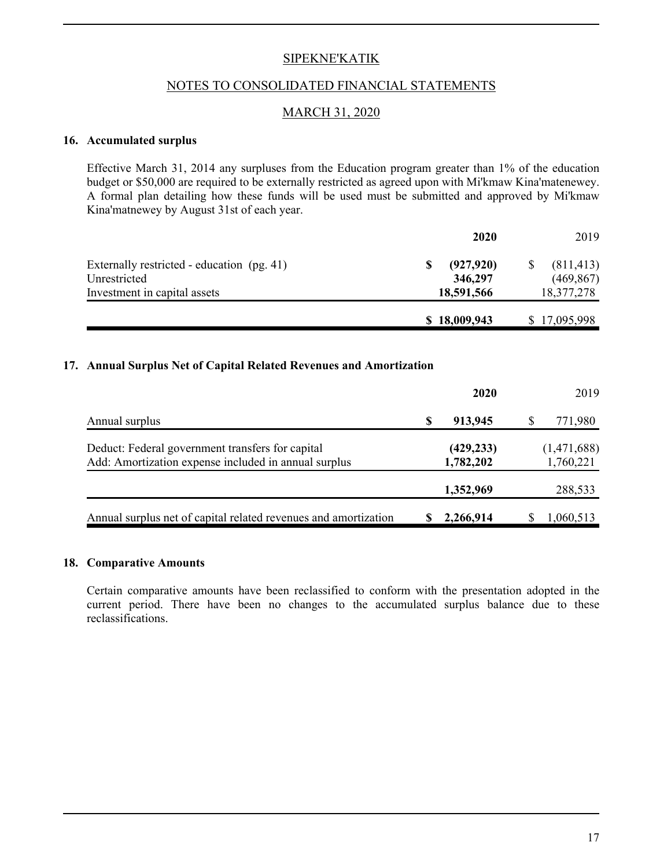#### NOTES TO CONSOLIDATED FINANCIAL STATEMENTS

#### MARCH 31, 2020

#### **16. Accumulated surplus**

Effective March 31, 2014 any surpluses from the Education program greater than 1% of the education budget or \$50,000 are required to be externally restricted as agreed upon with Mi'kmaw Kina'matenewey. A formal plan detailing how these funds will be used must be submitted and approved by Mi'kmaw Kina'matnewey by August 31st of each year.

|                                            | 2020            | 2019         |
|--------------------------------------------|-----------------|--------------|
| Externally restricted - education (pg. 41) | (927, 920)<br>S | (811, 413)   |
| Unrestricted                               | 346,297         | (469, 867)   |
| Investment in capital assets               | 18,591,566      | 18,377,278   |
|                                            | \$18,009,943    | \$17,095,998 |

#### **17. Annual Surplus Net of Capital Related Revenues and Amortization**

|                                                                                                          |   | 2020                    | 2019                     |
|----------------------------------------------------------------------------------------------------------|---|-------------------------|--------------------------|
| Annual surplus                                                                                           | S | 913,945                 | 771,980                  |
| Deduct: Federal government transfers for capital<br>Add: Amortization expense included in annual surplus |   | (429, 233)<br>1,782,202 | (1,471,688)<br>1,760,221 |
|                                                                                                          |   | 1,352,969               | 288,533                  |
| Annual surplus net of capital related revenues and amortization                                          |   | 2,266,914               | 1,060,513                |

#### **18. Comparative Amounts**

Certain comparative amounts have been reclassified to conform with the presentation adopted in the current period. There have been no changes to the accumulated surplus balance due to these reclassifications.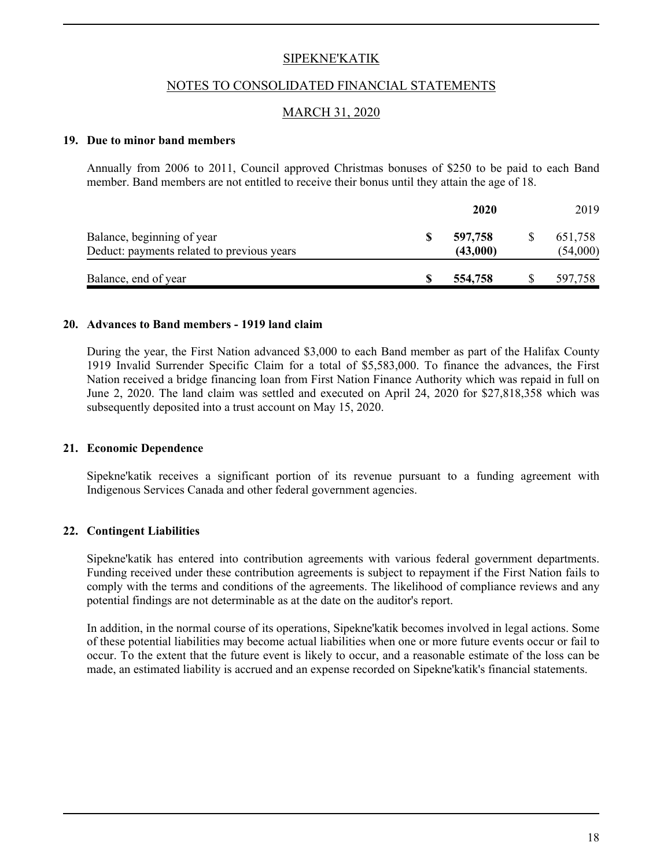#### NOTES TO CONSOLIDATED FINANCIAL STATEMENTS

#### MARCH 31, 2020

#### **19. Due to minor band members**

Annually from 2006 to 2011, Council approved Christmas bonuses of \$250 to be paid to each Band member. Band members are not entitled to receive their bonus until they attain the age of 18.

|                                                                          |   | 2020                | 2019                |  |
|--------------------------------------------------------------------------|---|---------------------|---------------------|--|
| Balance, beginning of year<br>Deduct: payments related to previous years | S | 597,758<br>(43,000) | 651,758<br>(54,000) |  |
| Balance, end of year                                                     |   | 554,758             | 597,758             |  |

#### **20. Advances to Band members - 1919 land claim**

During the year, the First Nation advanced \$3,000 to each Band member as part of the Halifax County 1919 Invalid Surrender Specific Claim for a total of \$5,583,000. To finance the advances, the First Nation received a bridge financing loan from First Nation Finance Authority which was repaid in full on June 2, 2020. The land claim was settled and executed on April 24, 2020 for \$27,818,358 which was subsequently deposited into a trust account on May 15, 2020.

#### **21. Economic Dependence**

Sipekne'katik receives a significant portion of its revenue pursuant to a funding agreement with Indigenous Services Canada and other federal government agencies.

#### **22. Contingent Liabilities**

Sipekne'katik has entered into contribution agreements with various federal government departments. Funding received under these contribution agreements is subject to repayment if the First Nation fails to comply with the terms and conditions of the agreements. The likelihood of compliance reviews and any potential findings are not determinable as at the date on the auditor's report.

In addition, in the normal course of its operations, Sipekne'katik becomes involved in legal actions. Some of these potential liabilities may become actual liabilities when one or more future events occur or fail to occur. To the extent that the future event is likely to occur, and a reasonable estimate of the loss can be made, an estimated liability is accrued and an expense recorded on Sipekne'katik's financial statements.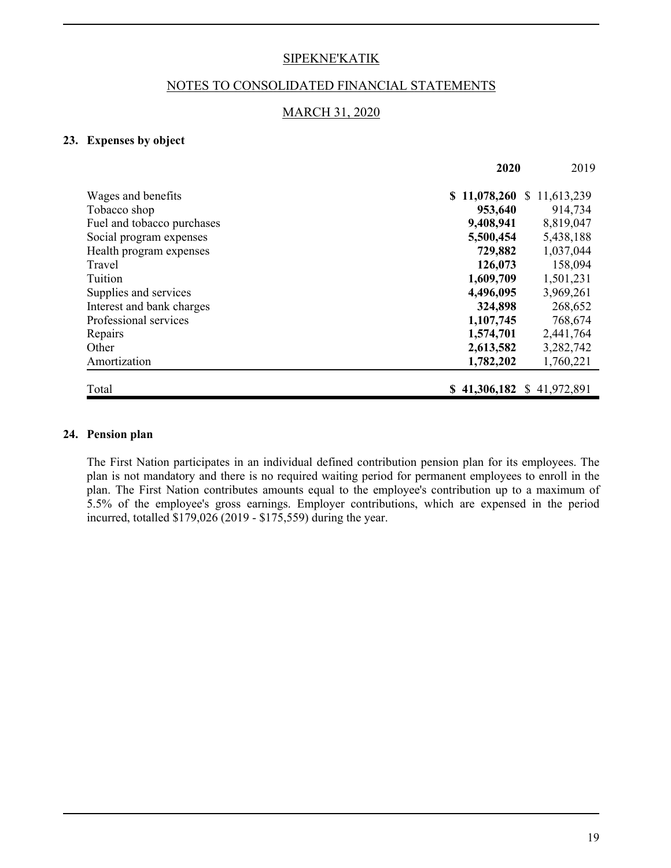#### NOTES TO CONSOLIDATED FINANCIAL STATEMENTS

#### MARCH 31, 2020

#### **23. Expenses by object**

|                            | 2020                       |                            |  |
|----------------------------|----------------------------|----------------------------|--|
| Wages and benefits         | \$11,078,260               | 11,613,239<br><sup>S</sup> |  |
| Tobacco shop               | 953,640                    | 914,734                    |  |
| Fuel and tobacco purchases | 9,408,941                  | 8,819,047                  |  |
| Social program expenses    | 5,500,454                  | 5,438,188                  |  |
| Health program expenses    | 729,882                    | 1,037,044                  |  |
| Travel                     | 126,073                    | 158,094                    |  |
| Tuition                    | 1,609,709                  | 1,501,231                  |  |
| Supplies and services      | 4,496,095                  | 3,969,261                  |  |
| Interest and bank charges  | 324,898                    | 268,652                    |  |
| Professional services      | 1,107,745                  | 768,674                    |  |
| Repairs                    | 1,574,701                  | 2,441,764                  |  |
| Other                      | 2,613,582                  | 3,282,742                  |  |
| Amortization               | 1,782,202                  | 1,760,221                  |  |
| Total                      | $$41,306,182 \$41,972,891$ |                            |  |

#### **24. Pension plan**

The First Nation participates in an individual defined contribution pension plan for its employees. The plan is not mandatory and there is no required waiting period for permanent employees to enroll in the plan. The First Nation contributes amounts equal to the employee's contribution up to a maximum of 5.5% of the employee's gross earnings. Employer contributions, which are expensed in the period incurred, totalled \$179,026 (2019 - \$175,559) during the year.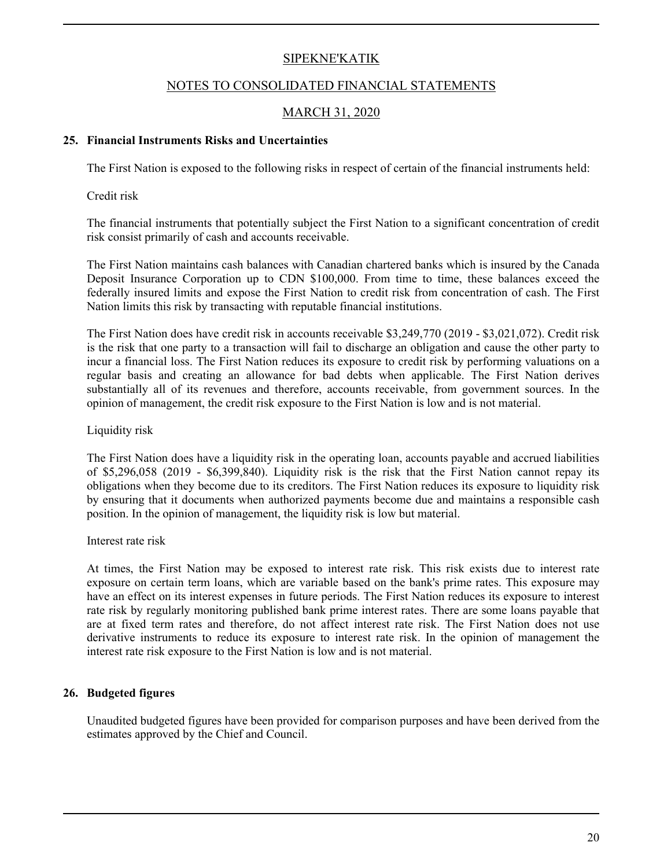#### NOTES TO CONSOLIDATED FINANCIAL STATEMENTS

## MARCH 31, 2020

#### **25. Financial Instruments Risks and Uncertainties**

The First Nation is exposed to the following risks in respect of certain of the financial instruments held:

Credit risk

The financial instruments that potentially subject the First Nation to a significant concentration of credit risk consist primarily of cash and accounts receivable.

The First Nation maintains cash balances with Canadian chartered banks which is insured by the Canada Deposit Insurance Corporation up to CDN \$100,000. From time to time, these balances exceed the federally insured limits and expose the First Nation to credit risk from concentration of cash. The First Nation limits this risk by transacting with reputable financial institutions.

The First Nation does have credit risk in accounts receivable \$3,249,770 (2019 - \$3,021,072). Credit risk is the risk that one party to a transaction will fail to discharge an obligation and cause the other party to incur a financial loss. The First Nation reduces its exposure to credit risk by performing valuations on a regular basis and creating an allowance for bad debts when applicable. The First Nation derives substantially all of its revenues and therefore, accounts receivable, from government sources. In the opinion of management, the credit risk exposure to the First Nation is low and is not material.

#### Liquidity risk

The First Nation does have a liquidity risk in the operating loan, accounts payable and accrued liabilities of \$5,296,058 (2019 - \$6,399,840). Liquidity risk is the risk that the First Nation cannot repay its obligations when they become due to its creditors. The First Nation reduces its exposure to liquidity risk by ensuring that it documents when authorized payments become due and maintains a responsible cash position. In the opinion of management, the liquidity risk is low but material.

#### Interest rate risk

At times, the First Nation may be exposed to interest rate risk. This risk exists due to interest rate exposure on certain term loans, which are variable based on the bank's prime rates. This exposure may have an effect on its interest expenses in future periods. The First Nation reduces its exposure to interest rate risk by regularly monitoring published bank prime interest rates. There are some loans payable that are at fixed term rates and therefore, do not affect interest rate risk. The First Nation does not use derivative instruments to reduce its exposure to interest rate risk. In the opinion of management the interest rate risk exposure to the First Nation is low and is not material.

#### **26. Budgeted figures**

Unaudited budgeted figures have been provided for comparison purposes and have been derived from the estimates approved by the Chief and Council.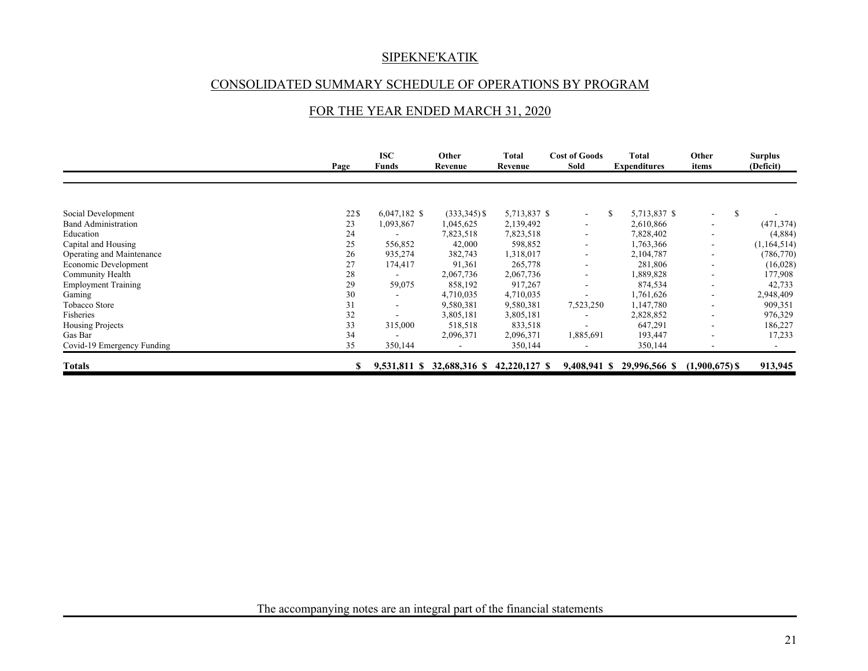## CONSOLIDATED SUMMARY SCHEDULE OF OPERATIONS BY PROGRAM

## FOR THE YEAR ENDED MARCH 31, 2020

|                            | Page | <b>ISC</b><br>Funds      | Other<br>Revenue | Total<br>Revenue | <b>Cost of Goods</b><br>Sold | Total<br><b>Expenditures</b> | Other<br>items                 | <b>Surplus</b><br>(Deficit) |
|----------------------------|------|--------------------------|------------------|------------------|------------------------------|------------------------------|--------------------------------|-----------------------------|
|                            |      |                          |                  |                  |                              |                              |                                |                             |
| Social Development         | 22\$ | $6,047,182$ \$           | $(333,345)$ \$   | 5,713,837 \$     | $\sim$                       | 5,713,837 \$<br>S            | -S<br>$\overline{\phantom{0}}$ |                             |
| <b>Band Administration</b> | 23   | 1,093,867                | 1,045,625        | 2,139,492        | $\overline{\phantom{a}}$     | 2,610,866                    | ۰                              | (471, 374)                  |
| Education                  | 24   |                          | 7,823,518        | 7,823,518        | $\overline{\phantom{a}}$     | 7,828,402                    | ۰                              | (4,884)                     |
| Capital and Housing        | 25   | 556,852                  | 42,000           | 598,852          | $\blacksquare$               | 1,763,366                    | ۰                              | (1,164,514)                 |
| Operating and Maintenance  | 26   | 935,274                  | 382,743          | 1,318,017        |                              | 2,104,787                    |                                | (786, 770)                  |
| Economic Development       | 27   | 174,417                  | 91,361           | 265,778          | $\overline{\phantom{a}}$     | 281,806                      | ٠                              | (16,028)                    |
| Community Health           | 28   |                          | 2,067,736        | 2,067,736        | $\overline{\phantom{a}}$     | 1,889,828                    | ۰                              | 177,908                     |
| <b>Employment Training</b> | 29   | 59,075                   | 858,192          | 917,267          |                              | 874,534                      | ۰                              | 42,733                      |
| Gaming                     | 30   |                          | 4,710,035        | 4,710,035        |                              | 1,761,626                    | ۰                              | 2,948,409                   |
| Tobacco Store              | 31   | $\overline{\phantom{a}}$ | 9,580,381        | 9,580,381        | 7,523,250                    | 1,147,780                    | ۰                              | 909,351                     |
| Fisheries                  | 32   |                          | 3,805,181        | 3,805,181        |                              | 2,828,852                    | ۰                              | 976,329                     |
| Housing Projects           | 33   | 315,000                  | 518,518          | 833,518          |                              | 647,291                      | $\overline{\phantom{a}}$       | 186,227                     |
| Gas Bar                    | 34   |                          | 2,096,371        | 2,096,371        | 1,885,691                    | 193,447                      | ۰                              | 17,233                      |
| Covid-19 Emergency Funding | 35   | 350,144                  |                  | 350,144          |                              | 350,144                      | $\overline{\phantom{a}}$       |                             |
| <b>Totals</b>              |      | 9,531,811 \$             | 32,688,316 \$    | 42,220,127 \$    | 9,408,941 \$                 | 29,996,566 \$                | $(1,900,675)$ \$               | 913,945                     |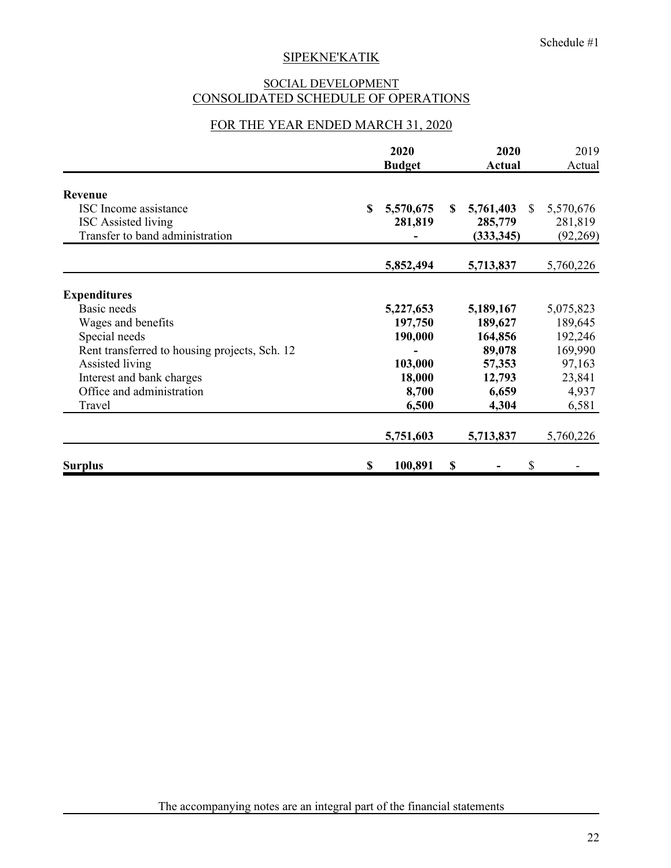## SOCIAL DEVELOPMENT CONSOLIDATED SCHEDULE OF OPERATIONS

## FOR THE YEAR ENDED MARCH 31, 2020

|                                               | 2020<br><b>Budget</b> | 2020<br><b>Actual</b> |              | 2019<br>Actual |
|-----------------------------------------------|-----------------------|-----------------------|--------------|----------------|
| Revenue                                       |                       |                       |              |                |
| ISC Income assistance                         | \$<br>5,570,675       | \$<br>5,761,403       | <sup>S</sup> | 5,570,676      |
| <b>ISC</b> Assisted living                    | 281,819               | 285,779               |              | 281,819        |
| Transfer to band administration               |                       | (333, 345)            |              | (92,269)       |
|                                               | 5,852,494             | 5,713,837             |              | 5,760,226      |
| <b>Expenditures</b>                           |                       |                       |              |                |
| Basic needs                                   | 5,227,653             | 5,189,167             |              | 5,075,823      |
| Wages and benefits                            | 197,750               | 189,627               |              | 189,645        |
| Special needs                                 | 190,000               | 164,856               |              | 192,246        |
| Rent transferred to housing projects, Sch. 12 |                       | 89,078                |              | 169,990        |
| Assisted living                               | 103,000               | 57,353                |              | 97,163         |
| Interest and bank charges                     | 18,000                | 12,793                |              | 23,841         |
| Office and administration                     | 8,700                 | 6,659                 |              | 4,937          |
| Travel                                        | 6,500                 | 4,304                 |              | 6,581          |
|                                               | 5,751,603             | 5,713,837             |              | 5,760,226      |
| <b>Surplus</b>                                | 100,891<br>\$         | \$                    | \$           |                |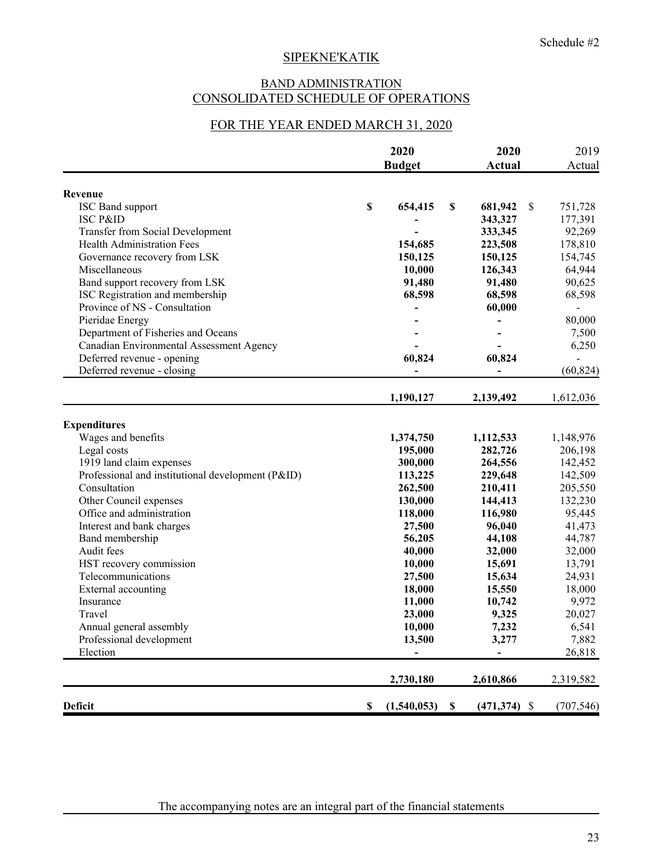## BAND ADMINISTRATION CONSOLIDATED SCHEDULE OF OPERATIONS

## FOR THE YEAR ENDED MARCH 31, 2020

|                                                   | 2020                     |    | 2020            |   | 2019           |  |
|---------------------------------------------------|--------------------------|----|-----------------|---|----------------|--|
|                                                   | <b>Budget</b>            |    | Actual          |   | Actual         |  |
| Revenue                                           |                          |    |                 |   |                |  |
| ISC Band support                                  | \$<br>654,415            | \$ | 681,942         | S | 751,728        |  |
| <b>ISC P&amp;ID</b>                               |                          |    | 343,327         |   | 177,391        |  |
| <b>Transfer from Social Development</b>           |                          |    | 333,345         |   | 92,269         |  |
| Health Administration Fees                        | 154,685                  |    | 223,508         |   | 178,810        |  |
| Governance recovery from LSK                      | 150,125                  |    | 150,125         |   | 154,745        |  |
| Miscellaneous                                     | 10,000                   |    | 126,343         |   | 64,944         |  |
| Band support recovery from LSK                    | 91,480                   |    | 91,480          |   | 90,625         |  |
| ISC Registration and membership                   | 68,598                   |    | 68,598          |   | 68,598         |  |
| Province of NS - Consultation                     | $\overline{\phantom{0}}$ |    | 60,000          |   | $\blacksquare$ |  |
| Pieridae Energy                                   |                          |    |                 |   | 80,000         |  |
| Department of Fisheries and Oceans                |                          |    |                 |   | 7,500          |  |
| Canadian Environmental Assessment Agency          |                          |    |                 |   | 6,250          |  |
| Deferred revenue - opening                        | 60,824                   |    | 60,824          |   |                |  |
| Deferred revenue - closing                        | $\blacksquare$           |    |                 |   | (60, 824)      |  |
|                                                   | 1,190,127                |    | 2,139,492       |   | 1,612,036      |  |
| <b>Expenditures</b>                               |                          |    |                 |   |                |  |
| Wages and benefits                                | 1,374,750                |    | 1,112,533       |   | 1,148,976      |  |
| Legal costs                                       | 195,000                  |    | 282,726         |   | 206,198        |  |
| 1919 land claim expenses                          | 300,000                  |    | 264,556         |   | 142,452        |  |
| Professional and institutional development (P&ID) | 113,225                  |    | 229,648         |   | 142,509        |  |
| Consultation                                      | 262,500                  |    | 210,411         |   | 205,550        |  |
| Other Council expenses                            | 130,000                  |    | 144,413         |   | 132,230        |  |
| Office and administration                         | 118,000                  |    | 116,980         |   | 95,445         |  |
| Interest and bank charges                         | 27,500                   |    | 96,040          |   | 41,473         |  |
| Band membership                                   | 56,205                   |    | 44,108          |   | 44,787         |  |
| Audit fees                                        | 40,000                   |    | 32,000          |   | 32,000         |  |
| HST recovery commission                           | 10,000                   |    | 15,691          |   | 13,791         |  |
| Telecommunications                                | 27,500                   |    | 15,634          |   | 24,931         |  |
| External accounting                               | 18,000                   |    | 15,550          |   | 18,000         |  |
| Insurance                                         | 11,000                   |    | 10,742          |   | 9,972          |  |
| Travel                                            | 23,000                   |    | 9,325           |   | 20,027         |  |
| Annual general assembly                           | 10,000                   |    | 7,232           |   | 6,541          |  |
| Professional development                          | 13,500                   |    | 3,277           |   | 7,882          |  |
| Election                                          | $\overline{\phantom{a}}$ |    | $\blacksquare$  |   | 26,818         |  |
|                                                   | 2,730,180                |    | 2,610,866       |   | 2,319,582      |  |
| <b>Deficit</b>                                    | \$<br>(1,540,053)        | \$ | $(471, 374)$ \$ |   | (707, 546)     |  |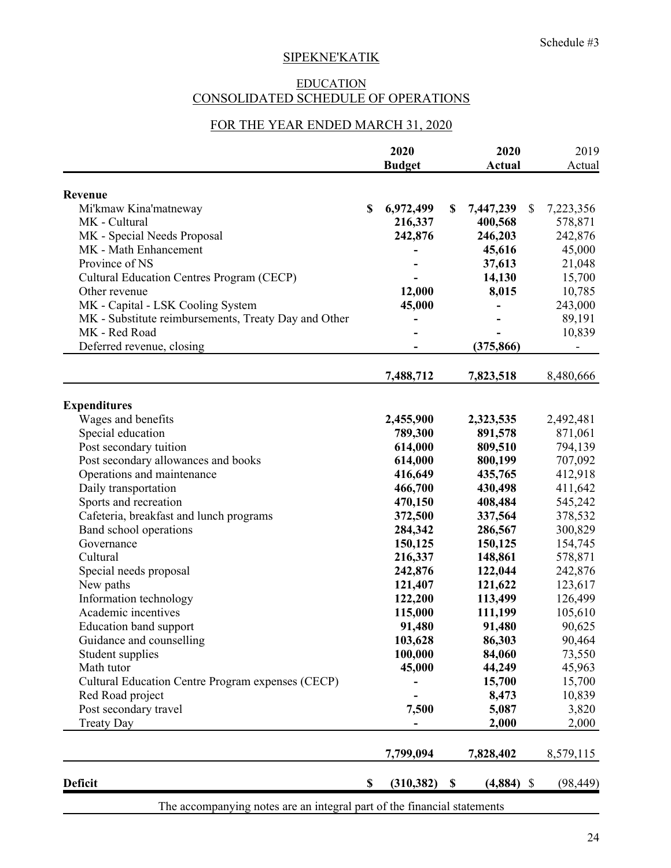## EDUCATION CONSOLIDATED SCHEDULE OF OPERATIONS

# FOR THE YEAR ENDED MARCH 31, 2020

|                                                      |               | 2020            |    | 2020            | 2019      |  |
|------------------------------------------------------|---------------|-----------------|----|-----------------|-----------|--|
|                                                      |               | <b>Budget</b>   |    | Actual          | Actual    |  |
|                                                      |               |                 |    |                 |           |  |
| Revenue                                              |               |                 |    |                 |           |  |
| Mi'kmaw Kina'matneway                                | <sup>\$</sup> | 6,972,499       | \$ | 7,447,239<br>\$ | 7,223,356 |  |
| MK - Cultural                                        |               | 216,337         |    | 400,568         | 578,871   |  |
| MK - Special Needs Proposal                          |               | 242,876         |    | 246,203         | 242,876   |  |
| MK - Math Enhancement                                |               |                 |    | 45,616          | 45,000    |  |
| Province of NS                                       |               |                 |    | 37,613          | 21,048    |  |
| <b>Cultural Education Centres Program (CECP)</b>     |               |                 |    | 14,130          | 15,700    |  |
| Other revenue                                        |               | 12,000          |    | 8,015           | 10,785    |  |
| MK - Capital - LSK Cooling System                    |               | 45,000          |    |                 | 243,000   |  |
| MK - Substitute reimbursements, Treaty Day and Other |               |                 |    |                 | 89,191    |  |
| MK - Red Road                                        |               |                 |    |                 | 10,839    |  |
| Deferred revenue, closing                            |               |                 |    | (375, 866)      |           |  |
|                                                      |               | 7,488,712       |    | 7,823,518       | 8,480,666 |  |
| <b>Expenditures</b>                                  |               |                 |    |                 |           |  |
| Wages and benefits                                   |               | 2,455,900       |    | 2,323,535       | 2,492,481 |  |
| Special education                                    |               | 789,300         |    | 891,578         | 871,061   |  |
| Post secondary tuition                               |               | 614,000         |    | 809,510         | 794,139   |  |
| Post secondary allowances and books                  |               | 614,000         |    | 800,199         | 707,092   |  |
| Operations and maintenance                           |               | 416,649         |    | 435,765         | 412,918   |  |
|                                                      |               | 466,700         |    |                 | 411,642   |  |
| Daily transportation                                 |               |                 |    | 430,498         |           |  |
| Sports and recreation                                |               | 470,150         |    | 408,484         | 545,242   |  |
| Cafeteria, breakfast and lunch programs              |               | 372,500         |    | 337,564         | 378,532   |  |
| Band school operations                               |               | 284,342         |    | 286,567         | 300,829   |  |
| Governance                                           |               | 150,125         |    | 150,125         | 154,745   |  |
| Cultural                                             |               | 216,337         |    | 148,861         | 578,871   |  |
| Special needs proposal                               |               | 242,876         |    | 122,044         | 242,876   |  |
| New paths                                            |               | 121,407         |    | 121,622         | 123,617   |  |
| Information technology                               |               | 122,200         |    | 113,499         | 126,499   |  |
| Academic incentives                                  |               | 115,000         |    | 111,199         | 105,610   |  |
| <b>Education band support</b>                        |               | 91,480          |    | 91,480          | 90,625    |  |
| Guidance and counselling                             |               | 103,628         |    | 86,303          | 90,464    |  |
| Student supplies                                     |               | 100,000         |    | 84,060          | 73,550    |  |
| Math tutor                                           |               | 45,000          |    | 44,249          | 45,963    |  |
| Cultural Education Centre Program expenses (CECP)    |               |                 |    | 15,700          | 15,700    |  |
| Red Road project                                     |               |                 |    | 8,473           | 10,839    |  |
| Post secondary travel                                |               | 7,500           |    | 5,087           | 3,820     |  |
| <b>Treaty Day</b>                                    |               |                 |    | 2,000           | 2,000     |  |
|                                                      |               | 7,799,094       |    | 7,828,402       | 8,579,115 |  |
| <b>Deficit</b>                                       | \$            | $(310, 382)$ \$ |    | $(4,884)$ \$    | (98, 449) |  |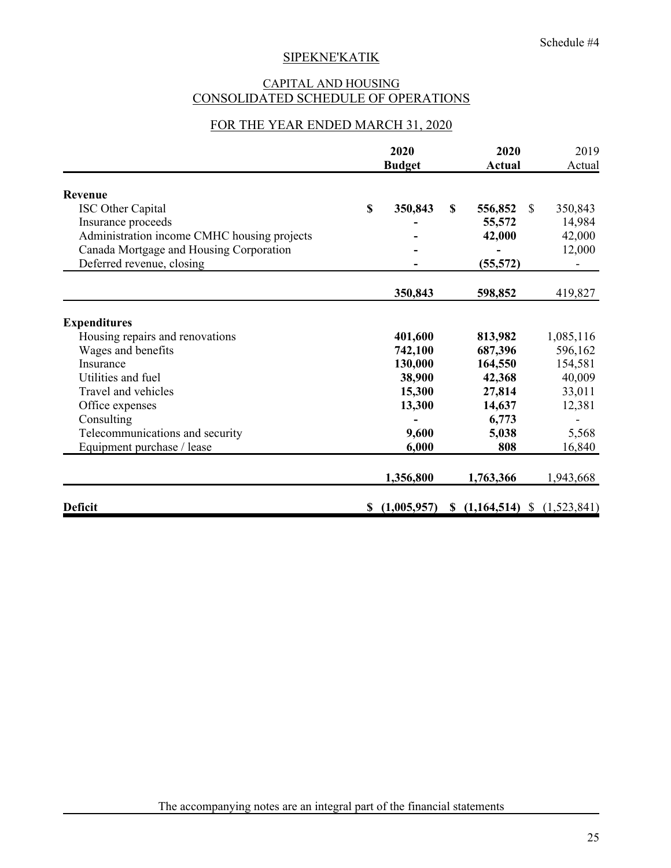## CAPITAL AND HOUSING CONSOLIDATED SCHEDULE OF OPERATIONS

## FOR THE YEAR ENDED MARCH 31, 2020

|                                             |    | 2020<br><b>Budget</b> |                        | 2020<br><b>Actual</b> |             |
|---------------------------------------------|----|-----------------------|------------------------|-----------------------|-------------|
| <b>Revenue</b>                              |    |                       |                        |                       |             |
| ISC Other Capital                           | \$ | 350,843               | $\mathbf S$<br>556,852 | <sup>\$</sup>         | 350,843     |
| Insurance proceeds                          |    |                       | 55,572                 |                       | 14,984      |
| Administration income CMHC housing projects |    |                       | 42,000                 |                       | 42,000      |
| Canada Mortgage and Housing Corporation     |    |                       |                        |                       | 12,000      |
| Deferred revenue, closing                   |    |                       | (55, 572)              |                       |             |
|                                             |    | 350,843               | 598,852                |                       | 419,827     |
| <b>Expenditures</b>                         |    |                       |                        |                       |             |
| Housing repairs and renovations             |    | 401,600               | 813,982                |                       | 1,085,116   |
| Wages and benefits                          |    | 742,100               | 687,396                |                       | 596,162     |
| Insurance                                   |    | 130,000               | 164,550                |                       | 154,581     |
| Utilities and fuel                          |    | 38,900                | 42,368                 |                       | 40,009      |
| Travel and vehicles                         |    | 15,300                | 27,814                 |                       | 33,011      |
| Office expenses                             |    | 13,300                | 14,637                 |                       | 12,381      |
| Consulting                                  |    |                       | 6,773                  |                       |             |
| Telecommunications and security             |    | 9,600                 | 5,038                  |                       | 5,568       |
| Equipment purchase / lease                  |    | 6,000                 | 808                    |                       | 16,840      |
|                                             |    | 1,356,800             | 1,763,366              |                       | 1,943,668   |
| <b>Deficit</b>                              | S  | (1,005,957)           | \$(1,164,514)          |                       | (1,523,841) |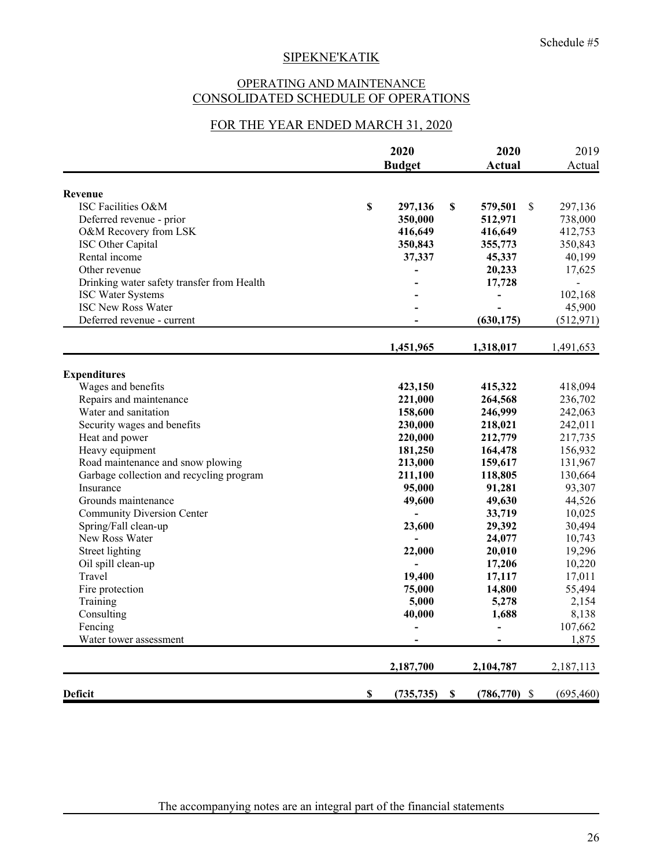## OPERATING AND MAINTENANCE CONSOLIDATED SCHEDULE OF OPERATIONS

## FOR THE YEAR ENDED MARCH 31, 2020

|                                            |             | 2020<br><b>Budget</b> |              | 2020<br>Actual  |    | 2019<br>Actual |
|--------------------------------------------|-------------|-----------------------|--------------|-----------------|----|----------------|
| Revenue                                    |             |                       |              |                 |    |                |
| ISC Facilities O&M                         | $\mathbf S$ | 297,136               | \$           | 579,501         | \$ | 297,136        |
| Deferred revenue - prior                   |             | 350,000               |              | 512,971         |    | 738,000        |
| O&M Recovery from LSK                      |             | 416,649               |              | 416,649         |    | 412,753        |
| ISC Other Capital                          |             | 350,843               |              | 355,773         |    | 350,843        |
| Rental income                              |             | 37,337                |              | 45,337          |    | 40,199         |
| Other revenue                              |             | $\overline{a}$        |              | 20,233          |    | 17,625         |
| Drinking water safety transfer from Health |             |                       |              | 17,728          |    |                |
| <b>ISC Water Systems</b>                   |             |                       |              |                 |    | 102,168        |
| <b>ISC New Ross Water</b>                  |             |                       |              |                 |    | 45,900         |
| Deferred revenue - current                 |             |                       |              | (630, 175)      |    | (512, 971)     |
|                                            |             | 1,451,965             |              | 1,318,017       |    | 1,491,653      |
| <b>Expenditures</b>                        |             |                       |              |                 |    |                |
| Wages and benefits                         |             | 423,150               |              | 415,322         |    | 418,094        |
| Repairs and maintenance                    |             | 221,000               |              | 264,568         |    | 236,702        |
| Water and sanitation                       |             | 158,600               |              | 246,999         |    | 242,063        |
| Security wages and benefits                |             | 230,000               |              | 218,021         |    | 242,011        |
| Heat and power                             |             | 220,000               |              | 212,779         |    | 217,735        |
| Heavy equipment                            |             | 181,250               |              | 164,478         |    | 156,932        |
| Road maintenance and snow plowing          |             | 213,000               |              | 159,617         |    | 131,967        |
| Garbage collection and recycling program   |             | 211,100               |              | 118,805         |    | 130,664        |
| Insurance                                  |             | 95,000                |              | 91,281          |    | 93,307         |
| Grounds maintenance                        |             | 49,600                |              | 49,630          |    | 44,526         |
| <b>Community Diversion Center</b>          |             |                       |              | 33,719          |    | 10,025         |
| Spring/Fall clean-up                       |             | 23,600                |              | 29,392          |    | 30,494         |
| New Ross Water                             |             |                       |              | 24,077          |    | 10,743         |
| Street lighting                            |             | 22,000                |              | 20,010          |    | 19,296         |
| Oil spill clean-up                         |             |                       |              | 17,206          |    | 10,220         |
| Travel                                     |             | 19,400                |              | 17,117          |    | 17,011         |
| Fire protection                            |             | 75,000                |              | 14,800          |    | 55,494         |
| Training                                   |             | 5,000                 |              | 5,278           |    | 2,154          |
| Consulting                                 |             | 40,000                |              | 1,688           |    | 8,138          |
| Fencing                                    |             | $\overline{a}$        |              | $\blacksquare$  |    | 107,662        |
| Water tower assessment                     |             |                       |              |                 |    | 1,875          |
|                                            |             | 2,187,700             |              | 2,104,787       |    | 2,187,113      |
| <b>Deficit</b>                             | \$          | (735, 735)            | $\mathbb{S}$ | $(786, 770)$ \$ |    | (695, 460)     |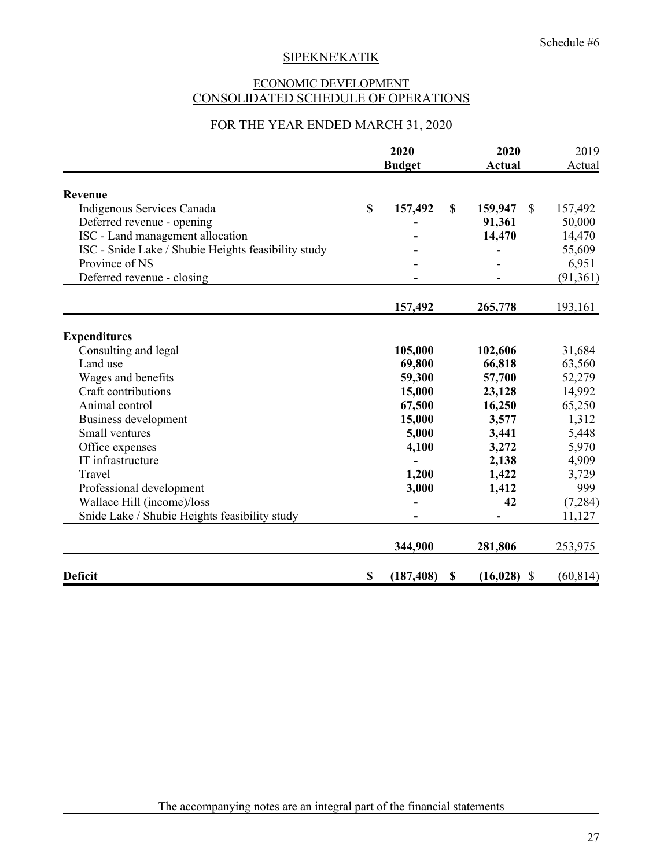## ECONOMIC DEVELOPMENT CONSOLIDATED SCHEDULE OF OPERATIONS

## FOR THE YEAR ENDED MARCH 31, 2020

|                                                     | 2020<br><b>Budget</b> | 2020<br><b>Actual</b>          | 2019<br>Actual           |
|-----------------------------------------------------|-----------------------|--------------------------------|--------------------------|
| Revenue                                             |                       |                                |                          |
| Indigenous Services Canada                          | \$<br>157,492         | \$<br>159,947                  | $\mathcal{S}$<br>157,492 |
| Deferred revenue - opening                          |                       | 91,361                         | 50,000                   |
| ISC - Land management allocation                    |                       | 14,470                         | 14,470                   |
| ISC - Snide Lake / Shubie Heights feasibility study |                       |                                | 55,609                   |
| Province of NS                                      |                       |                                | 6,951                    |
| Deferred revenue - closing                          |                       |                                | (91, 361)                |
|                                                     | 157,492               | 265,778                        | 193,161                  |
| <b>Expenditures</b>                                 |                       |                                |                          |
| Consulting and legal                                | 105,000               | 102,606                        | 31,684                   |
| Land use                                            | 69,800                | 66,818                         | 63,560                   |
| Wages and benefits                                  | 59,300                | 57,700                         | 52,279                   |
| Craft contributions                                 | 15,000                | 23,128                         | 14,992                   |
| Animal control                                      | 67,500                | 16,250                         | 65,250                   |
| <b>Business development</b>                         | 15,000                | 3,577                          | 1,312                    |
| Small ventures                                      | 5,000                 | 3,441                          | 5,448                    |
| Office expenses                                     | 4,100                 | 3,272                          | 5,970                    |
| IT infrastructure                                   |                       | 2,138                          | 4,909                    |
| Travel                                              | 1,200                 | 1,422                          | 3,729                    |
| Professional development                            | 3,000                 | 1,412                          | 999                      |
| Wallace Hill (income)/loss                          |                       | 42                             | (7,284)                  |
| Snide Lake / Shubie Heights feasibility study       |                       |                                | 11,127                   |
|                                                     | 344,900               | 281,806                        | 253,975                  |
| <b>Deficit</b>                                      | \$<br>(187, 408)      | $(16,028)$ \$<br>$\mathbf{\$}$ | (60, 814)                |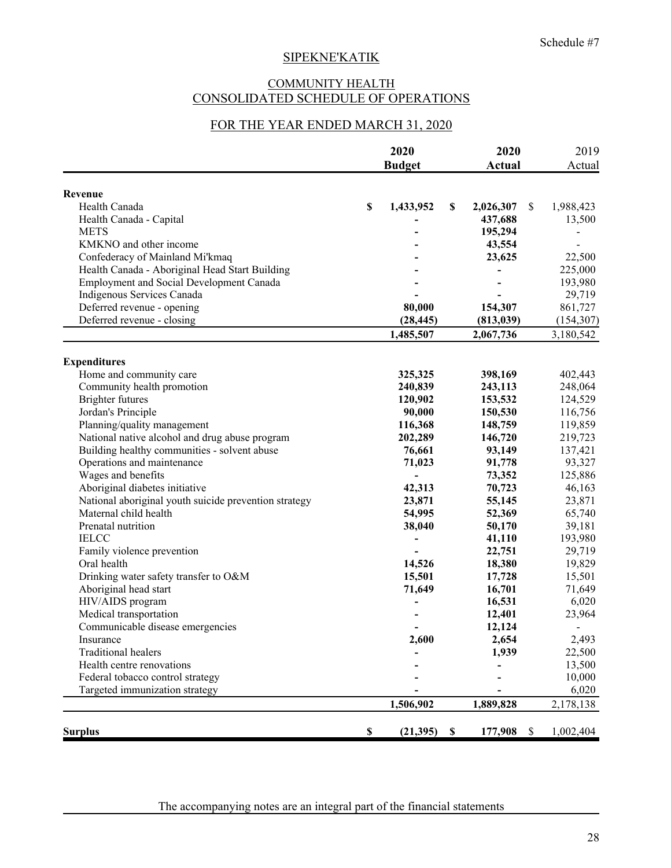## COMMUNITY HEALTH CONSOLIDATED SCHEDULE OF OPERATIONS

## FOR THE YEAR ENDED MARCH 31, 2020

|                                                                                                   | 2020            |             | 2020                     | 2019               |  |
|---------------------------------------------------------------------------------------------------|-----------------|-------------|--------------------------|--------------------|--|
|                                                                                                   | <b>Budget</b>   |             | <b>Actual</b>            | Actual             |  |
|                                                                                                   |                 |             |                          |                    |  |
| Revenue<br>Health Canada                                                                          | \$              | \$          | <sup>\$</sup>            |                    |  |
| Health Canada - Capital                                                                           | 1,433,952       |             | 2,026,307                | 1,988,423          |  |
| <b>METS</b>                                                                                       |                 |             | 437,688                  | 13,500             |  |
| KMKNO and other income                                                                            |                 |             | 195,294                  |                    |  |
|                                                                                                   |                 |             | 43,554<br>23,625         | 22,500             |  |
| Confederacy of Mainland Mi'kmaq                                                                   |                 |             |                          |                    |  |
| Health Canada - Aboriginal Head Start Building<br><b>Employment and Social Development Canada</b> |                 |             |                          | 225,000<br>193,980 |  |
|                                                                                                   |                 |             |                          |                    |  |
| Indigenous Services Canada                                                                        |                 |             |                          | 29,719             |  |
| Deferred revenue - opening                                                                        | 80,000          |             | 154,307                  | 861,727            |  |
| Deferred revenue - closing                                                                        | (28, 445)       |             | (813, 039)               | (154, 307)         |  |
|                                                                                                   | 1,485,507       |             | 2,067,736                | 3,180,542          |  |
| <b>Expenditures</b>                                                                               |                 |             |                          |                    |  |
| Home and community care                                                                           | 325,325         |             | 398,169                  | 402,443            |  |
| Community health promotion                                                                        | 240,839         |             | 243,113                  | 248,064            |  |
| <b>Brighter futures</b>                                                                           | 120,902         |             | 153,532                  | 124,529            |  |
| Jordan's Principle                                                                                | 90,000          |             | 150,530                  | 116,756            |  |
| Planning/quality management                                                                       | 116,368         |             | 148,759                  | 119,859            |  |
| National native alcohol and drug abuse program                                                    | 202,289         |             | 146,720                  | 219,723            |  |
| Building healthy communities - solvent abuse                                                      | 76,661          |             | 93,149                   | 137,421            |  |
| Operations and maintenance                                                                        | 71,023          |             | 91,778                   | 93,327             |  |
| Wages and benefits                                                                                | $\overline{a}$  |             | 73,352                   | 125,886            |  |
| Aboriginal diabetes initiative                                                                    | 42,313          |             | 70,723                   | 46,163             |  |
| National aboriginal youth suicide prevention strategy                                             | 23,871          |             | 55,145                   | 23,871             |  |
| Maternal child health                                                                             | 54,995          |             | 52,369                   | 65,740             |  |
| Prenatal nutrition                                                                                | 38,040          |             | 50,170                   | 39,181             |  |
| <b>IELCC</b>                                                                                      |                 |             | 41,110                   | 193,980            |  |
| Family violence prevention                                                                        |                 |             | 22,751                   | 29,719             |  |
| Oral health                                                                                       | 14,526          |             | 18,380                   | 19,829             |  |
| Drinking water safety transfer to O&M                                                             | 15,501          |             | 17,728                   | 15,501             |  |
| Aboriginal head start                                                                             | 71,649          |             | 16,701                   | 71,649             |  |
| HIV/AIDS program                                                                                  |                 |             | 16,531                   | 6,020              |  |
| Medical transportation                                                                            |                 |             | 12,401                   | 23,964             |  |
| Communicable disease emergencies                                                                  |                 |             | 12,124                   |                    |  |
| Insurance                                                                                         | 2,600           |             | 2,654                    | 2,493              |  |
| <b>Traditional healers</b>                                                                        |                 |             | 1,939                    | 22,500             |  |
| Health centre renovations                                                                         |                 |             |                          | 13,500             |  |
| Federal tobacco control strategy                                                                  |                 |             |                          | 10,000             |  |
| Targeted immunization strategy                                                                    |                 |             |                          | 6,020              |  |
|                                                                                                   | 1,506,902       |             | 1,889,828                | 2,178,138          |  |
|                                                                                                   |                 |             |                          |                    |  |
| <b>Surplus</b>                                                                                    | \$<br>(21, 395) | $\mathbf s$ | 177,908<br>$\mathcal{S}$ | 1,002,404          |  |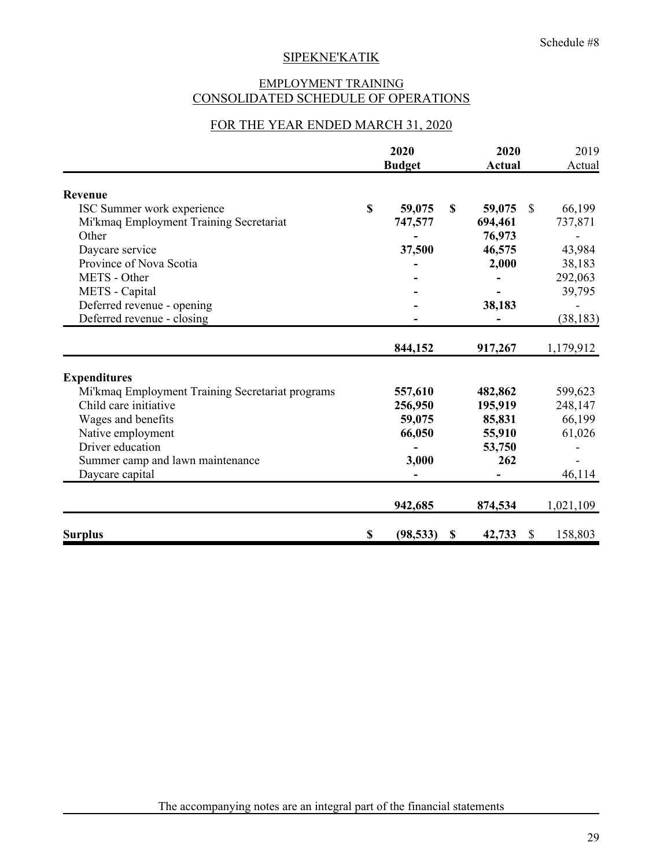## EMPLOYMENT TRAINING CONSOLIDATED SCHEDULE OF OPERATIONS

## FOR THE YEAR ENDED MARCH 31, 2020

|                                                  | 2020<br><b>Budget</b> |             | 2020<br><b>Actual</b> |               | 2019<br>Actual |  |
|--------------------------------------------------|-----------------------|-------------|-----------------------|---------------|----------------|--|
| Revenue                                          |                       |             |                       |               |                |  |
| ISC Summer work experience                       | \$<br>59,075          | \$          | 59,075                | $\mathbb{S}$  | 66,199         |  |
| Mi'kmaq Employment Training Secretariat          | 747,577               |             | 694,461               |               | 737,871        |  |
| Other                                            |                       |             | 76,973                |               |                |  |
| Daycare service                                  | 37,500                |             | 46,575                |               | 43,984         |  |
| Province of Nova Scotia                          |                       |             | 2,000                 |               | 38,183         |  |
| METS - Other                                     |                       |             |                       |               | 292,063        |  |
| METS - Capital                                   |                       |             |                       |               | 39,795         |  |
| Deferred revenue - opening                       |                       |             | 38,183                |               |                |  |
| Deferred revenue - closing                       |                       |             |                       |               | (38, 183)      |  |
|                                                  | 844,152               |             | 917,267               |               | 1,179,912      |  |
| <b>Expenditures</b>                              |                       |             |                       |               |                |  |
| Mi'kmaq Employment Training Secretariat programs | 557,610               |             | 482,862               |               | 599,623        |  |
| Child care initiative                            | 256,950               |             | 195,919               |               | 248,147        |  |
| Wages and benefits                               | 59,075                |             | 85,831                |               | 66,199         |  |
| Native employment                                | 66,050                |             | 55,910                |               | 61,026         |  |
| Driver education                                 |                       |             | 53,750                |               |                |  |
| Summer camp and lawn maintenance                 | 3,000                 |             | 262                   |               |                |  |
| Daycare capital                                  |                       |             |                       |               | 46,114         |  |
|                                                  | 942,685               |             | 874,534               |               | 1,021,109      |  |
| <b>Surplus</b>                                   | \$<br>(98, 533)       | $\mathbf S$ | 42,733                | <sup>\$</sup> | 158,803        |  |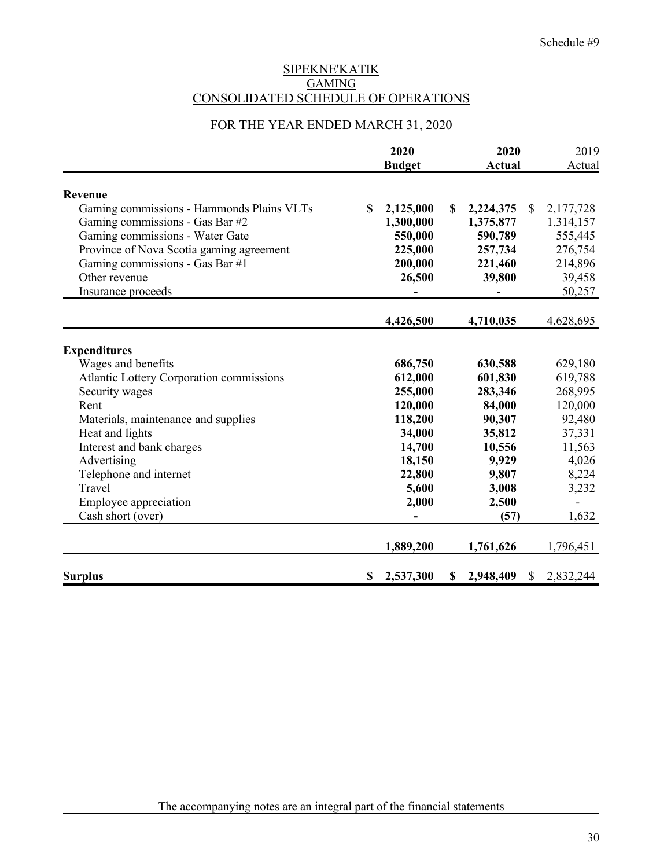## SIPEKNE'KATIK **GAMING** CONSOLIDATED SCHEDULE OF OPERATIONS

## FOR THE YEAR ENDED MARCH 31, 2020

|                                                 | 2020<br><b>Budget</b> |           | 2020<br><b>Actual</b> |           | 2019<br>Actual |           |
|-------------------------------------------------|-----------------------|-----------|-----------------------|-----------|----------------|-----------|
| Revenue                                         |                       |           |                       |           |                |           |
| Gaming commissions - Hammonds Plains VLTs       | \$.                   | 2,125,000 | \$                    | 2,224,375 | $\mathbb{S}$   | 2,177,728 |
| Gaming commissions - Gas Bar #2                 |                       | 1,300,000 |                       | 1,375,877 |                | 1,314,157 |
| Gaming commissions - Water Gate                 |                       | 550,000   |                       | 590,789   |                | 555,445   |
| Province of Nova Scotia gaming agreement        |                       | 225,000   |                       | 257,734   |                | 276,754   |
| Gaming commissions - Gas Bar #1                 |                       | 200,000   |                       | 221,460   |                | 214,896   |
| Other revenue                                   |                       | 26,500    |                       | 39,800    |                | 39,458    |
| Insurance proceeds                              |                       |           |                       |           |                | 50,257    |
|                                                 |                       | 4,426,500 |                       | 4,710,035 |                | 4,628,695 |
|                                                 |                       |           |                       |           |                |           |
| <b>Expenditures</b>                             |                       |           |                       |           |                |           |
| Wages and benefits                              |                       | 686,750   |                       | 630,588   |                | 629,180   |
| <b>Atlantic Lottery Corporation commissions</b> |                       | 612,000   |                       | 601,830   |                | 619,788   |
| Security wages                                  |                       | 255,000   |                       | 283,346   |                | 268,995   |
| Rent                                            |                       | 120,000   |                       | 84,000    |                | 120,000   |
| Materials, maintenance and supplies             |                       | 118,200   |                       | 90,307    |                | 92,480    |
| Heat and lights                                 |                       | 34,000    |                       | 35,812    |                | 37,331    |
| Interest and bank charges                       |                       | 14,700    |                       | 10,556    |                | 11,563    |
| Advertising                                     |                       | 18,150    |                       | 9,929     |                | 4,026     |
| Telephone and internet                          |                       | 22,800    |                       | 9,807     |                | 8,224     |
| Travel                                          |                       | 5,600     |                       | 3,008     |                | 3,232     |
| Employee appreciation                           |                       | 2,000     |                       | 2,500     |                |           |
| Cash short (over)                               |                       |           |                       | (57)      |                | 1,632     |
|                                                 |                       | 1,889,200 |                       | 1,761,626 |                | 1,796,451 |
| <b>Surplus</b>                                  | \$                    | 2,537,300 | \$                    | 2,948,409 | $\mathbb{S}$   | 2,832,244 |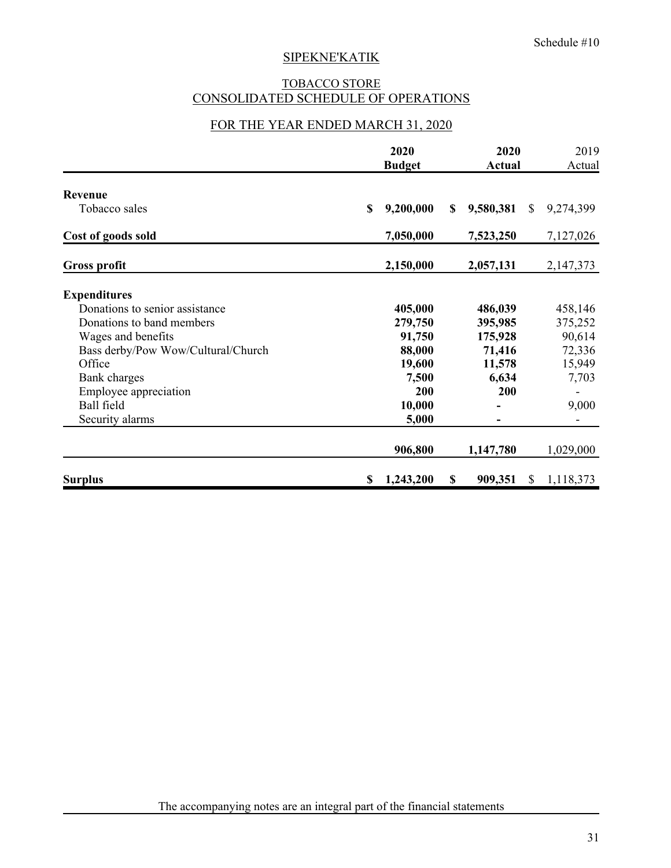## TOBACCO STORE CONSOLIDATED SCHEDULE OF OPERATIONS

## FOR THE YEAR ENDED MARCH 31, 2020

|                                    |    | 2020<br><b>Budget</b> |    |           | 2020<br><b>Actual</b> |             |  |
|------------------------------------|----|-----------------------|----|-----------|-----------------------|-------------|--|
| Revenue                            |    |                       |    |           |                       |             |  |
| Tobacco sales                      | \$ | 9,200,000             | \$ | 9,580,381 | $\mathbb{S}$          | 9,274,399   |  |
| Cost of goods sold                 |    | 7,050,000             |    | 7,523,250 |                       | 7,127,026   |  |
| <b>Gross profit</b>                |    | 2,150,000             |    | 2,057,131 |                       | 2, 147, 373 |  |
| <b>Expenditures</b>                |    |                       |    |           |                       |             |  |
| Donations to senior assistance     |    | 405,000               |    | 486,039   |                       | 458,146     |  |
| Donations to band members          |    | 279,750               |    | 395,985   |                       | 375,252     |  |
| Wages and benefits                 |    | 91,750                |    | 175,928   |                       | 90,614      |  |
| Bass derby/Pow Wow/Cultural/Church |    | 88,000                |    | 71,416    |                       | 72,336      |  |
| Office                             |    | 19,600                |    | 11,578    |                       | 15,949      |  |
| Bank charges                       |    | 7,500                 |    | 6,634     |                       | 7,703       |  |
| Employee appreciation              |    | 200                   |    | 200       |                       |             |  |
| Ball field                         |    | 10,000                |    |           |                       | 9,000       |  |
| Security alarms                    |    | 5,000                 |    |           |                       |             |  |
|                                    |    | 906,800               |    | 1,147,780 |                       | 1,029,000   |  |
| <b>Surplus</b>                     | \$ | 1,243,200             | \$ | 909,351   | <sup>\$</sup>         | 1,118,373   |  |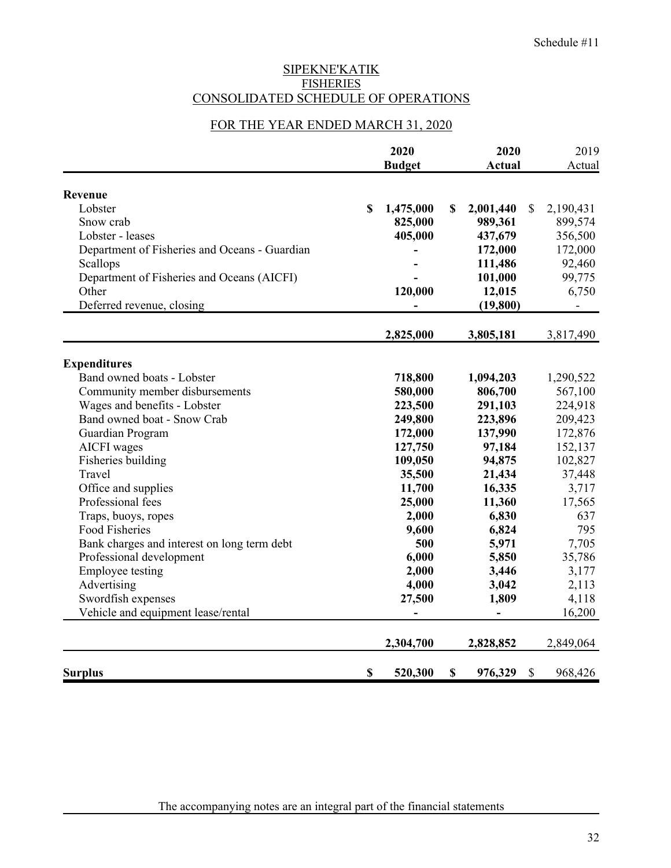## SIPEKNE'KATIK **FISHERIES** CONSOLIDATED SCHEDULE OF OPERATIONS

## FOR THE YEAR ENDED MARCH 31, 2020

|                                               | 2020        |               | 2020 |           | 2019                      |           |
|-----------------------------------------------|-------------|---------------|------|-----------|---------------------------|-----------|
|                                               |             | <b>Budget</b> |      | Actual    |                           | Actual    |
| Revenue                                       |             |               |      |           |                           |           |
| Lobster                                       | $\mathbf S$ | 1,475,000     | \$   | 2,001,440 | $\mathcal{S}$             | 2,190,431 |
| Snow crab                                     |             | 825,000       |      | 989,361   |                           | 899,574   |
| Lobster - leases                              |             | 405,000       |      | 437,679   |                           | 356,500   |
| Department of Fisheries and Oceans - Guardian |             |               |      | 172,000   |                           | 172,000   |
| Scallops                                      |             |               |      | 111,486   |                           | 92,460    |
| Department of Fisheries and Oceans (AICFI)    |             |               |      | 101,000   |                           | 99,775    |
| Other                                         |             | 120,000       |      | 12,015    |                           | 6,750     |
| Deferred revenue, closing                     |             |               |      | (19, 800) |                           |           |
|                                               |             | 2,825,000     |      | 3,805,181 |                           | 3,817,490 |
| <b>Expenditures</b>                           |             |               |      |           |                           |           |
| Band owned boats - Lobster                    |             | 718,800       |      | 1,094,203 |                           | 1,290,522 |
| Community member disbursements                |             | 580,000       |      | 806,700   |                           | 567,100   |
| Wages and benefits - Lobster                  |             | 223,500       |      | 291,103   |                           | 224,918   |
| Band owned boat - Snow Crab                   |             | 249,800       |      | 223,896   |                           | 209,423   |
| Guardian Program                              |             | 172,000       |      | 137,990   |                           | 172,876   |
| <b>AICFI</b> wages                            |             | 127,750       |      | 97,184    |                           | 152,137   |
| Fisheries building                            |             | 109,050       |      | 94,875    |                           | 102,827   |
| Travel                                        |             | 35,500        |      | 21,434    |                           | 37,448    |
| Office and supplies                           |             | 11,700        |      | 16,335    |                           | 3,717     |
| Professional fees                             |             | 25,000        |      | 11,360    |                           | 17,565    |
| Traps, buoys, ropes                           |             | 2,000         |      | 6,830     |                           | 637       |
| <b>Food Fisheries</b>                         |             | 9,600         |      | 6,824     |                           | 795       |
| Bank charges and interest on long term debt   |             | 500           |      | 5,971     |                           | 7,705     |
| Professional development                      |             | 6,000         |      | 5,850     |                           | 35,786    |
| <b>Employee testing</b>                       |             | 2,000         |      | 3,446     |                           | 3,177     |
| Advertising                                   |             | 4,000         |      | 3,042     |                           | 2,113     |
| Swordfish expenses                            |             | 27,500        |      | 1,809     |                           | 4,118     |
| Vehicle and equipment lease/rental            |             |               |      |           |                           | 16,200    |
|                                               |             | 2,304,700     |      | 2,828,852 |                           | 2,849,064 |
| <b>Surplus</b>                                | \$          | 520,300       | \$   | 976,329   | $\boldsymbol{\mathsf{S}}$ | 968,426   |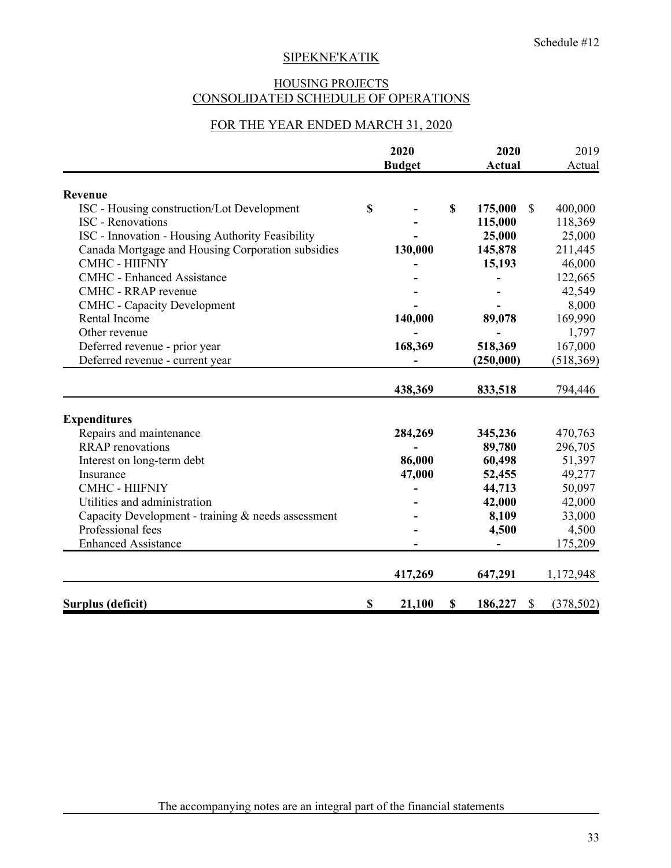## HOUSING PROJECTS CONSOLIDATED SCHEDULE OF OPERATIONS

## FOR THE YEAR ENDED MARCH 31, 2020

|                                                    | 2020 |               | 2020 |               | 2019 |            |
|----------------------------------------------------|------|---------------|------|---------------|------|------------|
|                                                    |      | <b>Budget</b> |      | <b>Actual</b> |      | Actual     |
| Revenue                                            |      |               |      |               |      |            |
| ISC - Housing construction/Lot Development         | \$   |               | \$   | 175,000       | \$   | 400,000    |
| <b>ISC</b> - Renovations                           |      |               |      | 115,000       |      | 118,369    |
| ISC - Innovation - Housing Authority Feasibility   |      |               |      | 25,000        |      | 25,000     |
| Canada Mortgage and Housing Corporation subsidies  |      | 130,000       |      | 145,878       |      | 211,445    |
| <b>CMHC - HIIFNIY</b>                              |      |               |      | 15,193        |      | 46,000     |
| <b>CMHC</b> - Enhanced Assistance                  |      |               |      |               |      | 122,665    |
| CMHC - RRAP revenue                                |      |               |      |               |      | 42,549     |
| <b>CMHC</b> - Capacity Development                 |      |               |      |               |      | 8,000      |
| Rental Income                                      |      | 140,000       |      | 89,078        |      | 169,990    |
| Other revenue                                      |      |               |      |               |      | 1,797      |
| Deferred revenue - prior year                      |      | 168,369       |      | 518,369       |      | 167,000    |
| Deferred revenue - current year                    |      |               |      | (250,000)     |      | (518, 369) |
|                                                    |      | 438,369       |      | 833,518       |      | 794,446    |
|                                                    |      |               |      |               |      |            |
| <b>Expenditures</b>                                |      |               |      |               |      |            |
| Repairs and maintenance                            |      | 284,269       |      | 345,236       |      | 470,763    |
| <b>RRAP</b> renovations                            |      |               |      | 89,780        |      | 296,705    |
| Interest on long-term debt                         |      | 86,000        |      | 60,498        |      | 51,397     |
| Insurance                                          |      | 47,000        |      | 52,455        |      | 49,277     |
| <b>CMHC - HIIFNIY</b>                              |      |               |      | 44,713        |      | 50,097     |
| Utilities and administration                       |      |               |      | 42,000        |      | 42,000     |
| Capacity Development - training & needs assessment |      |               |      | 8,109         |      | 33,000     |
| Professional fees                                  |      |               |      | 4,500         |      | 4,500      |
| <b>Enhanced Assistance</b>                         |      |               |      |               |      | 175,209    |
|                                                    |      | 417,269       |      | 647,291       |      | 1,172,948  |
| Surplus (deficit)                                  | \$   | 21,100        | \$   | 186,227       | \$   | (378, 502) |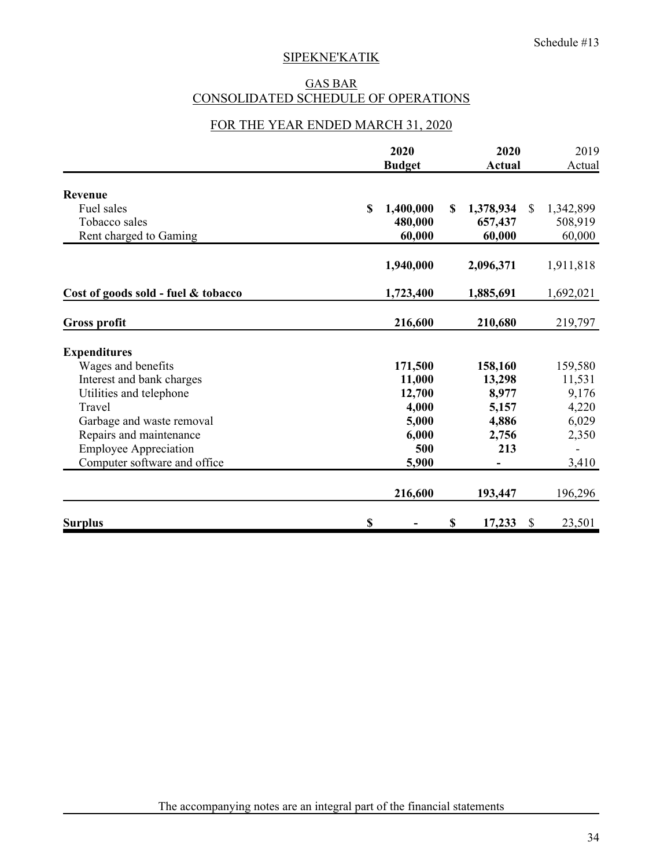#### GAS BAR CONSOLIDATED SCHEDULE OF OPERATIONS

## FOR THE YEAR ENDED MARCH 31, 2020

|                                     | 2020<br><b>Budget</b> | 2020<br><b>Actual</b> |           | 2019<br>Actual |           |
|-------------------------------------|-----------------------|-----------------------|-----------|----------------|-----------|
| Revenue                             |                       |                       |           |                |           |
| Fuel sales                          | \$<br>1,400,000       | S                     | 1,378,934 | <sup>\$</sup>  | 1,342,899 |
| Tobacco sales                       | 480,000               |                       | 657,437   |                | 508,919   |
| Rent charged to Gaming              | 60,000                |                       | 60,000    |                | 60,000    |
|                                     | 1,940,000             |                       | 2,096,371 |                | 1,911,818 |
| Cost of goods sold - fuel & tobacco | 1,723,400             |                       | 1,885,691 |                | 1,692,021 |
| <b>Gross profit</b>                 | 216,600               |                       | 210,680   |                | 219,797   |
| <b>Expenditures</b>                 |                       |                       |           |                |           |
| Wages and benefits                  | 171,500               |                       | 158,160   |                | 159,580   |
| Interest and bank charges           | 11,000                |                       | 13,298    |                | 11,531    |
| Utilities and telephone             | 12,700                |                       | 8,977     |                | 9,176     |
| Travel                              | 4,000                 |                       | 5,157     |                | 4,220     |
| Garbage and waste removal           | 5,000                 |                       | 4,886     |                | 6,029     |
| Repairs and maintenance             | 6,000                 |                       | 2,756     |                | 2,350     |
| <b>Employee Appreciation</b>        |                       | 500                   | 213       |                |           |
| Computer software and office        | 5,900                 |                       |           |                | 3,410     |
|                                     | 216,600               |                       | 193,447   |                | 196,296   |
| <b>Surplus</b>                      | \$                    | \$                    | 17,233    | <sup>\$</sup>  | 23,501    |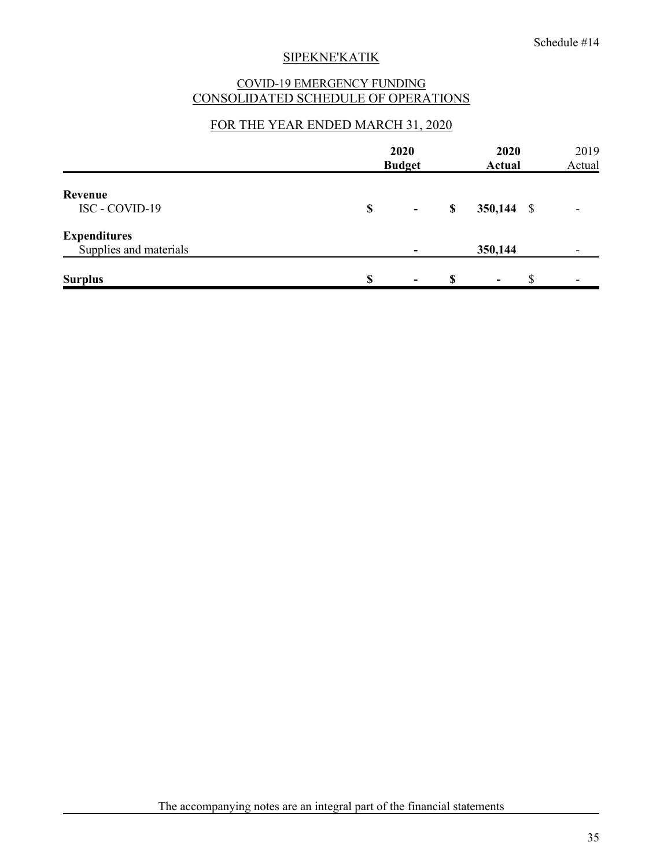## COVID-19 EMERGENCY FUNDING CONSOLIDATED SCHEDULE OF OPERATIONS

## FOR THE YEAR ENDED MARCH 31, 2020

|                                               | 2020<br><b>Budget</b> | 2020<br><b>Actual</b> | 2019<br>Actual |  |
|-----------------------------------------------|-----------------------|-----------------------|----------------|--|
| Revenue<br>ISC - COVID-19                     | \$<br>۰               | \$<br>$350,144$ \$    | -              |  |
| <b>Expenditures</b><br>Supplies and materials |                       | 350,144               |                |  |
| <b>Surplus</b>                                | \$<br>۰.              | \$<br>۰               |                |  |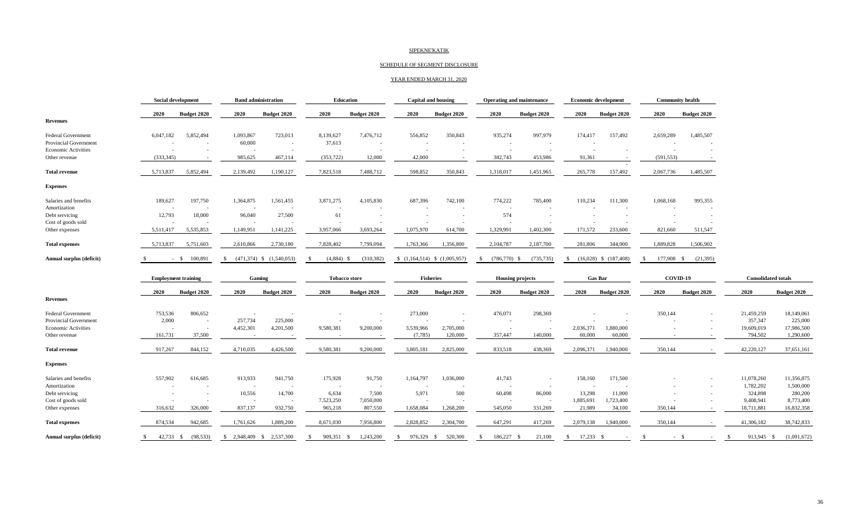#### SCHEDULE OF SEGMENT DISCLOSURE

#### YEAR ENDED MARCH 31, 2020

|                                      | <b>Social development</b>     | <b>Band administration</b>           | <b>Education</b>                   | Capital and housing                                  | <b>Operating and maintenance</b>                     | <b>Economic development</b>     | <b>Community health</b>       |                                   |
|--------------------------------------|-------------------------------|--------------------------------------|------------------------------------|------------------------------------------------------|------------------------------------------------------|---------------------------------|-------------------------------|-----------------------------------|
|                                      | 2020<br><b>Budget 2020</b>    | 2020<br><b>Budget 2020</b>           | 2020<br><b>Budget 2020</b>         | 2020<br><b>Budget 2020</b>                           | 2020<br><b>Budget 2020</b>                           | 2020<br><b>Budget 2020</b>      | 2020<br><b>Budget 2020</b>    |                                   |
| <b>Revenues</b>                      |                               |                                      |                                    |                                                      |                                                      |                                 |                               |                                   |
| <b>Federal Government</b>            | 6,047,182<br>5,852,494        | 1,093,867<br>723,013                 | 8,139,627<br>7,476,712             | 556,852<br>350,843                                   | 935,274<br>997,979                                   | 157,492<br>174,417              | 2,659,289<br>1,485,507        |                                   |
| <b>Provincial Government</b>         |                               | 60,000<br>$\sim$                     | 37,613<br>$\overline{\phantom{a}}$ | $\overline{\phantom{a}}$<br>$\overline{\phantom{a}}$ | $\overline{\phantom{a}}$                             |                                 |                               |                                   |
| <b>Economic Activities</b>           |                               |                                      | $\overline{\phantom{a}}$<br>$\sim$ | $\overline{\phantom{a}}$<br>$\sim$                   | $\overline{\phantom{a}}$<br>$\overline{\phantom{a}}$ | $\overline{\phantom{a}}$        | $\sim$                        |                                   |
| Other revenue                        | (333.345)                     | 985,625<br>467,114                   | (353, 722)<br>12,000               | 42,000                                               | 382,743<br>453,986                                   | 91,361                          | (591, 553)                    |                                   |
| <b>Total revenue</b>                 | 5,713,837<br>5,852,494        | 2,139,492<br>1,190,127               | 7,823,518<br>7,488,712             | 598,852<br>350,843                                   | 1,318,017<br>1,451,965                               | 265,778<br>157,492              | 2,067,736<br>1,485,507        |                                   |
| <b>Expenses</b>                      |                               |                                      |                                    |                                                      |                                                      |                                 |                               |                                   |
| Salaries and benefits                | 189,627<br>197,750            | 1,364,875<br>1,561,455               | 3,871,275<br>4,105,830             | 687,396<br>742,100                                   | 774,222<br>785,400                                   | 111,300<br>110,234              | 1,068,168<br>995,355          |                                   |
| Amortization                         |                               |                                      |                                    |                                                      |                                                      |                                 |                               |                                   |
| Debt servicing                       | 12,793<br>18,000              | 96,040<br>27,500                     | 61                                 | $\overline{\phantom{a}}$                             | 574                                                  |                                 |                               |                                   |
| Cost of goods sold<br>Other expenses | 5,511,417<br>5,535,853        | 1,149,951<br>1,141,225               | 3,957,066<br>3,693,264             | 1,075,970<br>614,700                                 | 1,329,991<br>1,402,300                               | 171,572<br>233,600              | 821,660<br>511,547            |                                   |
| <b>Total expenses</b>                | 5,713,837<br>5,751,603        | 2,730,180<br>2,610,866               | 7,828,402<br>7,799,094             | 1,763,366<br>1,356,800                               | 2,104,787<br>2,187,700                               | 281,806<br>344,900              | 1,889,828<br>1,506,902        |                                   |
| Annual surplus (deficit)             | 100,891<br>$-$ \$             | $(471,374)$ \$ $(1,540,053)$<br>- \$ | $(4,884)$ \$<br>(310, 382)<br>-8   | $(1,164,514)$ \$ $(1,005,957)$                       | $(786,770)$ \$<br>(735, 735)<br>-S                   | $(16,028)$ \$ $(187,408)$<br>-8 | 177,908 \$<br>(21, 395)<br>-S |                                   |
|                                      | <b>Employment training</b>    | Gaming                               | <b>Tobacco store</b>               | <b>Fisheries</b>                                     | <b>Housing projects</b>                              | <b>Gas Bar</b>                  | COVID-19                      | <b>Consolidated totals</b>        |
|                                      | 2020<br><b>Budget 2020</b>    | 2020<br><b>Budget 2020</b>           | 2020<br><b>Budget 2020</b>         | 2020<br><b>Budget 2020</b>                           | 2020<br>Budget 2020                                  | 2020<br>Budget 2020             | 2020<br><b>Budget 2020</b>    | 2020<br><b>Budget 2020</b>        |
| <b>Revenues</b>                      |                               |                                      |                                    |                                                      |                                                      |                                 |                               |                                   |
| <b>Federal Government</b>            | 753,536<br>806,652            |                                      | $\overline{\phantom{a}}$           | 273,000                                              | 476,071<br>298,369                                   |                                 | 350,144                       | 21,459,259<br>18,149,061          |
| <b>Provincial Government</b>         | 2,000<br>$\sim$               | 257,734<br>225,000                   |                                    |                                                      |                                                      |                                 |                               | 225,000<br>357,347                |
| <b>Economic Activities</b>           | $\sim$                        | 4,452,301<br>4,201,500               | 9,580,381<br>9,200,000             | 3,539,966<br>2,705,000                               | $\sim$<br>$\sim$                                     | 2,036,371<br>1,880,000          |                               | 19,609,019<br>17,986,500          |
| Other revenue                        | 37,500<br>161,731             |                                      |                                    | (7,785)<br>120,000                                   | 357,447<br>140,000                                   | 60,000<br>60,000                |                               | 794,502<br>1,290,600              |
| <b>Total revenue</b>                 | 844,152<br>917,267            | 4,710,035<br>4,426,500               | 9,580,381<br>9,200,000             | 3,805,181<br>2,825,000                               | 833,518<br>438,369                                   | 1,940,000<br>2,096,371          | 350,144                       | 42,220,127<br>37,651,161          |
| <b>Expenses</b>                      |                               |                                      |                                    |                                                      |                                                      |                                 |                               |                                   |
| Salaries and benefits                | 557,902<br>616,685            | 913,933<br>941,750                   | 175,928<br>91,750                  | 1,164,797<br>1,036,000                               | 41,743<br>$\overline{\phantom{a}}$                   | 158,160<br>171,500              |                               | 11,078,260<br>11,356,875          |
| Amortization                         |                               | $\overline{\phantom{a}}$             | $\overline{\phantom{a}}$           |                                                      | $\overline{\phantom{a}}$                             |                                 |                               | 1,782,202<br>1,500,000            |
| Debt servicing                       |                               | 10,556<br>14,700                     | 6,634<br>7,500                     | 5,971<br>500                                         | 60,498<br>86,000                                     | 13,298<br>11,000                |                               | 324,898<br>280,200                |
| Cost of goods sold                   |                               |                                      | 7,523,250<br>7,050,000             |                                                      |                                                      | 1,885,691<br>1,723,400          |                               | 8,773,400<br>9,408,941            |
| Other expenses                       | 316,632<br>326,000            | 837,137<br>932,750                   | 965,218<br>807,550                 | 1,658,084<br>1,268,200                               | 545,050<br>331,269                                   | 21,989<br>34,100                | 350,144                       | 18,711,881<br>16,832,358          |
| <b>Total expenses</b>                | 874.534<br>942,685            | 1,761,626<br>1,889,200               | 8,671,030<br>7,956,800             | 2,828,852<br>2,304,700                               | 647,291<br>417,269                                   | 1,940,000<br>2,079,138          | 350,144                       | 41,306,182<br>38,742,833          |
| Annual surplus (deficit)             | $42.733$ \$<br>(98.533)<br>S. | \$ 2,948,409 \$ 2,537,300            | 909.351 \$<br>1.243.200<br>S.      | 976.329 \$<br>520,300<br>$\mathbf{s}$                | 186,227 \$<br>21.100<br>-8                           | 17,233<br>S.<br>- \$            | - \$<br>$- S$                 | 913,945 \$<br>(1,091,672)<br>- \$ |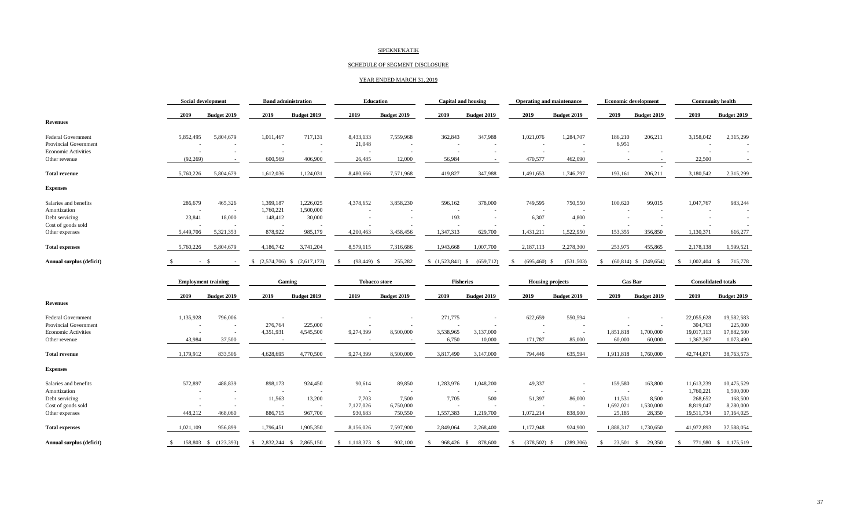#### SCHEDULE OF SEGMENT DISCLOSURE

#### YEAR ENDED MARCH 31, 2019

|                            | <b>Social development</b>  |                    | <b>Band administration</b>       |                    | <b>Education</b>     |                    | <b>Capital and housing</b> |                    | <b>Operating and maintenance</b> |                    |                          | <b>Economic development</b> | <b>Community health</b>    |                          |  |
|----------------------------|----------------------------|--------------------|----------------------------------|--------------------|----------------------|--------------------|----------------------------|--------------------|----------------------------------|--------------------|--------------------------|-----------------------------|----------------------------|--------------------------|--|
|                            | 2019                       | Budget 2019        | 2019                             | Budget 2019        | 2019                 | Budget 2019        | 2019                       | <b>Budget 2019</b> | 2019                             | Budget 2019        | 2019                     | Budget 2019                 | 2019                       | Budget 2019              |  |
| <b>Revenues</b>            |                            |                    |                                  |                    |                      |                    |                            |                    |                                  |                    |                          |                             |                            |                          |  |
| <b>Federal Government</b>  | 5,852,495                  | 5,804,679          | 1,011,467                        | 717,131            | 8,433,133            | 7,559,968          | 362,843                    | 347,988            | 1,021,076                        | 1,284,707          | 186,210                  | 206,211                     | 3,158,042                  | 2,315,299                |  |
| Provincial Government      |                            |                    | $\overline{\phantom{a}}$         | $\sim$             | 21,048               | $\sim$             | $\overline{\phantom{a}}$   |                    | $\overline{\phantom{a}}$         | $\sim$             | 6,951                    |                             |                            |                          |  |
| <b>Economic Activities</b> |                            |                    | $\overline{\phantom{a}}$         |                    |                      |                    |                            |                    | $\overline{\phantom{a}}$         |                    |                          |                             | $\overline{\phantom{a}}$   | $\overline{\phantom{a}}$ |  |
| Other revenue              | (92, 269)                  | ۰.                 | 600,569                          | 406,900            | 26,485               | 12,000             | 56,984                     |                    | 470,577                          | 462,090            |                          |                             | 22,500                     |                          |  |
| <b>Total revenue</b>       | 5,760,226                  | 5,804,679          | 1,612,036                        | 1,124,031          | 8,480,666            | 7,571,968          | 419,827                    | 347,988            | 1,491,653                        | 1,746,797          | 193,161                  | 206,211                     | 3,180,542                  | 2,315,299                |  |
| <b>Expenses</b>            |                            |                    |                                  |                    |                      |                    |                            |                    |                                  |                    |                          |                             |                            |                          |  |
| Salaries and benefits      | 286,679                    | 465,326            | 1,399,187                        | 1,226,025          | 4,378,652            | 3,858,230          | 596,162                    | 378,000            | 749,595                          | 750,550            | 100,620                  | 99,015                      | 1,047,767                  | 983,244                  |  |
| Amortization               |                            |                    | 1,760,221                        | 1,500,000          |                      |                    |                            |                    |                                  |                    |                          |                             |                            |                          |  |
| Debt servicing             | 23,841                     | 18,000             | 148,412                          | 30,000             |                      |                    | 193                        | $\sim$             | 6,307                            | 4,800              |                          |                             |                            |                          |  |
| Cost of goods sold         |                            |                    |                                  |                    |                      |                    |                            |                    |                                  |                    |                          |                             |                            |                          |  |
| Other expenses             | 5,449,706                  | 5,321,353          | 878,922                          | 985,179            | 4,200,463            | 3,458,456          | 1,347,313                  | 629,700            | 1,431,211                        | 1,522,950          | 153,355                  | 356,850                     | 1,130,371                  | 616,277                  |  |
| <b>Total expenses</b>      | 5,760,226                  | 5,804,679          | 4,186,742                        | 3,741,204          | 8,579,115            | 7,316,686          | 1,943,668                  | 1,007,700          | 2,187,113                        | 2,278,300          | 253,975                  | 455,865                     | 2,178,138                  | 1,599,521                |  |
| Annual surplus (deficit)   | <sup>\$</sup>              | - \$               | $(2,574,706)$ \$<br>$\mathbb{S}$ | (2,617,173)        | -S<br>$(98, 449)$ \$ | 255,282            | $(1,523,841)$ \$           | (659, 712)         | <sup>\$</sup><br>(695, 460)      | (531, 503)<br>- \$ | $(60, 814)$ \$<br>-S     | (249, 654)                  | 1,002,404<br>$\mathbb{S}$  | - S<br>715,778           |  |
|                            | <b>Employment training</b> |                    | Gaming                           |                    | <b>Tobacco store</b> |                    | <b>Fisheries</b>           |                    | <b>Housing projects</b>          |                    |                          | <b>Gas Bar</b>              | <b>Consolidated totals</b> |                          |  |
|                            | 2019                       | <b>Budget 2019</b> | 2019                             | <b>Budget 2019</b> | 2019                 | <b>Budget 2019</b> | 2019                       | <b>Budget 2019</b> | 2019                             | Budget 2019        | 2019                     | <b>Budget 2019</b>          | 2019                       | <b>Budget 2019</b>       |  |
| <b>Revenues</b>            |                            |                    |                                  |                    |                      |                    |                            |                    |                                  |                    |                          |                             |                            |                          |  |
| <b>Federal Government</b>  | 1,135,928                  | 796,006            |                                  |                    |                      |                    | 271,775                    |                    | 622,659                          | 550,594            |                          |                             | 22,055,628                 | 19,582,583               |  |
| Provincial Government      |                            |                    | 276,764                          | 225,000            |                      |                    |                            |                    |                                  |                    |                          |                             | 304,763                    | 225,000                  |  |
| <b>Economic Activities</b> |                            |                    | 4,351,931                        | 4,545,500          | 9,274,399            | 8,500,000          | 3,538,965                  | 3,137,000          |                                  | $\sim$             | 1,851,818                | 1,700,000                   | 19,017,113                 | 17,882,500               |  |
| Other revenue              | 43,984                     | 37,500             |                                  |                    |                      |                    | 6,750                      | 10,000             | 171,787                          | 85,000             | 60,000                   | 60,000                      | 1,367,367                  | 1,073,490                |  |
| <b>Total revenue</b>       | 1,179,912                  | 833,506            | 4,628,695                        | 4,770,500          | 9,274,399            | 8,500,000          | 3,817,490                  | 3,147,000          | 794,446                          | 635,594            | 1,911,818                | 1,760,000                   | 42,744,871                 | 38,763,573               |  |
| <b>Expenses</b>            |                            |                    |                                  |                    |                      |                    |                            |                    |                                  |                    |                          |                             |                            |                          |  |
|                            |                            |                    |                                  |                    |                      |                    |                            |                    |                                  |                    |                          |                             |                            |                          |  |
| Salaries and benefits      | 572,897                    | 488,839            | 898,173                          | 924,450            | 90,614               | 89,850             | 1,283,976                  | 1,048,200          | 49,337                           | ÷,                 | 159,580                  | 163,800                     | 11,613,239                 | 10,475,529               |  |
| Amortization               |                            |                    | $\overline{\phantom{a}}$         |                    |                      |                    |                            |                    | $\overline{\phantom{a}}$         |                    | $\overline{\phantom{a}}$ | $\sim$                      | 1,760,221                  | 1,500,000                |  |
| Debt servicing             |                            |                    | 11,563                           | 13,200             | 7,703                | 7,500              | 7,705                      | 500                | 51,397                           | 86,000             | 11,531                   | 8,500                       | 268,652                    | 168,500                  |  |
| Cost of goods sold         |                            |                    |                                  |                    | 7,127,026            | 6,750,000          |                            |                    |                                  |                    | 1,692,021                | 1,530,000                   | 8,819,047                  | 8,280,000                |  |
| Other expenses             | 448.212                    | 468,060            | 886,715                          | 967,700            | 930,683              | 750,550            | 1,557,383                  | 1,219,700          | 1,072,214                        | 838,900            | 25,185                   | 28,350                      | 19,511,734                 | 17,164,025               |  |
| <b>Total expenses</b>      | 1,021,109                  | 956,899            | 1,796,451                        | 1,905,350          | 8,156,026            | 7,597,900          | 2,849,064                  | 2,268,400          | 1,172,948                        | 924,900            | 1,888,317                | 1,730,650                   | 41,972,893                 | 37,588,054               |  |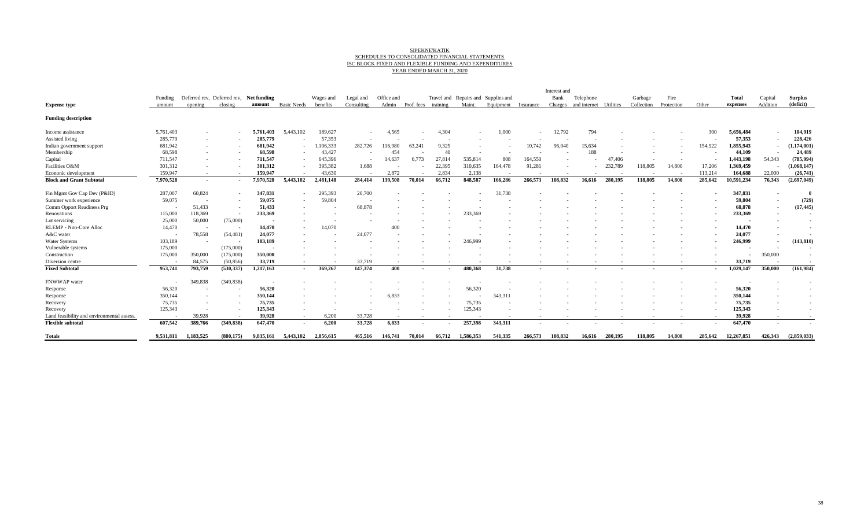# SIPEKNE'KATIK<br>SCHEDULES TO CONSOLIDATED FINANCIAL STATEMENTS<br>SC BLOCK FIXED AND FLEXIBLE FUNDING AND EXPENDITURES<br>YEAR ENDED MARCH 31, 2020

|                                            |           |                                         |            |           |                          |           |                          |            |            |          |           |                                     |                          | Interest and |              |           |            |            |                          |            |          |                |
|--------------------------------------------|-----------|-----------------------------------------|------------|-----------|--------------------------|-----------|--------------------------|------------|------------|----------|-----------|-------------------------------------|--------------------------|--------------|--------------|-----------|------------|------------|--------------------------|------------|----------|----------------|
|                                            | Funding   | Deferred rev, Deferred rev, Net funding |            |           |                          | Wages and | Legal and                | Office and |            |          |           | Travel and Repairs and Supplies and |                          | Bank         | Telephone    |           | Garbage    | Fire       |                          | Total      | Capital  | <b>Surplus</b> |
| <b>Expense type</b>                        | amount    | opening                                 | closing    | amount    | <b>Basic Needs</b>       | benefits  | Consulting               | Admin      | Prof. fees | training | Maint.    | Equipment                           | Insurance                | Charges      | and internet | Utilities | Collection | Protection | Other                    | expenses   | Addition | (deficit)      |
| <b>Funding description</b>                 |           |                                         |            |           |                          |           |                          |            |            |          |           |                                     |                          |              |              |           |            |            |                          |            |          |                |
| Income assistance                          | 5,761,403 |                                         |            | 5.761.403 | 5,443,102                | 189,627   |                          | 4,565      |            | 4.304    |           | 1,000                               |                          | 12,792       | 794          |           |            |            | 300                      | 5,656,484  |          | 104,919        |
| Assisted living                            | 285,779   |                                         |            | 285,779   | $\overline{\phantom{a}}$ | 57,353    |                          |            |            |          |           |                                     |                          |              |              |           |            |            |                          | 57,353     |          | 228,426        |
| Indian government support                  | 681,942   |                                         |            | 681,942   |                          | 1,106,333 | 282,726                  | 116,980    | 63.241     | 9,325    |           |                                     | 10,742                   | 96,040       | 15.634       |           |            |            | 154,922                  | 1,855,943  |          | (1,174,001)    |
| Membership                                 | 68,598    |                                         |            | 68,598    | $\overline{\phantom{a}}$ | 43,427    |                          | 454        |            | 40       |           |                                     |                          |              | 188          |           |            |            |                          | 44,109     |          | 24,489         |
| Capital                                    | 711,547   |                                         |            | 711,547   |                          | 645,396   | $\overline{\phantom{a}}$ | 14,637     | 6.773      | 27,814   | 535,814   | 808                                 | 164,550                  |              |              | 47,406    |            |            |                          | 1,443,198  | 54,343   | (785,994       |
| Facilities O&M                             | 301,312   |                                         |            | 301,312   | $\overline{\phantom{a}}$ | 395,382   | 1.688                    |            |            | 22,395   | 310,635   | 164,478                             | 91,281                   |              |              | 232,789   | 118,805    | 14,800     | 17,206                   | 1,369,459  |          | (1,068,147)    |
| Econonic development                       | 159,947   |                                         |            | 159,947   | . .                      | 43,630    | $\overline{\phantom{a}}$ | 2.872      |            | 2.834    | 2,138     |                                     |                          |              |              |           |            |            | 113,214                  | 164,688    | 22,000   | (26,741)       |
| <b>Block and Grant Subtotal</b>            | 7,970,528 |                                         |            | 7,970,528 | 5,443,102                | 2,481,148 | 284,414                  | 139,508    | 70.014     | 66,712   | 848,587   | 166,286                             | 266,573                  | 108,832      | 16.616       | 280.195   | 118,805    | 14.800     | 285,642                  | 10,591,234 | 76,343   | (2,697,049)    |
| Fin Mgmt Gov Cap Dev (P&ID)                | 287,007   | 60,824                                  |            | 347,831   | $\sim$                   | 295,393   | 20,700                   |            |            |          |           | 31,738                              |                          |              |              |           |            |            |                          | 347,831    |          |                |
| Summer work experience                     | 59,075    |                                         |            | 59,075    |                          | 59,804    |                          |            |            |          |           |                                     |                          |              |              |           |            |            |                          | 59,804     |          | (729)          |
| Comm Opport Readiness Prg                  |           | 51,433                                  |            | 51,433    |                          |           | 68.878                   |            |            |          |           |                                     |                          |              |              |           |            |            |                          | 68,878     |          | (17, 445)      |
| Renovations                                | 115,000   | 118,369                                 |            | 233,369   |                          |           |                          |            |            |          | 233.369   |                                     |                          |              |              |           |            |            |                          | 233,369    |          |                |
| Lot servicing                              | 25,000    | 50,000                                  | (75,000)   |           |                          |           |                          |            |            |          |           |                                     |                          |              |              |           |            |            |                          |            |          |                |
| RLEMP - Non-Core Alloc                     | 14,470    | . .                                     |            | 14,470    |                          | 14.070    |                          |            |            |          |           |                                     |                          |              |              |           |            |            |                          | 14,470     |          |                |
| A&C water                                  |           | 78,558                                  | (54, 481)  | 24,077    |                          |           | 24.077                   |            |            |          |           |                                     |                          |              |              |           |            |            |                          | 24,077     |          |                |
| <b>Water Systems</b>                       | 103,189   |                                         |            | 103,189   |                          |           |                          |            |            |          | 246.999   |                                     |                          |              |              |           |            |            |                          | 246,999    |          | (143, 810)     |
| Vulnerable systems                         | 175,000   |                                         | (175,000)  |           |                          |           |                          |            |            |          |           |                                     |                          |              |              |           |            |            |                          |            |          |                |
| Construction                               | 175,000   | 350,000                                 | (175,000)  | 350,000   |                          |           |                          |            |            |          |           |                                     |                          |              |              |           |            |            |                          |            | 350,000  |                |
| Diversion centre                           |           | 84.575                                  | (50, 856)  | 33,719    |                          |           | 33,719                   |            |            |          |           |                                     |                          |              |              |           |            |            |                          | 33,719     |          |                |
| <b>Fixed Subtotal</b>                      | 953,741   | 793,759                                 | (530, 337) | 1,217,163 | $\sim$                   | 369,267   | 147.374                  | 400        |            |          | 480.368   | 31,738                              |                          |              |              |           |            |            | $\overline{\phantom{a}}$ | 1,029,147  | 350,000  | (161,984)      |
| FNWWAP water                               |           | 349,838                                 | (349, 838) |           |                          |           |                          |            |            |          |           |                                     |                          |              |              |           |            |            |                          |            |          |                |
| Response                                   | 56,320    |                                         |            | 56,320    |                          |           |                          |            |            |          | 56,320    |                                     |                          |              |              |           |            |            |                          | 56,320     |          |                |
| Response                                   | 350,144   |                                         |            | 350,144   |                          |           |                          | 6.833      |            |          |           | 343,311                             |                          |              |              |           |            |            |                          | 350,144    |          |                |
| Recovery                                   | 75,735    |                                         |            | 75,735    |                          |           |                          |            |            |          | 75,735    |                                     |                          |              |              |           |            |            |                          | 75,735     |          |                |
| Recovery                                   | 125,343   |                                         |            | 125,343   |                          |           |                          |            |            |          | 125,343   |                                     |                          |              |              |           |            |            |                          | 125,343    |          |                |
| Land feasibility and environmental assess. |           | 39.928                                  |            | 39.928    | $\overline{\phantom{a}}$ | 6.200     | 33,728                   |            |            |          |           |                                     |                          |              |              |           |            |            |                          | 39.928     |          |                |
| <b>Flexible subtotal</b>                   | 607,542   | 389,766                                 | (349, 838) | 647,470   | $\sim$                   | 6,200     | 33,728                   | 6,833      |            |          | 257,398   | 343,311                             | $\overline{\phantom{a}}$ |              |              |           |            |            | $\overline{\phantom{a}}$ | 647,470    |          |                |
| <b>Totals</b>                              | 9,531,811 | 1,183,525                               | (880.175)  | 9,835,161 | 5,443,102                | 2,856,615 | 465,516                  | 146,741    | 70,014     | 66,712   | 1,586,353 | 541,335                             | 266,573                  | 108,832      | 16.616       | 280,195   | 118,805    | 14,800     | 285,642                  | 12,267,851 | 426,343  | (2,859,033)    |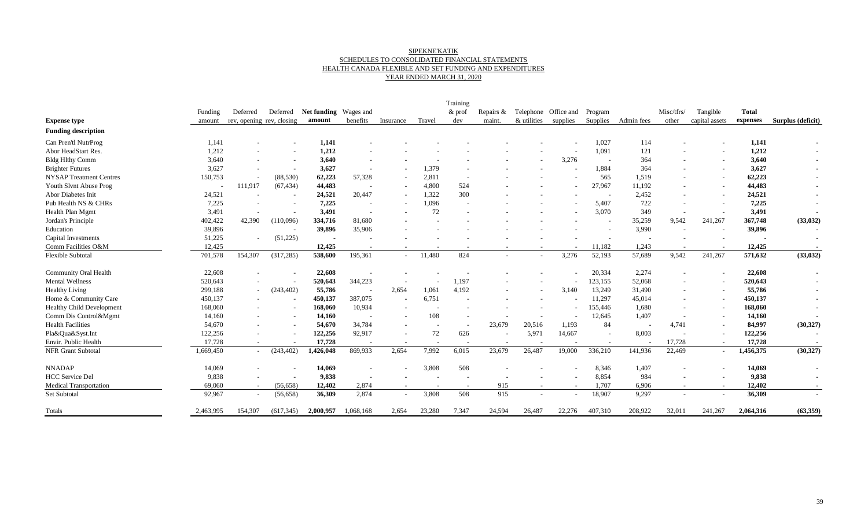#### SIPEKNE'KATIK SCHEDULES TO CONSOLIDATED FINANCIAL STATEMENTS HEALTH CANADA FLEXIBLE AND SET FUNDING AND EXPENDITURES YEAR ENDED MARCH 31, 2020

|                                  | Funding                  | Deferred                  | Deferred                 | <b>Net funding</b> Wages and |                          |                          |        | Training<br>$&$ prof | Repairs &                |                      | Telephone Office and | Program                  |                          | Misc/tfrs/               | Tangible                 | <b>Total</b> |                          |
|----------------------------------|--------------------------|---------------------------|--------------------------|------------------------------|--------------------------|--------------------------|--------|----------------------|--------------------------|----------------------|----------------------|--------------------------|--------------------------|--------------------------|--------------------------|--------------|--------------------------|
| <b>Expense type</b>              | amount                   | rev, opening rev, closing |                          | amount                       | benefits                 | Insurance                | Travel | dev                  | maint.                   | & utilities supplies |                      | Supplies                 | Admin fees               | other                    | capital assets           | expenses     | Surplus (deficit)        |
| <b>Funding description</b>       |                          |                           |                          |                              |                          |                          |        |                      |                          |                      |                      |                          |                          |                          |                          |              |                          |
| Can Pren'tl NutrProg             | 1,141                    |                           | $\overline{\phantom{a}}$ | 1,141                        |                          |                          |        |                      |                          |                      |                      | 1,027                    | 114                      |                          |                          | 1,141        |                          |
| Abor HeadStart Res.              | 1,212                    |                           |                          | 1,212                        |                          |                          |        |                      |                          |                      | $\sim$               | 1,091                    | 121                      |                          |                          | 1,212        |                          |
| <b>Bldg Hlthy Comm</b>           | 3,640                    |                           | $\overline{\phantom{a}}$ | 3,640                        |                          |                          |        |                      |                          |                      | 3,276                | $\sim$                   | 364                      |                          |                          | 3,640        |                          |
| <b>Brighter Futures</b>          | 3,627                    |                           | $\overline{\phantom{a}}$ | 3,627                        | $\sim$                   |                          | 1,379  |                      |                          |                      |                      | 1,884                    | 364                      |                          |                          | 3,627        |                          |
| <b>NYSAP Treatment Centres</b>   | 150,753                  | $\overline{\phantom{a}}$  | (88, 530)                | 62,223                       | 57,328                   |                          | 2,811  |                      |                          |                      |                      | 565                      | 1,519                    | $\overline{\phantom{a}}$ |                          | 62,223       |                          |
| Youth Slvnt Abuse Prog           | $\overline{\phantom{a}}$ | 111,917                   | (67, 434)                | 44,483                       |                          |                          | 4,800  | 524                  |                          |                      |                      | 27,967                   | 11,192                   |                          |                          | 44,483       |                          |
| Abor Diabetes Init               | 24,521                   |                           |                          | 24,521                       | 20,447                   |                          | 1,322  | 300                  |                          |                      |                      | $\sim$                   | 2,452                    |                          |                          | 24,521       |                          |
| Pub Health NS & CHRs             | 7,225                    |                           |                          | 7,225                        |                          |                          | 1,096  |                      |                          |                      |                      | 5,407                    | 722                      |                          |                          | 7,225        |                          |
| Health Plan Mgmt                 | 3,491                    | $\overline{\phantom{a}}$  |                          | 3,491                        |                          |                          | 72     |                      |                          |                      |                      | 3,070                    | 349                      |                          |                          | 3,491        |                          |
| Jordan's Principle               | 402,422                  | 42,390                    | (110,096)                | 334,716                      | 81,680                   |                          |        |                      |                          |                      |                      | $\overline{a}$           | 35,259                   | 9,542                    | 241,267                  | 367,748      | (33, 032)                |
| Education                        | 39,896                   |                           | $\overline{a}$           | 39,896                       | 35,906                   |                          |        |                      |                          |                      |                      | $\overline{\phantom{a}}$ | 3,990                    |                          |                          | 39,896       |                          |
| Capital Investments              | 51,225                   | $\overline{\phantom{a}}$  | (51,225)                 |                              |                          |                          |        |                      |                          |                      |                      |                          |                          |                          |                          |              |                          |
| Comm Facilities O&M              | 12,425                   |                           |                          | 12,425                       |                          |                          |        |                      |                          |                      |                      | 11,182                   | 1,243                    |                          |                          | 12,425       |                          |
| <b>Flexible Subtotal</b>         | 701,578                  | 154,307                   | (317, 285)               | 538,600                      | 195,361                  |                          | 11,480 | 824                  |                          |                      | 3,276                | 52,193                   | 57,689                   | 9,542                    | 241,267                  | 571,632      | (33, 032)                |
| <b>Community Oral Health</b>     | 22,608                   |                           |                          | 22,608                       |                          |                          |        |                      |                          |                      |                      | 20,334                   | 2,274                    |                          |                          | 22,608       |                          |
| Mental Wellness                  | 520,643                  |                           |                          | 520,643                      | 344,223                  |                          |        | 1,197                |                          |                      |                      | 123,155                  | 52,068                   |                          |                          | 520,643      |                          |
| <b>Healthy Living</b>            | 299,188                  | $\overline{\phantom{a}}$  | (243, 402)               | 55,786                       | $\overline{a}$           | 2,654                    | 1,061  | 4,192                |                          |                      | 3,140                | 13,249                   | 31,490                   |                          |                          | 55,786       |                          |
| Home & Community Care            | 450,137                  |                           |                          | 450,137                      | 387,075                  |                          | 6,751  |                      |                          |                      |                      | 11,297                   | 45,014                   |                          | $\overline{\phantom{a}}$ | 450,137      |                          |
| <b>Healthy Child Development</b> | 168,060                  |                           |                          | 168,060                      | 10,934                   |                          |        |                      |                          |                      |                      | 155,446                  | 1,680                    |                          |                          | 168,060      |                          |
| Comm Dis Control&Mgmt            | 14,160                   |                           | $\overline{\phantom{a}}$ | 14,160                       | $\overline{\phantom{a}}$ | $\overline{\phantom{a}}$ | 108    |                      |                          |                      |                      | 12,645                   | 1,407                    |                          |                          | 14,160       |                          |
| <b>Health Facilities</b>         | 54,670                   |                           |                          | 54,670                       | 34,784                   |                          | $\sim$ |                      | 23,679                   | 20,516               | 1,193                | 84                       | $\overline{\phantom{a}}$ | 4,741                    |                          | 84,997       | (30, 327)                |
| Pla&Qua&Syst.Int                 | 122,256                  |                           | $\overline{\phantom{a}}$ | 122,256                      | 92,917                   | $\sim$                   | 72     | 626                  | $\overline{\phantom{a}}$ | 5,971                | 14,667               | $\sim$                   | 8,003                    |                          | $\overline{\phantom{a}}$ | 122,256      |                          |
| Envir. Public Health             | 17,728                   |                           |                          | 17,728                       |                          |                          |        |                      |                          |                      |                      | $\overline{\phantom{a}}$ | $\overline{\phantom{a}}$ | 17,728                   |                          | 17,728       |                          |
| NFR Grant Subtotal               | 1,669,450                | $\sim$                    | (243, 402)               | 1,426,048                    | 869,933                  | 2,654                    | 7,992  | 6,015                | 23,679                   | 26,487               | 19,000               | 336,210                  | 141,936                  | 22,469                   | $\overline{a}$           | 1,456,375    | (30, 327)                |
| <b>NNADAP</b>                    | 14,069                   |                           |                          | 14,069                       |                          |                          | 3,808  | 508                  |                          |                      |                      | 8,346                    | 1,407                    |                          |                          | 14,069       |                          |
| <b>HCC</b> Service Del           | 9,838                    |                           | $\overline{\phantom{a}}$ | 9,838                        | $\overline{\phantom{a}}$ |                          |        |                      |                          |                      |                      | 8,854                    | 984                      |                          |                          | 9,838        | $\blacksquare$           |
| <b>Medical Transportation</b>    | 69,060                   | $\sim$                    | (56, 658)                | 12,402                       | 2,874                    | $\sim$                   | $\sim$ | $\sim$               | 915                      | $\sim$               | $\sim$               | 1,707                    | 6,906                    | $\sim$                   | $\sim$                   | 12,402       | $\overline{\phantom{a}}$ |
| Set Subtotal                     | 92,967                   |                           | (56, 658)                | 36,309                       | 2,874                    | $\sim$                   | 3,808  | 508                  | 915                      |                      | $\sim$               | 18,907                   | 9,297                    |                          |                          | 36,309       | $\blacksquare$           |
| Totals                           | 2,463,995                | 154,307                   | (617, 345)               | 2,000,957                    | 1,068,168                | 2,654                    | 23,280 | 7,347                | 24,594                   | 26,487               | 22,276               | 407,310                  | 208,922                  | 32,011                   | 241,267                  | 2,064,316    | (63, 359)                |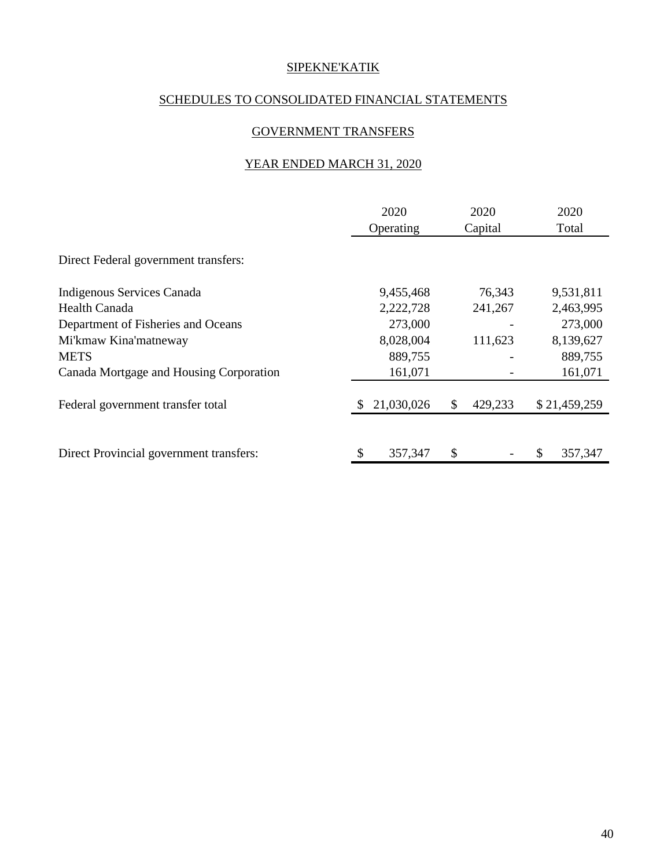## SCHEDULES TO CONSOLIDATED FINANCIAL STATEMENTS

## GOVERNMENT TRANSFERS

## YEAR ENDED MARCH 31, 2020

|                                         | 2020<br>Operating |    | 2020<br>Capital |   | 2020<br>Total |
|-----------------------------------------|-------------------|----|-----------------|---|---------------|
| Direct Federal government transfers:    |                   |    |                 |   |               |
| Indigenous Services Canada              | 9,455,468         |    | 76,343          |   | 9,531,811     |
| Health Canada                           | 2,222,728         |    | 241,267         |   | 2,463,995     |
| Department of Fisheries and Oceans      | 273,000           |    |                 |   | 273,000       |
| Mi'kmaw Kina'matneway                   | 8,028,004         |    | 111,623         |   | 8,139,627     |
| <b>METS</b>                             | 889,755           |    |                 |   | 889,755       |
| Canada Mortgage and Housing Corporation | 161,071           |    |                 |   | 161,071       |
| Federal government transfer total       | 21,030,026        | \$ | 429,233         |   | \$21,459,259  |
|                                         |                   |    |                 |   |               |
| Direct Provincial government transfers: | \$<br>357,347     | S  |                 | S | 357,347       |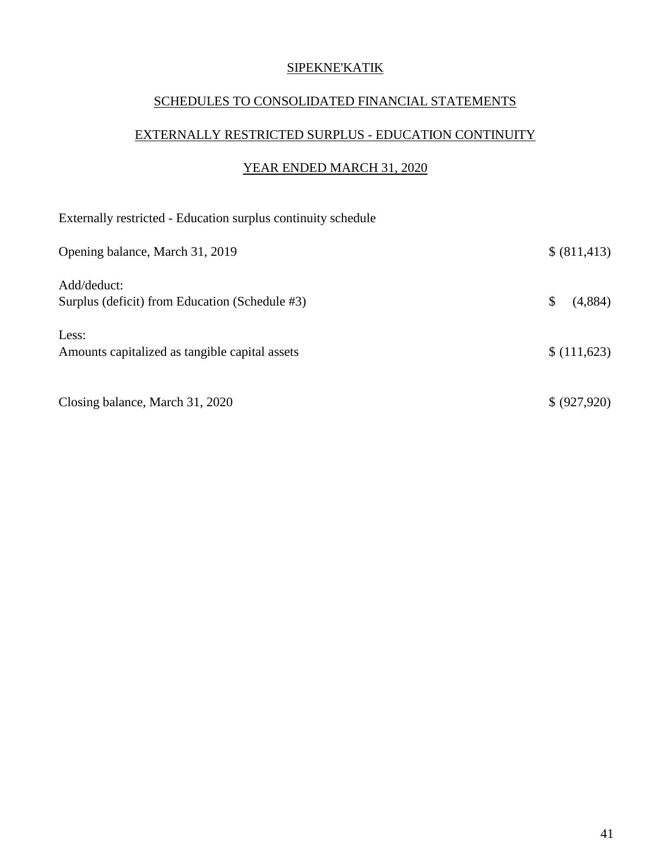## SCHEDULES TO CONSOLIDATED FINANCIAL STATEMENTS

# EXTERNALLY RESTRICTED SURPLUS - EDUCATION CONTINUITY

## YEAR ENDED MARCH 31, 2020

| Externally restricted - Education surplus continuity schedule |               |
|---------------------------------------------------------------|---------------|
| Opening balance, March 31, 2019                               | \$ (811, 413) |
| Add/deduct:<br>Surplus (deficit) from Education (Schedule #3) | \$<br>(4,884) |
| Less:<br>Amounts capitalized as tangible capital assets       | \$(111,623)   |
| Closing balance, March 31, 2020                               | \$ (927, 920) |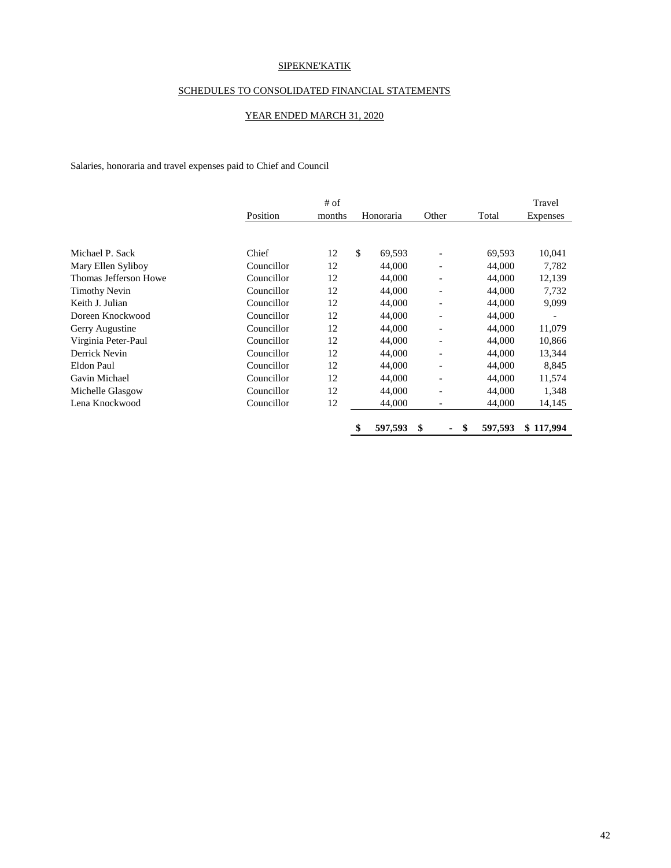#### SCHEDULES TO CONSOLIDATED FINANCIAL STATEMENTS

#### YEAR ENDED MARCH 31, 2020

Salaries, honoraria and travel expenses paid to Chief and Council

|                       |            | # of   |               |                          | Travel        |           |
|-----------------------|------------|--------|---------------|--------------------------|---------------|-----------|
|                       | Position   | months | Honoraria     | Other                    | Total         | Expenses  |
|                       |            |        |               |                          |               |           |
| Michael P. Sack       | Chief      | 12     | \$<br>69,593  |                          | 69,593        | 10,041    |
| Mary Ellen Syliboy    | Councillor | 12     | 44,000        | $\overline{\phantom{a}}$ | 44,000        | 7,782     |
| Thomas Jefferson Howe | Councillor | 12     | 44,000        | $\overline{\phantom{a}}$ | 44,000        | 12,139    |
| <b>Timothy Nevin</b>  | Councillor | 12     | 44,000        | $\overline{\phantom{a}}$ | 44,000        | 7,732     |
| Keith J. Julian       | Councillor | 12     | 44,000        | $\overline{\phantom{a}}$ | 44,000        | 9,099     |
| Doreen Knockwood      | Councillor | 12     | 44,000        | $\overline{\phantom{a}}$ | 44,000        |           |
| Gerry Augustine       | Councillor | 12     | 44,000        | $\overline{\phantom{a}}$ | 44,000        | 11,079    |
| Virginia Peter-Paul   | Councillor | 12     | 44,000        | $\overline{\phantom{a}}$ | 44,000        | 10,866    |
| Derrick Nevin         | Councillor | 12     | 44,000        | $\overline{\phantom{a}}$ | 44,000        | 13,344    |
| Eldon Paul            | Councillor | 12     | 44,000        | $\overline{\phantom{a}}$ | 44,000        | 8,845     |
| Gavin Michael         | Councillor | 12     | 44,000        | $\overline{\phantom{a}}$ | 44,000        | 11,574    |
| Michelle Glasgow      | Councillor | 12     | 44,000        | $\overline{\phantom{a}}$ | 44,000        | 1,348     |
| Lena Knockwood        | Councillor | 12     | 44,000        | $\overline{\phantom{a}}$ | 44,000        | 14,145    |
|                       |            |        | \$<br>597,593 | \$<br>۰.                 | \$<br>597,593 | \$117,994 |